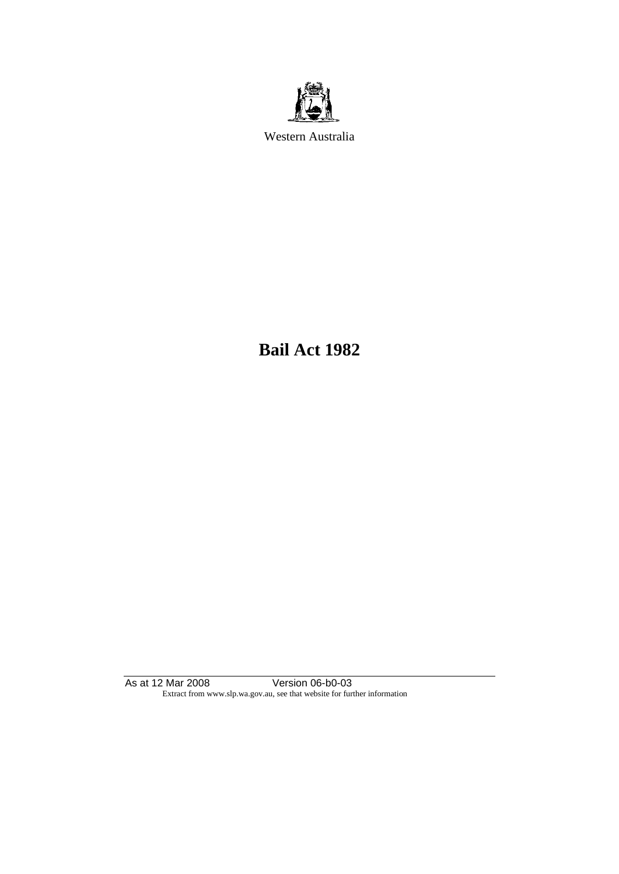

Western Australia

**Bail Act 1982**

As at 12 Mar 2008 Version 06-b0-03 Extract from www.slp.wa.gov.au, see that website for further information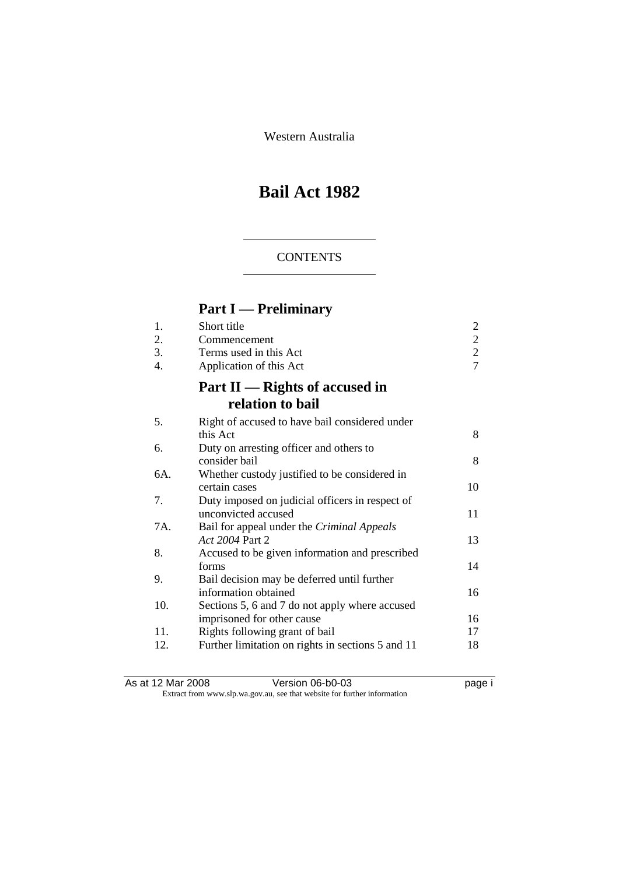Western Australia

# **Bail Act 1982**

### **CONTENTS**

# **Part I — Preliminary**

| 1.<br>2.<br>3.<br>4. | Short title<br>Commencement<br>Terms used in this Act<br>Application of this Act | $\overline{\mathbf{c}}$<br>$\frac{2}{2}$<br>$\overline{7}$ |
|----------------------|----------------------------------------------------------------------------------|------------------------------------------------------------|
|                      | Part $II$ — Rights of accused in<br>relation to bail                             |                                                            |
| 5.                   | Right of accused to have bail considered under                                   |                                                            |
|                      | this Act                                                                         | 8                                                          |
| 6.                   | Duty on arresting officer and others to<br>consider bail                         | 8                                                          |
| 6A.                  | Whether custody justified to be considered in                                    |                                                            |
|                      | certain cases                                                                    | 10                                                         |
| 7.                   | Duty imposed on judicial officers in respect of                                  |                                                            |
|                      | unconvicted accused                                                              | 11                                                         |
| 7A.                  | Bail for appeal under the Criminal Appeals                                       |                                                            |
|                      | Act 2004 Part 2                                                                  | 13                                                         |
| 8.                   | Accused to be given information and prescribed                                   |                                                            |
|                      | forms                                                                            | 14                                                         |
| 9.                   | Bail decision may be deferred until further<br>information obtained              | 16                                                         |
| 10.                  |                                                                                  |                                                            |
|                      | Sections 5, 6 and 7 do not apply where accused<br>imprisoned for other cause     | 16                                                         |
| 11.                  | Rights following grant of bail                                                   | 17                                                         |
| 12.                  | Further limitation on rights in sections 5 and 11                                | 18                                                         |
|                      |                                                                                  |                                                            |

As at 12 Mar 2008 **Version 06-b0-03 page i** Extract from www.slp.wa.gov.au, see that website for further information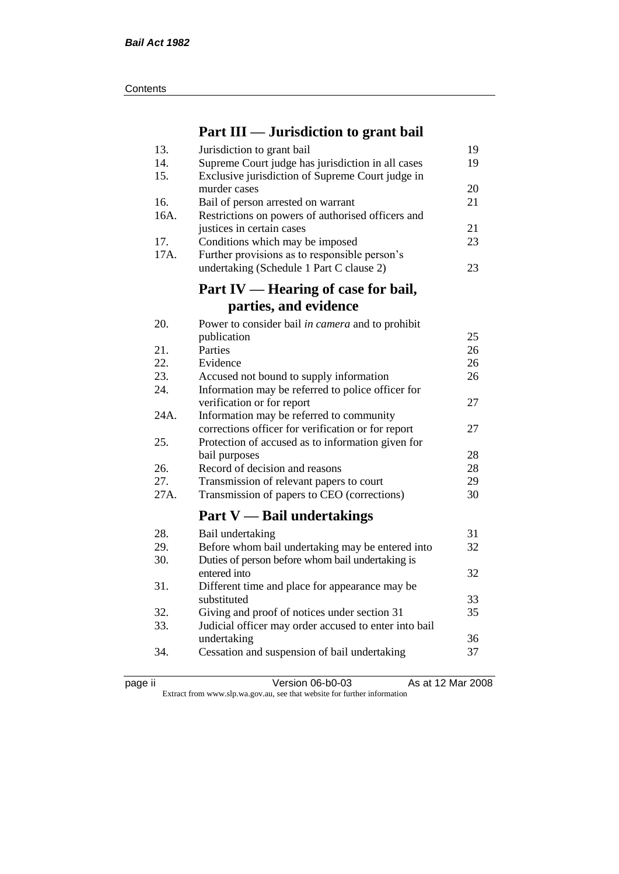| Contents |
|----------|
|----------|

# **Part III — Jurisdiction to grant bail**

| 13.        | Jurisdiction to grant bail                            | 19 |
|------------|-------------------------------------------------------|----|
| 14.        | Supreme Court judge has jurisdiction in all cases     | 19 |
| 15.        | Exclusive jurisdiction of Supreme Court judge in      |    |
|            | murder cases                                          | 20 |
| 16.        | Bail of person arrested on warrant                    | 21 |
| 16A.       | Restrictions on powers of authorised officers and     |    |
|            | justices in certain cases                             | 21 |
| 17.        | Conditions which may be imposed                       | 23 |
| 17A.       | Further provisions as to responsible person's         |    |
|            | undertaking (Schedule 1 Part C clause 2)              | 23 |
|            | Part IV — Hearing of case for bail,                   |    |
|            | parties, and evidence                                 |    |
|            |                                                       |    |
| 20.        | Power to consider bail in camera and to prohibit      |    |
|            | publication                                           | 25 |
| 21.        | Parties                                               | 26 |
| 22.        | Evidence                                              | 26 |
| 23.        | Accused not bound to supply information               | 26 |
| 24.        | Information may be referred to police officer for     |    |
|            | verification or for report                            | 27 |
| 24A.       | Information may be referred to community              | 27 |
|            | corrections officer for verification or for report    |    |
| 25.        | Protection of accused as to information given for     | 28 |
|            | bail purposes                                         | 28 |
| 26.<br>27. | Record of decision and reasons                        | 29 |
| 27A.       | Transmission of relevant papers to court              | 30 |
|            | Transmission of papers to CEO (corrections)           |    |
|            | Part $V$ — Bail undertakings                          |    |
| 28.        | Bail undertaking                                      | 31 |
| 29.        | Before whom bail undertaking may be entered into      | 32 |
| 30.        | Duties of person before whom bail undertaking is      |    |
|            | entered into                                          | 32 |
| 31.        | Different time and place for appearance may be        |    |
|            | substituted                                           | 33 |
| 32.        | Giving and proof of notices under section 31          | 35 |
| 33.        | Judicial officer may order accused to enter into bail |    |
|            | undertaking                                           | 36 |
| 34.        | Cessation and suspension of bail undertaking          | 37 |
|            |                                                       |    |

|  | ٠. |  |
|--|----|--|
|--|----|--|

page ii Version 06-b0-03 As at 12 Mar 2008

Extract from www.slp.wa.gov.au, see that website for further information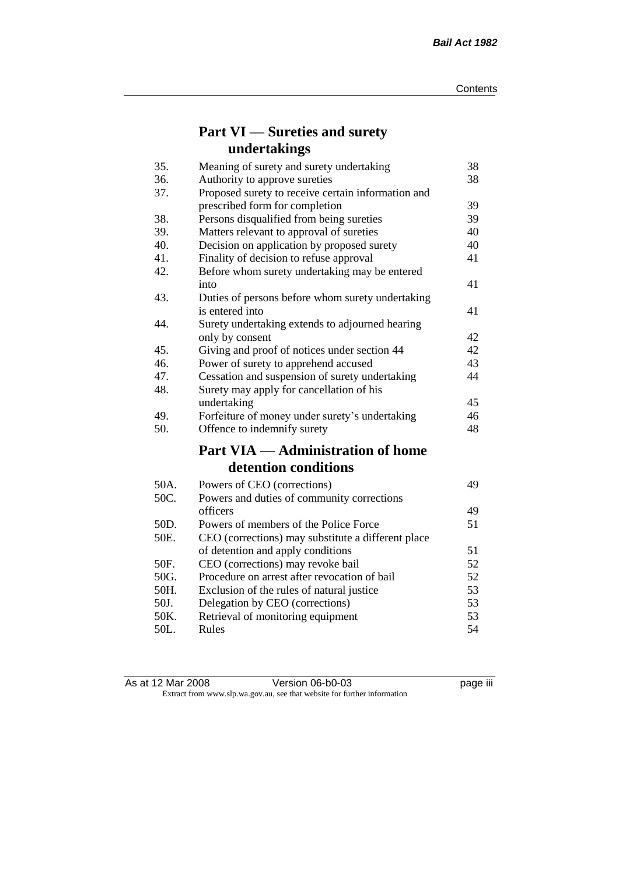# **Part VI — Sureties and surety undertakings**

| 35.  | Meaning of surety and surety undertaking           | 38 |
|------|----------------------------------------------------|----|
| 36.  | Authority to approve sureties                      | 38 |
| 37.  | Proposed surety to receive certain information and |    |
|      | prescribed form for completion                     | 39 |
| 38.  | Persons disqualified from being sureties           | 39 |
| 39.  | Matters relevant to approval of sureties           | 40 |
| 40.  | Decision on application by proposed surety         | 40 |
| 41.  | Finality of decision to refuse approval            | 41 |
| 42.  | Before whom surety undertaking may be entered      |    |
|      | into                                               | 41 |
| 43.  | Duties of persons before whom surety undertaking   |    |
|      | is entered into                                    | 41 |
| 44.  | Surety undertaking extends to adjourned hearing    |    |
|      | only by consent                                    | 42 |
| 45.  | Giving and proof of notices under section 44       | 42 |
| 46.  | Power of surety to apprehend accused               | 43 |
| 47.  | Cessation and suspension of surety undertaking     | 44 |
| 48.  | Surety may apply for cancellation of his           |    |
|      | undertaking                                        | 45 |
| 49.  | Forfeiture of money under surety's undertaking     | 46 |
| 50.  | Offence to indemnify surety                        | 48 |
|      | <b>Part VIA — Administration of home</b>           |    |
|      | detention conditions                               |    |
| 50A. | Powers of CEO (corrections)                        | 49 |
| 50C. | Powers and duties of community corrections         |    |
|      | officers                                           | 49 |
| 50D. | Powers of members of the Police Force              | 51 |
| 50E. | CEO (corrections) may substitute a different place |    |
|      | of detention and apply conditions                  | 51 |
| 50F. | CEO (corrections) may revoke bail                  | 52 |
| 50G. | Procedure on arrest after revocation of bail       | 52 |
| 50H. | Exclusion of the rules of natural justice          | 53 |
| 50J. | Delegation by CEO (corrections)                    | 53 |
| 50K. | Retrieval of monitoring equipment                  | 53 |
| 50L. | Rules                                              | 54 |

| As at 12 Mar 2008 | Version 06-b0-03                                                         | <br>page III |
|-------------------|--------------------------------------------------------------------------|--------------|
|                   | Extract from www.slp.wa.gov.au, see that website for further information |              |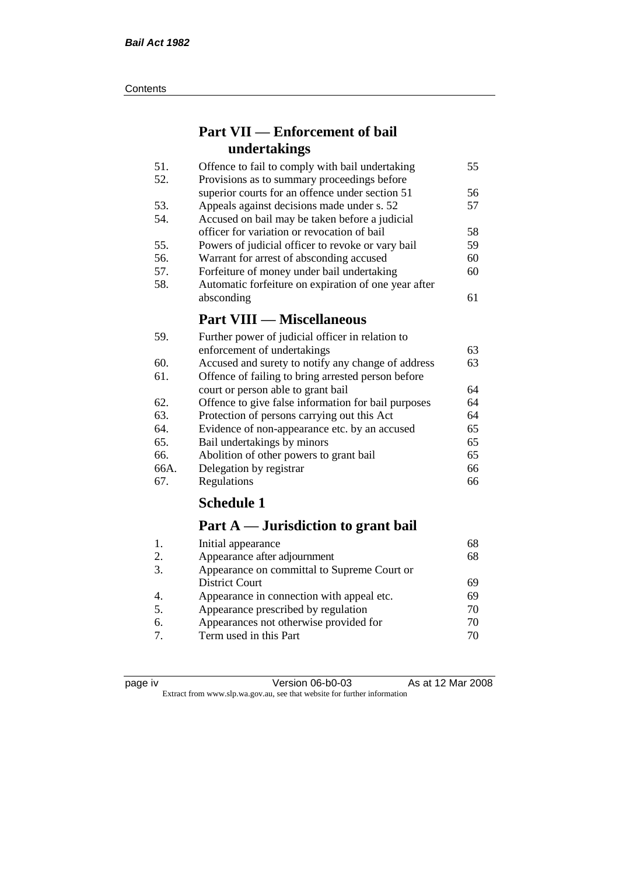#### **Contents**

# **Part VII — Enforcement of bail undertakings**

| 51. | Offence to fail to comply with bail undertaking      | 55 |
|-----|------------------------------------------------------|----|
| 52. | Provisions as to summary proceedings before          |    |
|     | superior courts for an offence under section 51      | 56 |
| 53. | Appeals against decisions made under s. 52           | 57 |
| 54. | Accused on bail may be taken before a judicial       |    |
|     | officer for variation or revocation of bail          | 58 |
| 55. | Powers of judicial officer to revoke or vary bail    | 59 |
| 56. | Warrant for arrest of absconding accused             | 60 |
| 57. | Forfeiture of money under bail undertaking           | 60 |
| 58. | Automatic forfeiture on expiration of one year after |    |
|     | absconding                                           | 61 |
|     | <b>Part VIII — Miscellaneous</b>                     |    |
| 59. | Further power of judicial officer in relation to     |    |

| enforcement of undertakings                         | 63                                               |
|-----------------------------------------------------|--------------------------------------------------|
| Accused and surety to notify any change of address  | 63                                               |
| Offence of failing to bring arrested person before  |                                                  |
| court or person able to grant bail                  | 64                                               |
| Offence to give false information for bail purposes | 64                                               |
| Protection of persons carrying out this Act         | 64                                               |
| Evidence of non-appearance etc. by an accused       | 65                                               |
| Bail undertakings by minors                         | 65                                               |
| Abolition of other powers to grant bail             | 65                                               |
| Delegation by registrar                             | 66                                               |
| Regulations                                         | 66                                               |
|                                                     | Further power of judicial officer in relation to |

# **Schedule 1**

# **Part A — Jurisdiction to grant bail**

| Initial appearance                          | 68 |
|---------------------------------------------|----|
| Appearance after adjournment                | 68 |
| Appearance on committal to Supreme Court or |    |
| <b>District Court</b>                       | 69 |
| Appearance in connection with appeal etc.   | 69 |
| Appearance prescribed by regulation         | 70 |
| Appearances not otherwise provided for      | 70 |
| Term used in this Part                      | 70 |
|                                             |    |

| د،<br>חומ |  |
|-----------|--|
|           |  |
|           |  |
|           |  |

Version 06-b0-03 As at 12 Mar 2008 Extract from www.slp.wa.gov.au, see that website for further information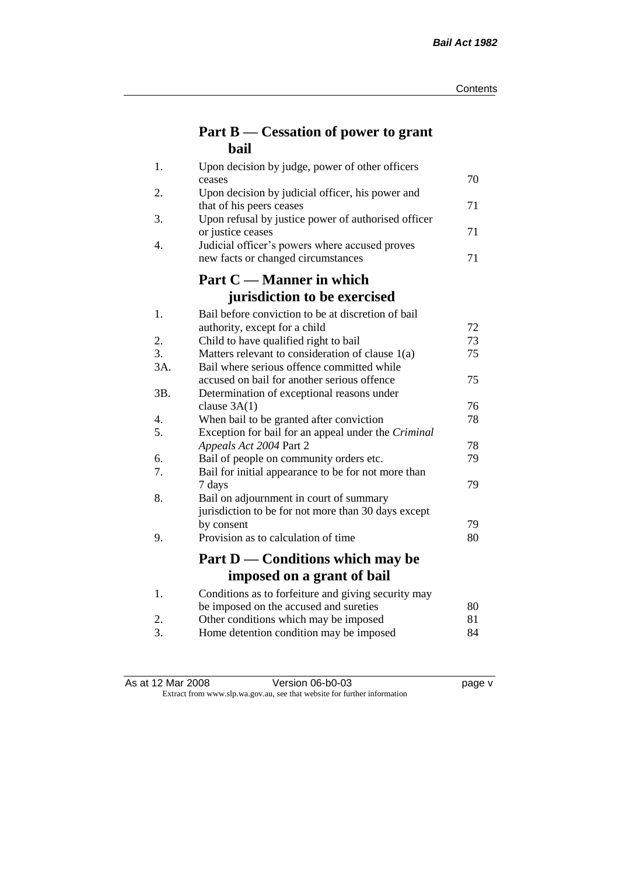# **Part B — Cessation of power to grant bail**

| 1.  | Upon decision by judge, power of other officers                              |    |
|-----|------------------------------------------------------------------------------|----|
|     | ceases                                                                       | 70 |
| 2.  | Upon decision by judicial officer, his power and<br>that of his peers ceases | 71 |
| 3.  | Upon refusal by justice power of authorised officer                          |    |
|     | or justice ceases                                                            | 71 |
| 4.  | Judicial officer's powers where accused proves                               |    |
|     | new facts or changed circumstances                                           | 71 |
|     | Part C — Manner in which                                                     |    |
|     | jurisdiction to be exercised                                                 |    |
| 1.  | Bail before conviction to be at discretion of bail                           |    |
|     | authority, except for a child                                                | 72 |
| 2.  | Child to have qualified right to bail                                        | 73 |
| 3.  | Matters relevant to consideration of clause 1(a)                             | 75 |
| 3A. | Bail where serious offence committed while                                   |    |
|     | accused on bail for another serious offence                                  | 75 |
| 3B. | Determination of exceptional reasons under                                   |    |
|     | clause $3A(1)$                                                               | 76 |
| 4.  | When bail to be granted after conviction                                     | 78 |
| 5.  | Exception for bail for an appeal under the Criminal                          |    |
|     | Appeals Act 2004 Part 2                                                      | 78 |
| 6.  | Bail of people on community orders etc.                                      | 79 |
| 7.  | Bail for initial appearance to be for not more than                          |    |
| 8.  | 7 days                                                                       | 79 |
|     | Bail on adjournment in court of summary                                      |    |
|     | jurisdiction to be for not more than 30 days except<br>by consent            | 79 |
| 9.  | Provision as to calculation of time                                          | 80 |
|     |                                                                              |    |
|     | Part D — Conditions which may be                                             |    |
|     | imposed on a grant of bail                                                   |    |
| 1.  | Conditions as to forfeiture and giving security may                          |    |
|     | be imposed on the accused and sureties                                       | 80 |
| 2.  | Other conditions which may be imposed                                        | 81 |
| 3.  | Home detention condition may be imposed                                      | 84 |

As at 12 Mar 2008 Version 06-b0-03 page v Extract from www.slp.wa.gov.au, see that website for further information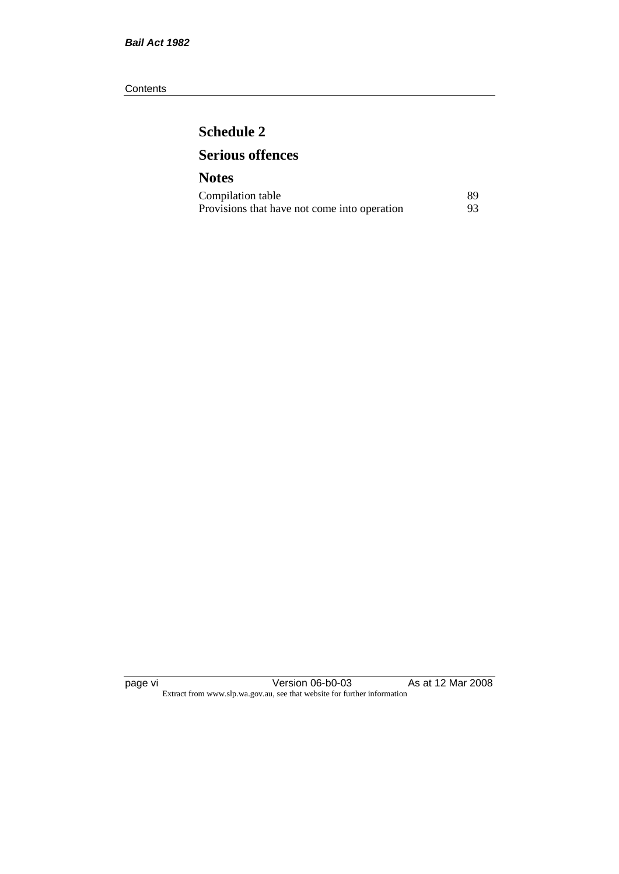#### **Contents**

# **Schedule 2 Serious offences**

## **Notes** Compilation table 89<br>Provisions that have not come into operation 93 Provisions that have not come into operation

page vi Version 06-b0-03 As at 12 Mar 2008 Extract from www.slp.wa.gov.au, see that website for further information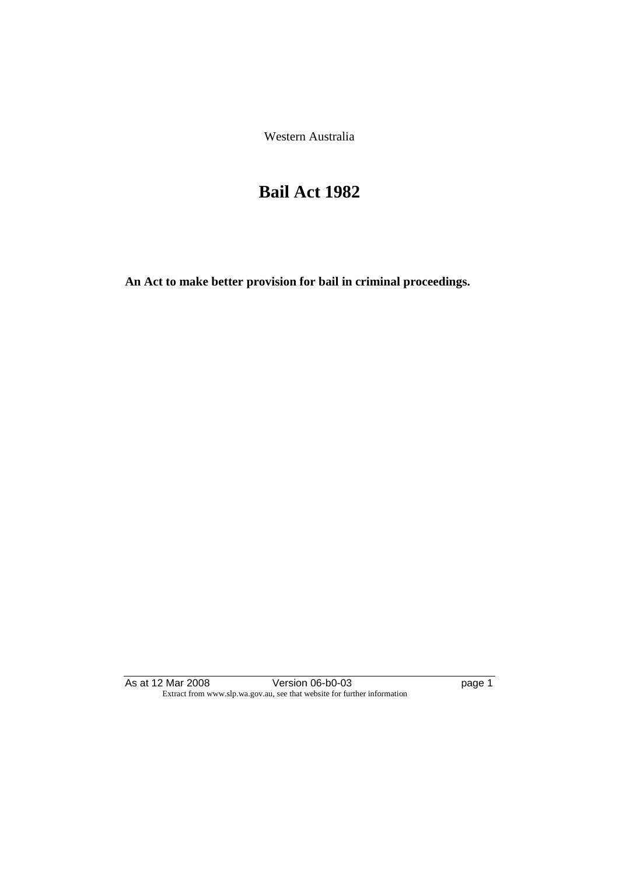Western Australia

# **Bail Act 1982**

**An Act to make better provision for bail in criminal proceedings.** 

As at 12 Mar 2008 Version 06-b0-03 page 1 Extract from www.slp.wa.gov.au, see that website for further information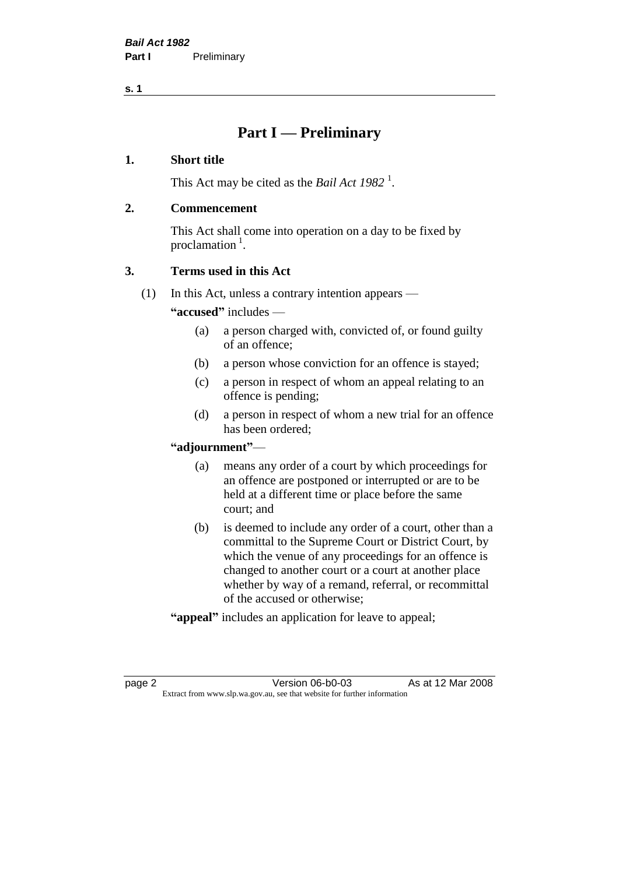# **Part I — Preliminary**

#### **1. Short title**

This Act may be cited as the *Bail Act* 1982<sup>1</sup>.

### **2. Commencement**

This Act shall come into operation on a day to be fixed by proclamation  $<sup>1</sup>$ .</sup>

### **3. Terms used in this Act**

(1) In this Act, unless a contrary intention appears —

**"accused"** includes —

- (a) a person charged with, convicted of, or found guilty of an offence;
- (b) a person whose conviction for an offence is stayed;
- (c) a person in respect of whom an appeal relating to an offence is pending;
- (d) a person in respect of whom a new trial for an offence has been ordered;

#### **"adjournment"**—

- (a) means any order of a court by which proceedings for an offence are postponed or interrupted or are to be held at a different time or place before the same court; and
- (b) is deemed to include any order of a court, other than a committal to the Supreme Court or District Court, by which the venue of any proceedings for an offence is changed to another court or a court at another place whether by way of a remand, referral, or recommittal of the accused or otherwise;
- **"appeal"** includes an application for leave to appeal;

page 2 **Version 06-b0-03** As at 12 Mar 2008 Extract from www.slp.wa.gov.au, see that website for further information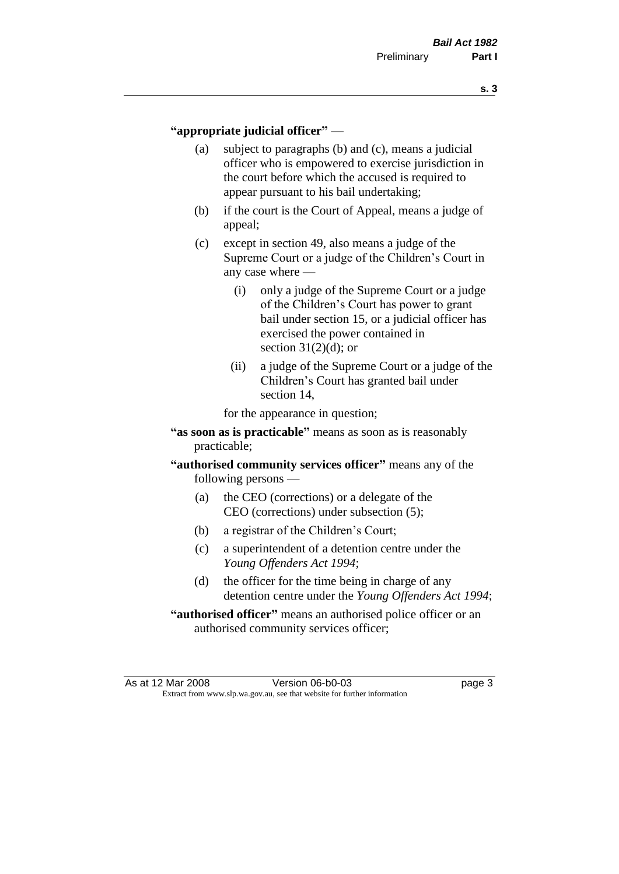#### **"appropriate judicial officer"** —

- (a) subject to paragraphs (b) and (c), means a judicial officer who is empowered to exercise jurisdiction in the court before which the accused is required to appear pursuant to his bail undertaking;
- (b) if the court is the Court of Appeal, means a judge of appeal;
- (c) except in section 49, also means a judge of the Supreme Court or a judge of the Children's Court in any case where —
	- (i) only a judge of the Supreme Court or a judge of the Children's Court has power to grant bail under section 15, or a judicial officer has exercised the power contained in section  $31(2)(d)$ ; or
	- (ii) a judge of the Supreme Court or a judge of the Children's Court has granted bail under section 14,

for the appearance in question;

- **"as soon as is practicable"** means as soon as is reasonably practicable;
- **"authorised community services officer"** means any of the following persons —
	- (a) the CEO (corrections) or a delegate of the CEO (corrections) under subsection (5);
	- (b) a registrar of the Children's Court;
	- (c) a superintendent of a detention centre under the *Young Offenders Act 1994*;
	- (d) the officer for the time being in charge of any detention centre under the *Young Offenders Act 1994*;
- **"authorised officer"** means an authorised police officer or an authorised community services officer;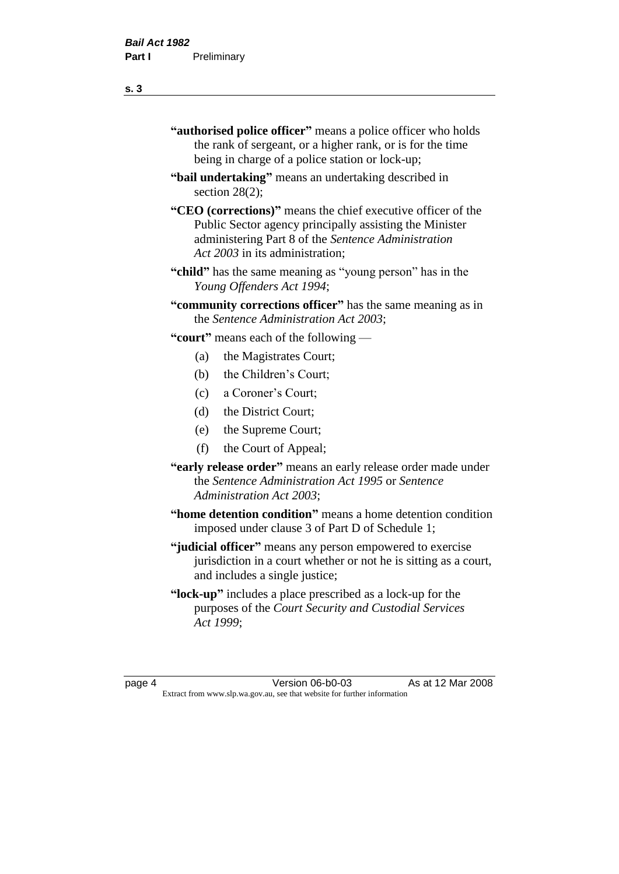- **"authorised police officer"** means a police officer who holds the rank of sergeant, or a higher rank, or is for the time being in charge of a police station or lock-up;
- **"bail undertaking"** means an undertaking described in section 28(2):
- **"CEO (corrections)"** means the chief executive officer of the Public Sector agency principally assisting the Minister administering Part 8 of the *Sentence Administration Act 2003* in its administration;
- **"child"** has the same meaning as "young person" has in the *Young Offenders Act 1994*;
- **"community corrections officer"** has the same meaning as in the *Sentence Administration Act 2003*;

**"court"** means each of the following —

- (a) the Magistrates Court;
- (b) the Children's Court;
- (c) a Coroner's Court;
- (d) the District Court;
- (e) the Supreme Court;
- (f) the Court of Appeal;
- **"early release order"** means an early release order made under the *Sentence Administration Act 1995* or *Sentence Administration Act 2003*;
- **"home detention condition"** means a home detention condition imposed under clause 3 of Part D of Schedule 1;
- **"judicial officer"** means any person empowered to exercise jurisdiction in a court whether or not he is sitting as a court, and includes a single justice;
- **"lock-up"** includes a place prescribed as a lock-up for the purposes of the *Court Security and Custodial Services Act 1999*;

page 4 Version 06-b0-03 As at 12 Mar 2008 Extract from www.slp.wa.gov.au, see that website for further information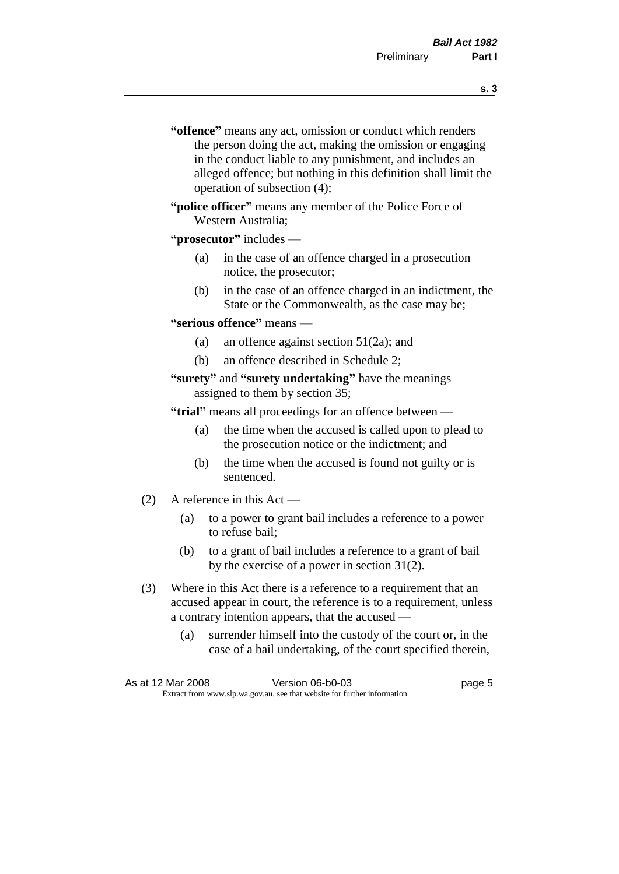- **s. 3**
- **"offence"** means any act, omission or conduct which renders the person doing the act, making the omission or engaging in the conduct liable to any punishment, and includes an alleged offence; but nothing in this definition shall limit the operation of subsection (4);
- **"police officer"** means any member of the Police Force of Western Australia;

#### **"prosecutor"** includes —

- (a) in the case of an offence charged in a prosecution notice, the prosecutor;
- (b) in the case of an offence charged in an indictment, the State or the Commonwealth, as the case may be;

#### **"serious offence"** means —

- (a) an offence against section 51(2a); and
- (b) an offence described in Schedule 2;
- **"surety"** and **"surety undertaking"** have the meanings assigned to them by section 35;

**"trial"** means all proceedings for an offence between —

- (a) the time when the accused is called upon to plead to the prosecution notice or the indictment; and
- (b) the time when the accused is found not guilty or is sentenced.
- (2) A reference in this Act
	- (a) to a power to grant bail includes a reference to a power to refuse bail;
	- (b) to a grant of bail includes a reference to a grant of bail by the exercise of a power in section 31(2).
- (3) Where in this Act there is a reference to a requirement that an accused appear in court, the reference is to a requirement, unless a contrary intention appears, that the accused —
	- (a) surrender himself into the custody of the court or, in the case of a bail undertaking, of the court specified therein,

| As at 12 Mar 2008                                                        | Version 06-b0-03 | page 5 |
|--------------------------------------------------------------------------|------------------|--------|
| Extract from www.slp.wa.gov.au, see that website for further information |                  |        |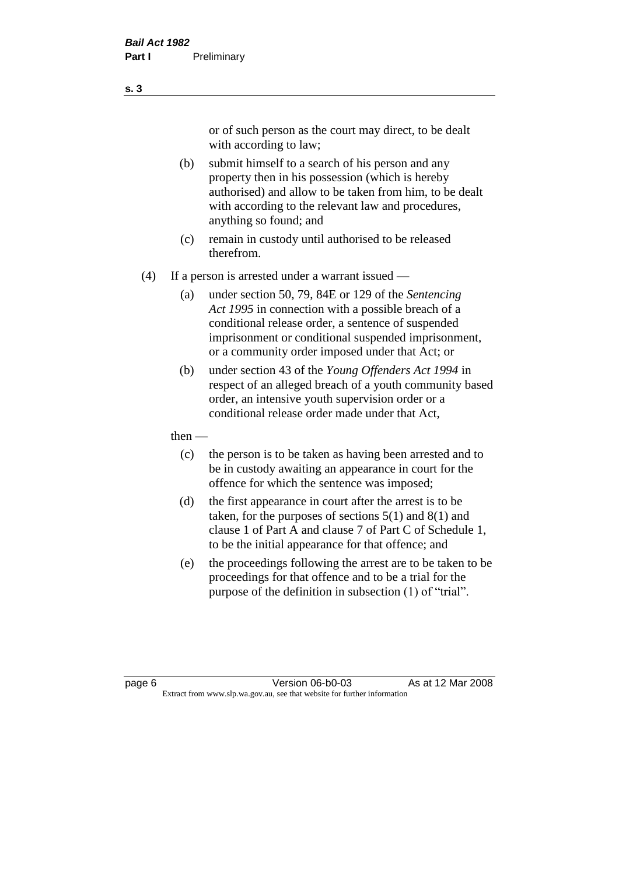or of such person as the court may direct, to be dealt with according to law;

(b) submit himself to a search of his person and any property then in his possession (which is hereby authorised) and allow to be taken from him, to be dealt with according to the relevant law and procedures, anything so found; and

- (c) remain in custody until authorised to be released therefrom.
- (4) If a person is arrested under a warrant issued
	- (a) under section 50, 79, 84E or 129 of the *Sentencing Act 1995* in connection with a possible breach of a conditional release order, a sentence of suspended imprisonment or conditional suspended imprisonment, or a community order imposed under that Act; or
	- (b) under section 43 of the *Young Offenders Act 1994* in respect of an alleged breach of a youth community based order, an intensive youth supervision order or a conditional release order made under that Act,
	- then
		- (c) the person is to be taken as having been arrested and to be in custody awaiting an appearance in court for the offence for which the sentence was imposed;
		- (d) the first appearance in court after the arrest is to be taken, for the purposes of sections  $5(1)$  and  $8(1)$  and clause 1 of Part A and clause 7 of Part C of Schedule 1, to be the initial appearance for that offence; and
		- (e) the proceedings following the arrest are to be taken to be proceedings for that offence and to be a trial for the purpose of the definition in subsection (1) of "trial".

page 6 Version 06-b0-03 As at 12 Mar 2008 Extract from www.slp.wa.gov.au, see that website for further information

**s. 3**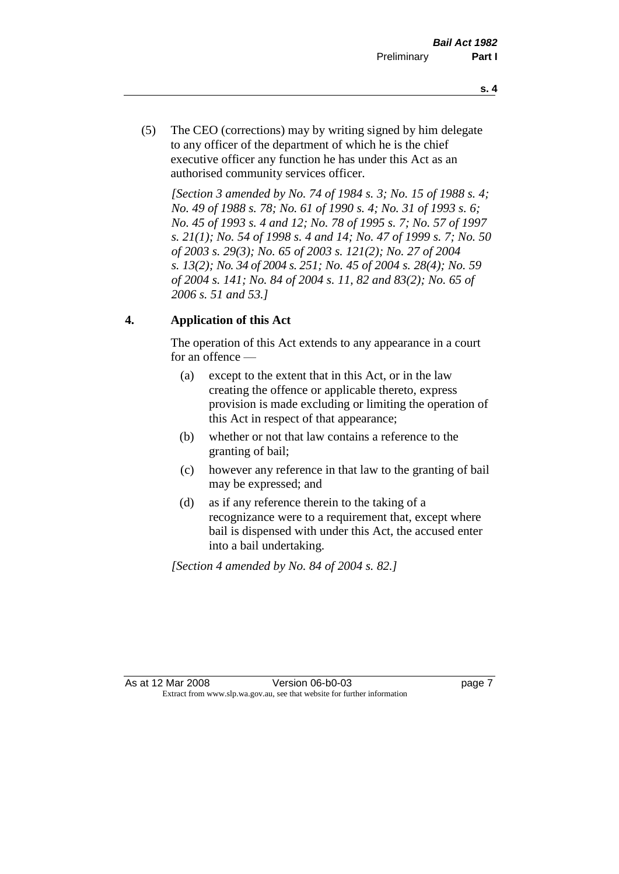- **s. 4**
- (5) The CEO (corrections) may by writing signed by him delegate to any officer of the department of which he is the chief executive officer any function he has under this Act as an authorised community services officer.

*[Section 3 amended by No. 74 of 1984 s. 3; No. 15 of 1988 s. 4; No. 49 of 1988 s. 78; No. 61 of 1990 s. 4; No. 31 of 1993 s. 6; No. 45 of 1993 s. 4 and 12; No. 78 of 1995 s. 7; No. 57 of 1997 s. 21(1); No. 54 of 1998 s. 4 and 14; No. 47 of 1999 s. 7; No. 50 of 2003 s. 29(3); No. 65 of 2003 s. 121(2); No. 27 of 2004 s. 13(2); No. 34 of 2004 s. 251; No. 45 of 2004 s. 28(4); No. 59 of 2004 s. 141; No. 84 of 2004 s. 11, 82 and 83(2); No. 65 of 2006 s. 51 and 53.]* 

### **4. Application of this Act**

The operation of this Act extends to any appearance in a court for an offence —

- (a) except to the extent that in this Act, or in the law creating the offence or applicable thereto, express provision is made excluding or limiting the operation of this Act in respect of that appearance;
- (b) whether or not that law contains a reference to the granting of bail;
- (c) however any reference in that law to the granting of bail may be expressed; and
- (d) as if any reference therein to the taking of a recognizance were to a requirement that, except where bail is dispensed with under this Act, the accused enter into a bail undertaking.

*[Section 4 amended by No. 84 of 2004 s. 82.]*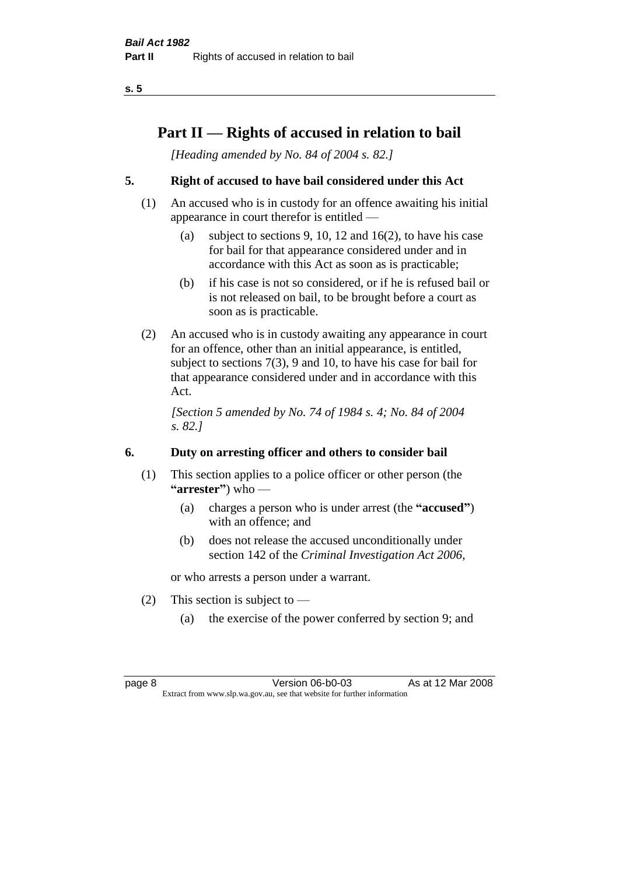# **Part II — Rights of accused in relation to bail**

*[Heading amended by No. 84 of 2004 s. 82.]* 

### **5. Right of accused to have bail considered under this Act**

- (1) An accused who is in custody for an offence awaiting his initial appearance in court therefor is entitled —
	- (a) subject to sections 9, 10, 12 and 16(2), to have his case for bail for that appearance considered under and in accordance with this Act as soon as is practicable;
	- (b) if his case is not so considered, or if he is refused bail or is not released on bail, to be brought before a court as soon as is practicable.
- (2) An accused who is in custody awaiting any appearance in court for an offence, other than an initial appearance, is entitled, subject to sections 7(3), 9 and 10, to have his case for bail for that appearance considered under and in accordance with this Act.

*[Section 5 amended by No. 74 of 1984 s. 4; No. 84 of 2004 s. 82.]* 

### **6. Duty on arresting officer and others to consider bail**

- (1) This section applies to a police officer or other person (the **"arrester"**) who —
	- (a) charges a person who is under arrest (the **"accused"**) with an offence; and
	- (b) does not release the accused unconditionally under section 142 of the *Criminal Investigation Act 2006*,

or who arrests a person under a warrant.

- (2) This section is subject to  $-$ 
	- (a) the exercise of the power conferred by section 9; and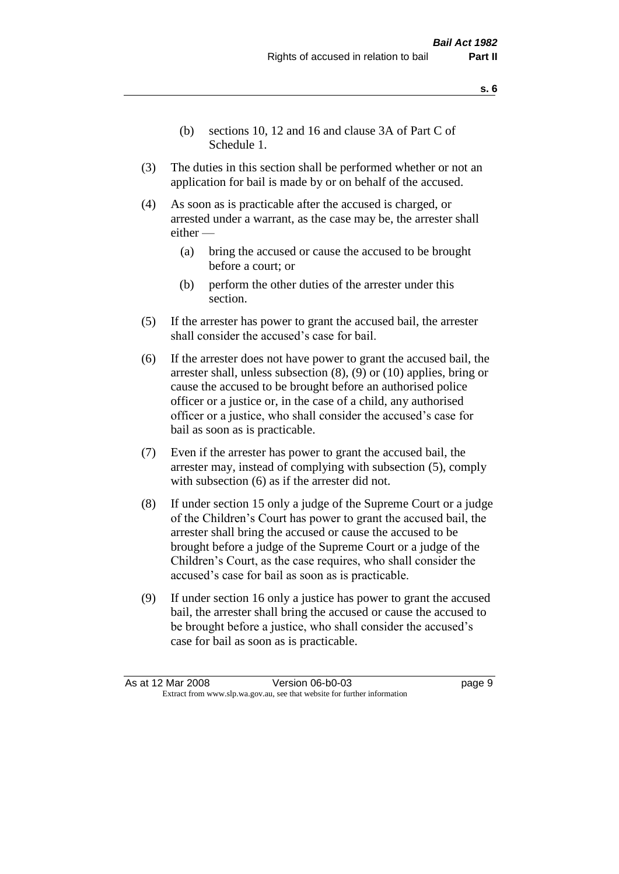- (b) sections 10, 12 and 16 and clause 3A of Part C of Schedule 1.
- (3) The duties in this section shall be performed whether or not an application for bail is made by or on behalf of the accused.
- (4) As soon as is practicable after the accused is charged, or arrested under a warrant, as the case may be, the arrester shall either —
	- (a) bring the accused or cause the accused to be brought before a court; or
	- (b) perform the other duties of the arrester under this section.
- (5) If the arrester has power to grant the accused bail, the arrester shall consider the accused's case for bail.
- (6) If the arrester does not have power to grant the accused bail, the arrester shall, unless subsection (8), (9) or (10) applies, bring or cause the accused to be brought before an authorised police officer or a justice or, in the case of a child, any authorised officer or a justice, who shall consider the accused's case for bail as soon as is practicable.
- (7) Even if the arrester has power to grant the accused bail, the arrester may, instead of complying with subsection (5), comply with subsection (6) as if the arrester did not.
- (8) If under section 15 only a judge of the Supreme Court or a judge of the Children's Court has power to grant the accused bail, the arrester shall bring the accused or cause the accused to be brought before a judge of the Supreme Court or a judge of the Children's Court, as the case requires, who shall consider the accused's case for bail as soon as is practicable.
- (9) If under section 16 only a justice has power to grant the accused bail, the arrester shall bring the accused or cause the accused to be brought before a justice, who shall consider the accused's case for bail as soon as is practicable.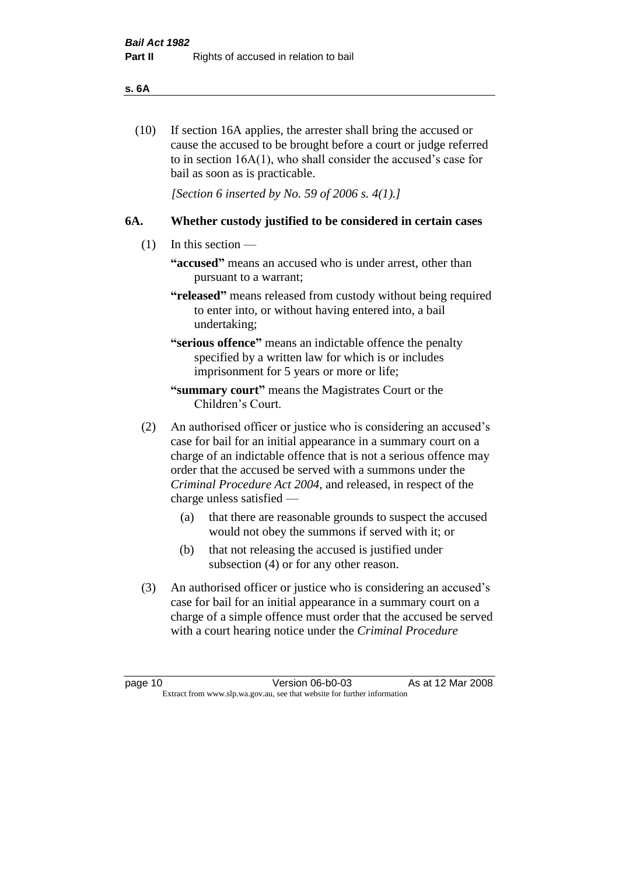#### **s. 6A**

(10) If section 16A applies, the arrester shall bring the accused or cause the accused to be brought before a court or judge referred to in section 16A(1), who shall consider the accused's case for bail as soon as is practicable.

*[Section 6 inserted by No. 59 of 2006 s. 4(1).]* 

### **6A. Whether custody justified to be considered in certain cases**

- (1) In this section
	- **"accused"** means an accused who is under arrest, other than pursuant to a warrant;
	- **"released"** means released from custody without being required to enter into, or without having entered into, a bail undertaking;

**"serious offence"** means an indictable offence the penalty specified by a written law for which is or includes imprisonment for 5 years or more or life;

- **"summary court"** means the Magistrates Court or the Children's Court.
- (2) An authorised officer or justice who is considering an accused's case for bail for an initial appearance in a summary court on a charge of an indictable offence that is not a serious offence may order that the accused be served with a summons under the *Criminal Procedure Act 2004*, and released, in respect of the charge unless satisfied —
	- (a) that there are reasonable grounds to suspect the accused would not obey the summons if served with it; or
	- (b) that not releasing the accused is justified under subsection (4) or for any other reason.
- (3) An authorised officer or justice who is considering an accused's case for bail for an initial appearance in a summary court on a charge of a simple offence must order that the accused be served with a court hearing notice under the *Criminal Procedure*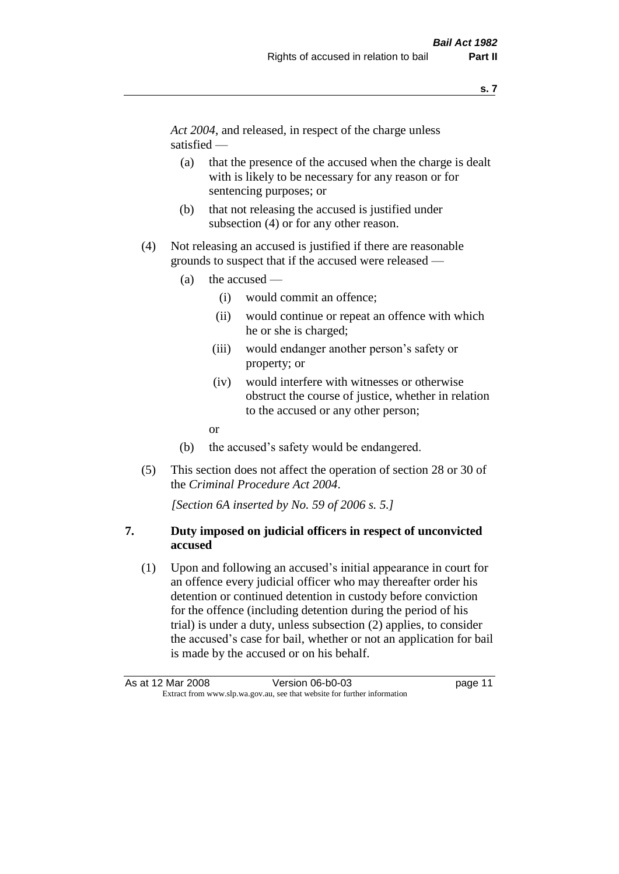*Act 2004*, and released, in respect of the charge unless satisfied —

- (a) that the presence of the accused when the charge is dealt with is likely to be necessary for any reason or for sentencing purposes; or
- (b) that not releasing the accused is justified under subsection (4) or for any other reason.
- (4) Not releasing an accused is justified if there are reasonable grounds to suspect that if the accused were released —
	- (a) the accused
		- (i) would commit an offence;
		- (ii) would continue or repeat an offence with which he or she is charged;
		- (iii) would endanger another person's safety or property; or
		- (iv) would interfere with witnesses or otherwise obstruct the course of justice, whether in relation to the accused or any other person;
		- or
	- (b) the accused's safety would be endangered.
- (5) This section does not affect the operation of section 28 or 30 of the *Criminal Procedure Act 2004*.

*[Section 6A inserted by No. 59 of 2006 s. 5.]* 

### **7. Duty imposed on judicial officers in respect of unconvicted accused**

(1) Upon and following an accused's initial appearance in court for an offence every judicial officer who may thereafter order his detention or continued detention in custody before conviction for the offence (including detention during the period of his trial) is under a duty, unless subsection (2) applies, to consider the accused's case for bail, whether or not an application for bail is made by the accused or on his behalf.

As at 12 Mar 2008 Version 06-b0-03 page 11 Extract from www.slp.wa.gov.au, see that website for further information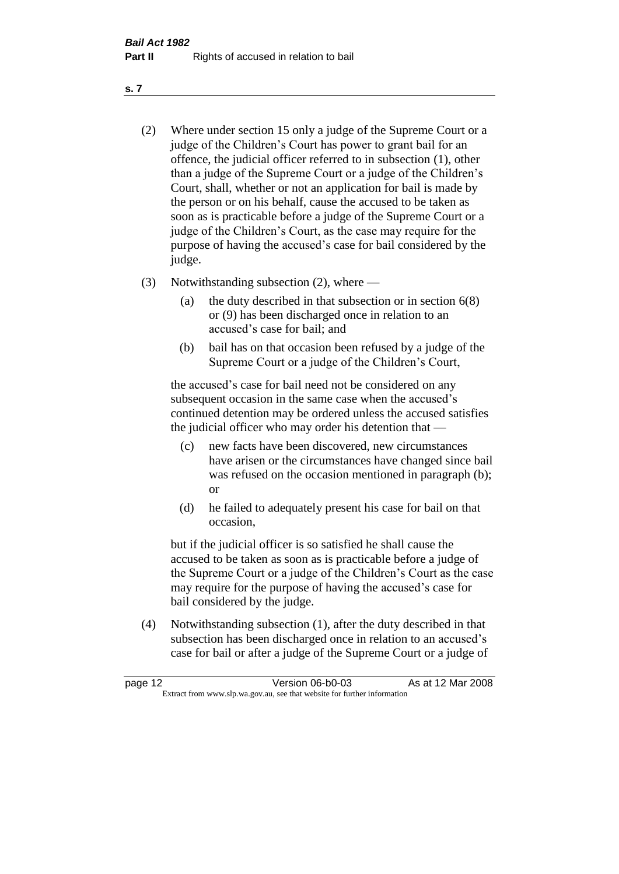- (2) Where under section 15 only a judge of the Supreme Court or a judge of the Children's Court has power to grant bail for an offence, the judicial officer referred to in subsection (1), other than a judge of the Supreme Court or a judge of the Children's Court, shall, whether or not an application for bail is made by the person or on his behalf, cause the accused to be taken as soon as is practicable before a judge of the Supreme Court or a judge of the Children's Court, as the case may require for the purpose of having the accused's case for bail considered by the judge.
- (3) Notwithstanding subsection (2), where
	- (a) the duty described in that subsection or in section 6(8) or (9) has been discharged once in relation to an accused's case for bail; and
	- (b) bail has on that occasion been refused by a judge of the Supreme Court or a judge of the Children's Court,

the accused's case for bail need not be considered on any subsequent occasion in the same case when the accused's continued detention may be ordered unless the accused satisfies the judicial officer who may order his detention that —

- (c) new facts have been discovered, new circumstances have arisen or the circumstances have changed since bail was refused on the occasion mentioned in paragraph (b); or
- (d) he failed to adequately present his case for bail on that occasion,

but if the judicial officer is so satisfied he shall cause the accused to be taken as soon as is practicable before a judge of the Supreme Court or a judge of the Children's Court as the case may require for the purpose of having the accused's case for bail considered by the judge.

(4) Notwithstanding subsection (1), after the duty described in that subsection has been discharged once in relation to an accused's case for bail or after a judge of the Supreme Court or a judge of

| page 12 | Version 06-b0-03                                                         | As at 12 Mar 2008 |
|---------|--------------------------------------------------------------------------|-------------------|
|         | Extract from www.slp.wa.gov.au, see that website for further information |                   |

**s. 7**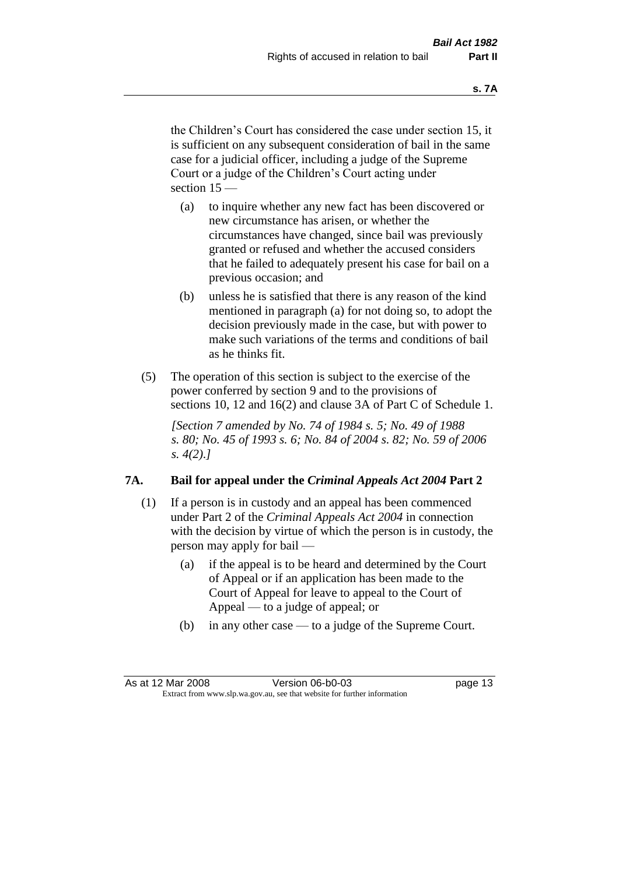the Children's Court has considered the case under section 15, it is sufficient on any subsequent consideration of bail in the same case for a judicial officer, including a judge of the Supreme Court or a judge of the Children's Court acting under section 15 —

- (a) to inquire whether any new fact has been discovered or new circumstance has arisen, or whether the circumstances have changed, since bail was previously granted or refused and whether the accused considers that he failed to adequately present his case for bail on a previous occasion; and
- (b) unless he is satisfied that there is any reason of the kind mentioned in paragraph (a) for not doing so, to adopt the decision previously made in the case, but with power to make such variations of the terms and conditions of bail as he thinks fit.
- (5) The operation of this section is subject to the exercise of the power conferred by section 9 and to the provisions of sections 10, 12 and 16(2) and clause 3A of Part C of Schedule 1.

*[Section 7 amended by No. 74 of 1984 s. 5; No. 49 of 1988 s. 80; No. 45 of 1993 s. 6; No. 84 of 2004 s. 82; No. 59 of 2006 s. 4(2).]* 

#### **7A. Bail for appeal under the** *Criminal Appeals Act 2004* **Part 2**

- (1) If a person is in custody and an appeal has been commenced under Part 2 of the *Criminal Appeals Act 2004* in connection with the decision by virtue of which the person is in custody, the person may apply for bail —
	- (a) if the appeal is to be heard and determined by the Court of Appeal or if an application has been made to the Court of Appeal for leave to appeal to the Court of Appeal — to a judge of appeal; or
	- (b) in any other case to a judge of the Supreme Court.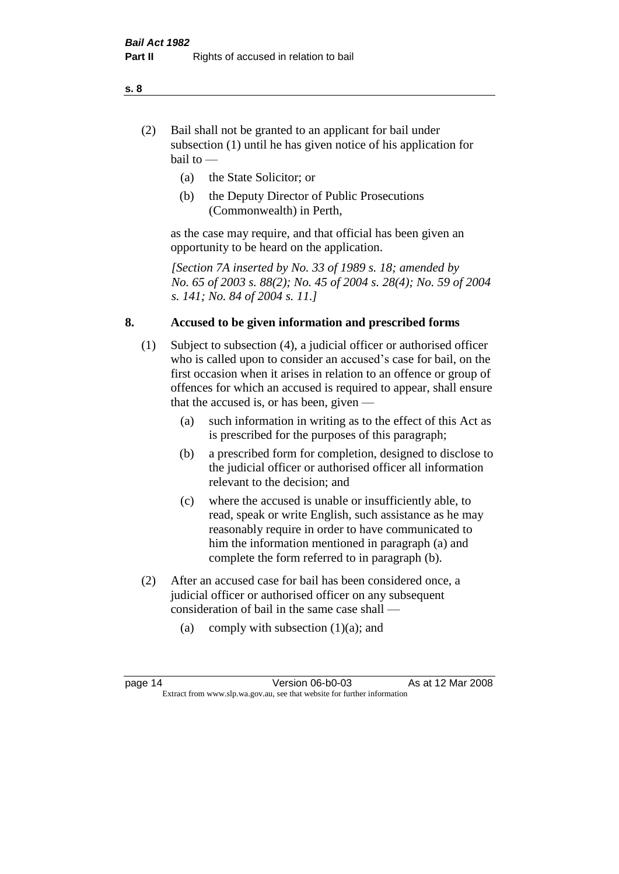- (2) Bail shall not be granted to an applicant for bail under subsection (1) until he has given notice of his application for bail to —
	- (a) the State Solicitor; or
	- (b) the Deputy Director of Public Prosecutions (Commonwealth) in Perth,

as the case may require, and that official has been given an opportunity to be heard on the application.

*[Section 7A inserted by No. 33 of 1989 s. 18; amended by No. 65 of 2003 s. 88(2); No. 45 of 2004 s. 28(4); No. 59 of 2004 s. 141; No. 84 of 2004 s. 11.]* 

### **8. Accused to be given information and prescribed forms**

- (1) Subject to subsection (4), a judicial officer or authorised officer who is called upon to consider an accused's case for bail, on the first occasion when it arises in relation to an offence or group of offences for which an accused is required to appear, shall ensure that the accused is, or has been, given —
	- (a) such information in writing as to the effect of this Act as is prescribed for the purposes of this paragraph;
	- (b) a prescribed form for completion, designed to disclose to the judicial officer or authorised officer all information relevant to the decision; and
	- (c) where the accused is unable or insufficiently able, to read, speak or write English, such assistance as he may reasonably require in order to have communicated to him the information mentioned in paragraph (a) and complete the form referred to in paragraph (b).
- (2) After an accused case for bail has been considered once, a judicial officer or authorised officer on any subsequent consideration of bail in the same case shall —
	- (a) comply with subsection  $(1)(a)$ ; and

#### **s. 8**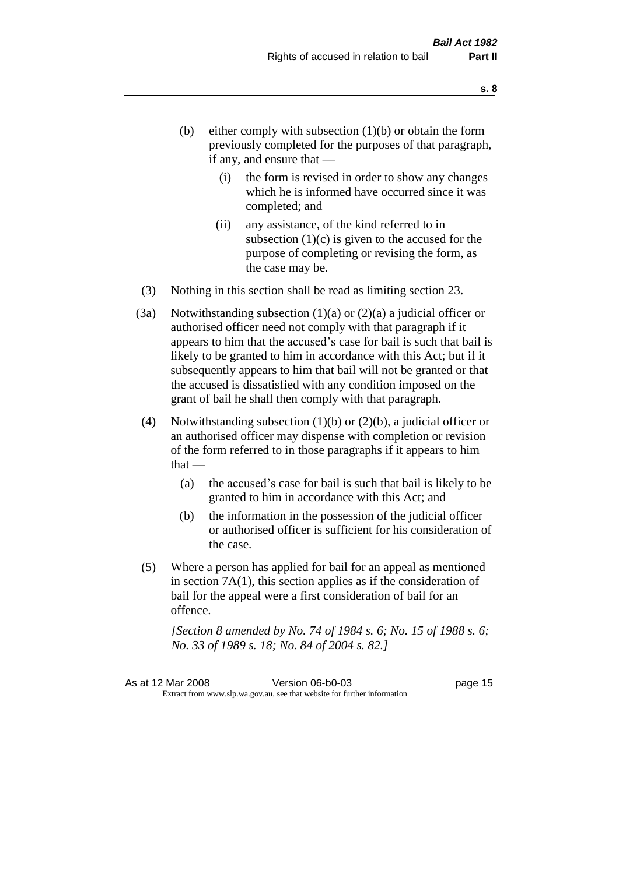- (b) either comply with subsection  $(1)(b)$  or obtain the form previously completed for the purposes of that paragraph, if any, and ensure that —
	- (i) the form is revised in order to show any changes which he is informed have occurred since it was completed; and
	- (ii) any assistance, of the kind referred to in subsection  $(1)(c)$  is given to the accused for the purpose of completing or revising the form, as the case may be.
- (3) Nothing in this section shall be read as limiting section 23.
- (3a) Notwithstanding subsection  $(1)(a)$  or  $(2)(a)$  a judicial officer or authorised officer need not comply with that paragraph if it appears to him that the accused's case for bail is such that bail is likely to be granted to him in accordance with this Act; but if it subsequently appears to him that bail will not be granted or that the accused is dissatisfied with any condition imposed on the grant of bail he shall then comply with that paragraph.
- (4) Notwithstanding subsection  $(1)(b)$  or  $(2)(b)$ , a judicial officer or an authorised officer may dispense with completion or revision of the form referred to in those paragraphs if it appears to him  $that -$ 
	- (a) the accused's case for bail is such that bail is likely to be granted to him in accordance with this Act; and
	- (b) the information in the possession of the judicial officer or authorised officer is sufficient for his consideration of the case.
- (5) Where a person has applied for bail for an appeal as mentioned in section 7A(1), this section applies as if the consideration of bail for the appeal were a first consideration of bail for an offence.

*[Section 8 amended by No. 74 of 1984 s. 6; No. 15 of 1988 s. 6; No. 33 of 1989 s. 18; No. 84 of 2004 s. 82.]*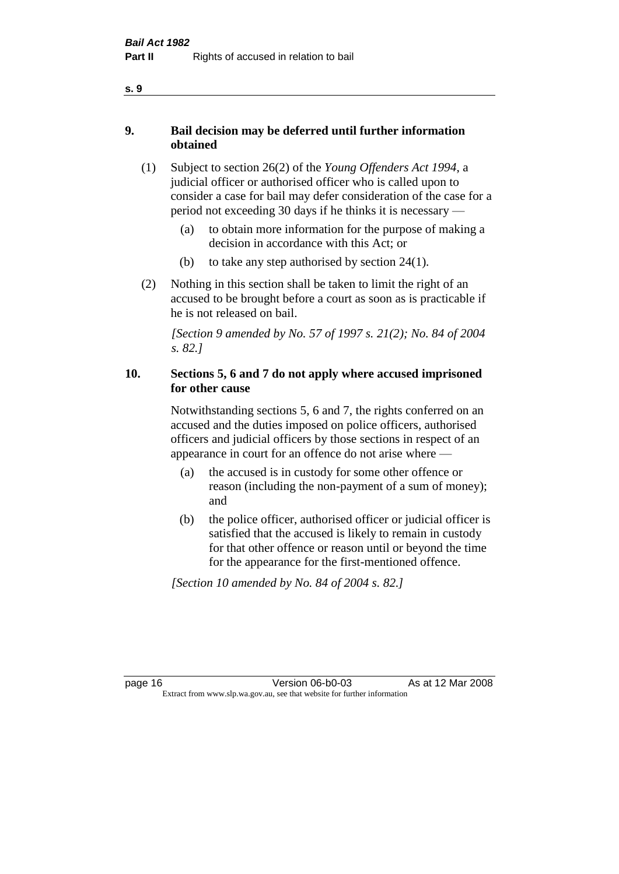### **9. Bail decision may be deferred until further information obtained**

- (1) Subject to section 26(2) of the *Young Offenders Act 1994*, a judicial officer or authorised officer who is called upon to consider a case for bail may defer consideration of the case for a period not exceeding 30 days if he thinks it is necessary —
	- (a) to obtain more information for the purpose of making a decision in accordance with this Act; or
	- (b) to take any step authorised by section 24(1).
- (2) Nothing in this section shall be taken to limit the right of an accused to be brought before a court as soon as is practicable if he is not released on bail.

*[Section 9 amended by No. 57 of 1997 s. 21(2); No. 84 of 2004 s. 82.]*

### **10. Sections 5, 6 and 7 do not apply where accused imprisoned for other cause**

Notwithstanding sections 5, 6 and 7, the rights conferred on an accused and the duties imposed on police officers, authorised officers and judicial officers by those sections in respect of an appearance in court for an offence do not arise where —

- (a) the accused is in custody for some other offence or reason (including the non-payment of a sum of money); and
- (b) the police officer, authorised officer or judicial officer is satisfied that the accused is likely to remain in custody for that other offence or reason until or beyond the time for the appearance for the first-mentioned offence.

*[Section 10 amended by No. 84 of 2004 s. 82.]*

**s. 9**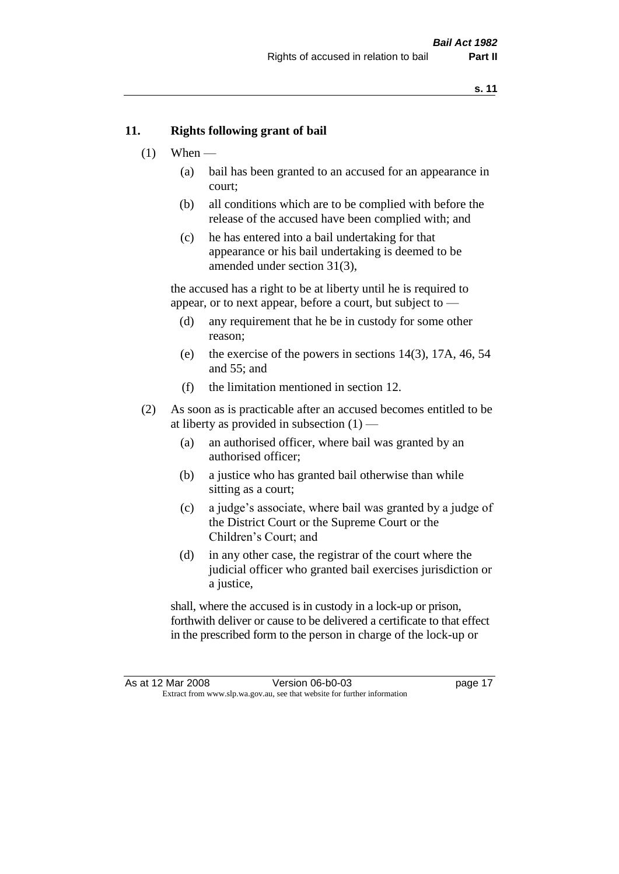#### **11. Rights following grant of bail**

- $(1)$  When
	- (a) bail has been granted to an accused for an appearance in court;
	- (b) all conditions which are to be complied with before the release of the accused have been complied with; and
	- (c) he has entered into a bail undertaking for that appearance or his bail undertaking is deemed to be amended under section 31(3),

the accused has a right to be at liberty until he is required to appear, or to next appear, before a court, but subject to —

- (d) any requirement that he be in custody for some other reason;
- (e) the exercise of the powers in sections 14(3), 17A, 46, 54 and 55; and
- (f) the limitation mentioned in section 12.
- (2) As soon as is practicable after an accused becomes entitled to be at liberty as provided in subsection  $(1)$  —
	- (a) an authorised officer, where bail was granted by an authorised officer;
	- (b) a justice who has granted bail otherwise than while sitting as a court;
	- (c) a judge's associate, where bail was granted by a judge of the District Court or the Supreme Court or the Children's Court; and
	- (d) in any other case, the registrar of the court where the judicial officer who granted bail exercises jurisdiction or a justice,

shall, where the accused is in custody in a lock-up or prison, forthwith deliver or cause to be delivered a certificate to that effect in the prescribed form to the person in charge of the lock-up or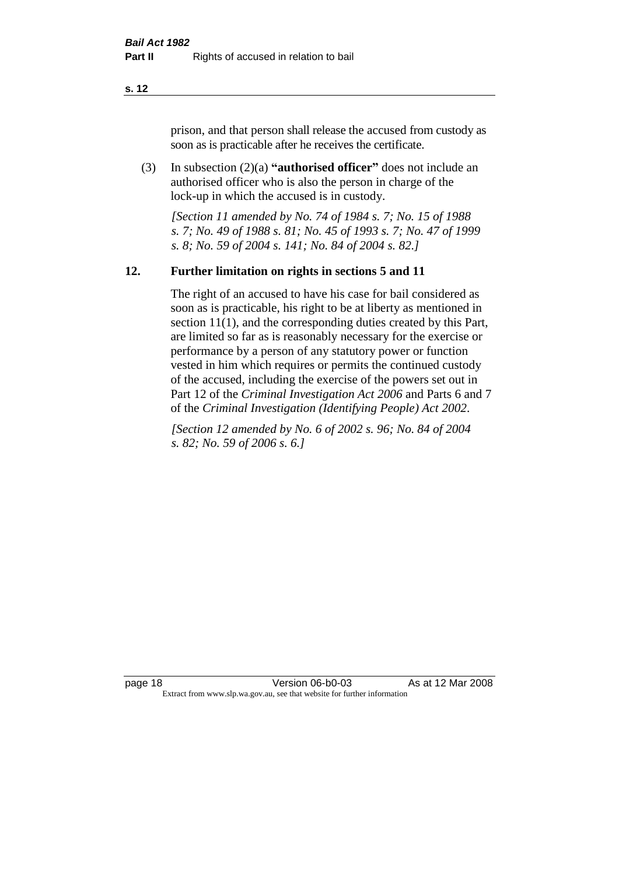prison, and that person shall release the accused from custody as soon as is practicable after he receives the certificate.

(3) In subsection (2)(a) **"authorised officer"** does not include an authorised officer who is also the person in charge of the lock-up in which the accused is in custody.

*[Section 11 amended by No. 74 of 1984 s. 7; No. 15 of 1988 s. 7; No. 49 of 1988 s. 81; No. 45 of 1993 s. 7; No. 47 of 1999 s. 8; No. 59 of 2004 s. 141; No. 84 of 2004 s. 82.]* 

#### **12. Further limitation on rights in sections 5 and 11**

The right of an accused to have his case for bail considered as soon as is practicable, his right to be at liberty as mentioned in section 11(1), and the corresponding duties created by this Part, are limited so far as is reasonably necessary for the exercise or performance by a person of any statutory power or function vested in him which requires or permits the continued custody of the accused, including the exercise of the powers set out in Part 12 of the *Criminal Investigation Act 2006* and Parts 6 and 7 of the *Criminal Investigation (Identifying People) Act 2002*.

*[Section 12 amended by No. 6 of 2002 s. 96; No. 84 of 2004 s. 82; No. 59 of 2006 s. 6.]*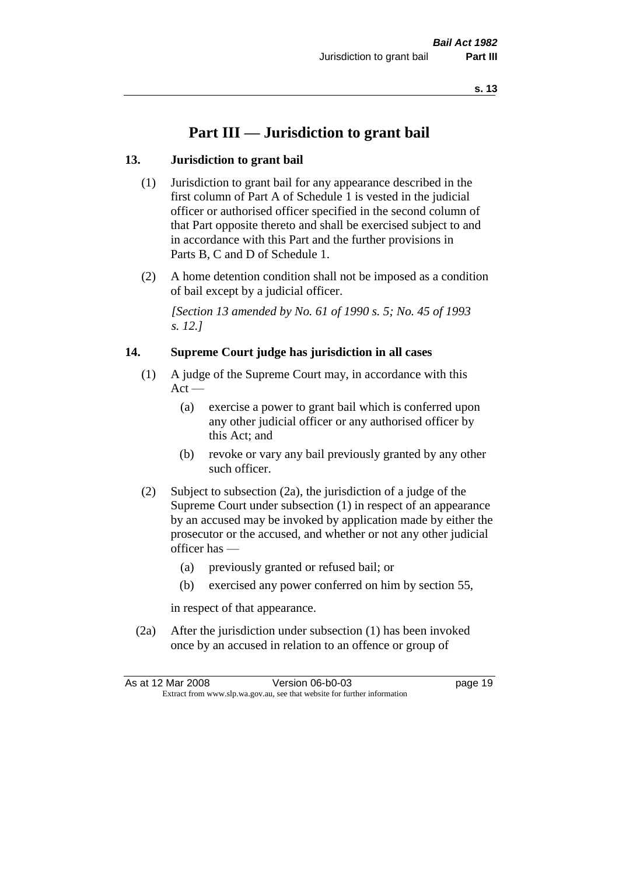# **Part III — Jurisdiction to grant bail**

### **13. Jurisdiction to grant bail**

- (1) Jurisdiction to grant bail for any appearance described in the first column of Part A of Schedule 1 is vested in the judicial officer or authorised officer specified in the second column of that Part opposite thereto and shall be exercised subject to and in accordance with this Part and the further provisions in Parts B, C and D of Schedule 1.
- (2) A home detention condition shall not be imposed as a condition of bail except by a judicial officer.

*[Section 13 amended by No. 61 of 1990 s. 5; No. 45 of 1993 s. 12.]* 

### **14. Supreme Court judge has jurisdiction in all cases**

- (1) A judge of the Supreme Court may, in accordance with this  $Act -$ 
	- (a) exercise a power to grant bail which is conferred upon any other judicial officer or any authorised officer by this Act; and
	- (b) revoke or vary any bail previously granted by any other such officer.
- (2) Subject to subsection (2a), the jurisdiction of a judge of the Supreme Court under subsection (1) in respect of an appearance by an accused may be invoked by application made by either the prosecutor or the accused, and whether or not any other judicial officer has —
	- (a) previously granted or refused bail; or
	- (b) exercised any power conferred on him by section 55,

in respect of that appearance.

(2a) After the jurisdiction under subsection (1) has been invoked once by an accused in relation to an offence or group of

| As at 12 Mar 2008                                                        | Version 06-b0-03 | page 19 |
|--------------------------------------------------------------------------|------------------|---------|
| Extract from www.slp.wa.gov.au, see that website for further information |                  |         |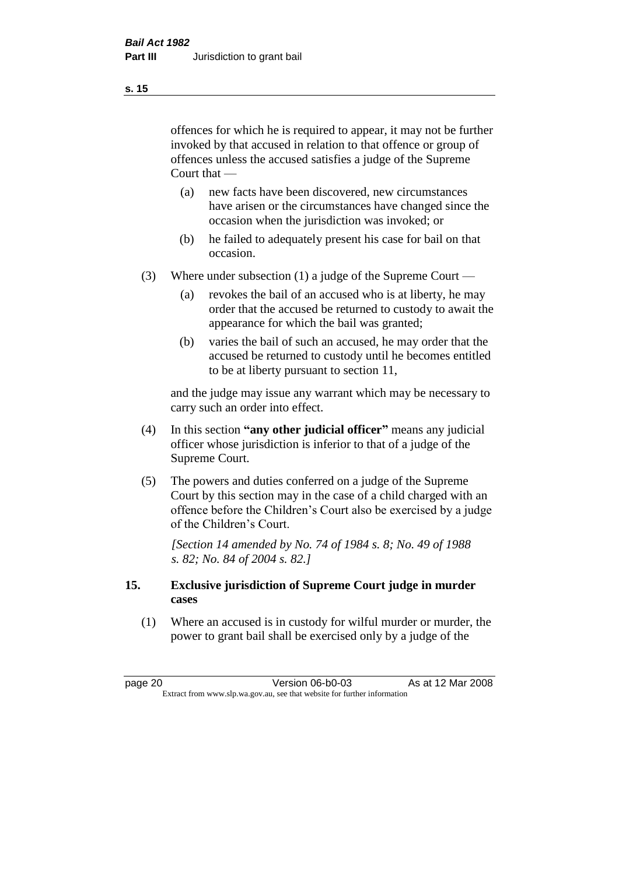offences for which he is required to appear, it may not be further invoked by that accused in relation to that offence or group of offences unless the accused satisfies a judge of the Supreme Court that —

- (a) new facts have been discovered, new circumstances have arisen or the circumstances have changed since the occasion when the jurisdiction was invoked; or
- (b) he failed to adequately present his case for bail on that occasion.
- (3) Where under subsection (1) a judge of the Supreme Court
	- (a) revokes the bail of an accused who is at liberty, he may order that the accused be returned to custody to await the appearance for which the bail was granted;
	- (b) varies the bail of such an accused, he may order that the accused be returned to custody until he becomes entitled to be at liberty pursuant to section 11,

and the judge may issue any warrant which may be necessary to carry such an order into effect.

- (4) In this section **"any other judicial officer"** means any judicial officer whose jurisdiction is inferior to that of a judge of the Supreme Court.
- (5) The powers and duties conferred on a judge of the Supreme Court by this section may in the case of a child charged with an offence before the Children's Court also be exercised by a judge of the Children's Court.

*[Section 14 amended by No. 74 of 1984 s. 8; No. 49 of 1988 s. 82; No. 84 of 2004 s. 82.]* 

### **15. Exclusive jurisdiction of Supreme Court judge in murder cases**

(1) Where an accused is in custody for wilful murder or murder, the power to grant bail shall be exercised only by a judge of the

**s. 15**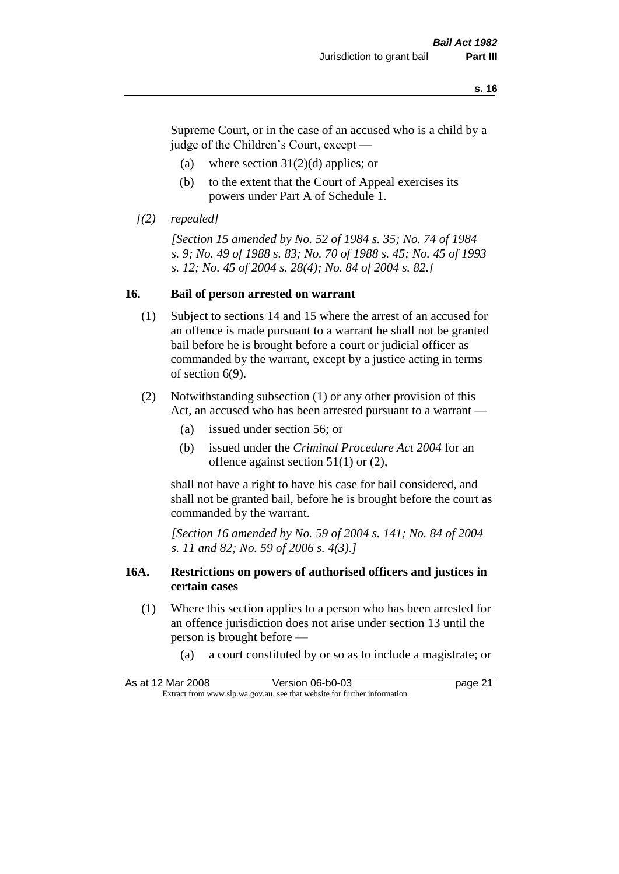Supreme Court, or in the case of an accused who is a child by a judge of the Children's Court, except —

- (a) where section  $31(2)(d)$  applies; or
- (b) to the extent that the Court of Appeal exercises its powers under Part A of Schedule 1.
- *[(2) repealed]*

*[Section 15 amended by No. 52 of 1984 s. 35; No. 74 of 1984 s. 9; No. 49 of 1988 s. 83; No. 70 of 1988 s. 45; No. 45 of 1993 s. 12; No. 45 of 2004 s. 28(4); No. 84 of 2004 s. 82.]* 

#### **16. Bail of person arrested on warrant**

- (1) Subject to sections 14 and 15 where the arrest of an accused for an offence is made pursuant to a warrant he shall not be granted bail before he is brought before a court or judicial officer as commanded by the warrant, except by a justice acting in terms of section 6(9).
- (2) Notwithstanding subsection (1) or any other provision of this Act, an accused who has been arrested pursuant to a warrant —
	- (a) issued under section 56; or
	- (b) issued under the *Criminal Procedure Act 2004* for an offence against section 51(1) or (2),

shall not have a right to have his case for bail considered, and shall not be granted bail, before he is brought before the court as commanded by the warrant.

*[Section 16 amended by No. 59 of 2004 s. 141; No. 84 of 2004 s. 11 and 82; No. 59 of 2006 s. 4(3).]*

#### **16A. Restrictions on powers of authorised officers and justices in certain cases**

- (1) Where this section applies to a person who has been arrested for an offence jurisdiction does not arise under section 13 until the person is brought before —
	- (a) a court constituted by or so as to include a magistrate; or

| As at 12 Mar 2008                                                        | Version 06-b0-03 | page 21 |
|--------------------------------------------------------------------------|------------------|---------|
| Extract from www.slp.wa.gov.au, see that website for further information |                  |         |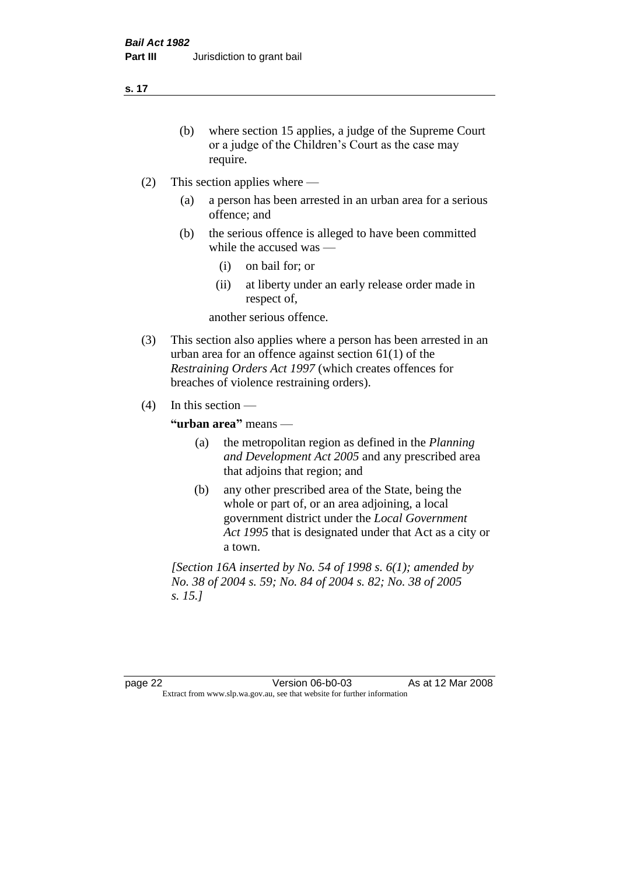- (b) where section 15 applies, a judge of the Supreme Court or a judge of the Children's Court as the case may require.
- (2) This section applies where
	- (a) a person has been arrested in an urban area for a serious offence; and
	- (b) the serious offence is alleged to have been committed while the accused was —
		- (i) on bail for; or
		- (ii) at liberty under an early release order made in respect of,

another serious offence.

- (3) This section also applies where a person has been arrested in an urban area for an offence against section 61(1) of the *Restraining Orders Act 1997* (which creates offences for breaches of violence restraining orders).
- (4) In this section —

**"urban area"** means —

- (a) the metropolitan region as defined in the *Planning and Development Act 2005* and any prescribed area that adjoins that region; and
- (b) any other prescribed area of the State, being the whole or part of, or an area adjoining, a local government district under the *Local Government Act 1995* that is designated under that Act as a city or a town.

*[Section 16A inserted by No. 54 of 1998 s. 6(1); amended by No. 38 of 2004 s. 59; No. 84 of 2004 s. 82; No. 38 of 2005 s. 15.]*

page 22 Version 06-b0-03 As at 12 Mar 2008 Extract from www.slp.wa.gov.au, see that website for further information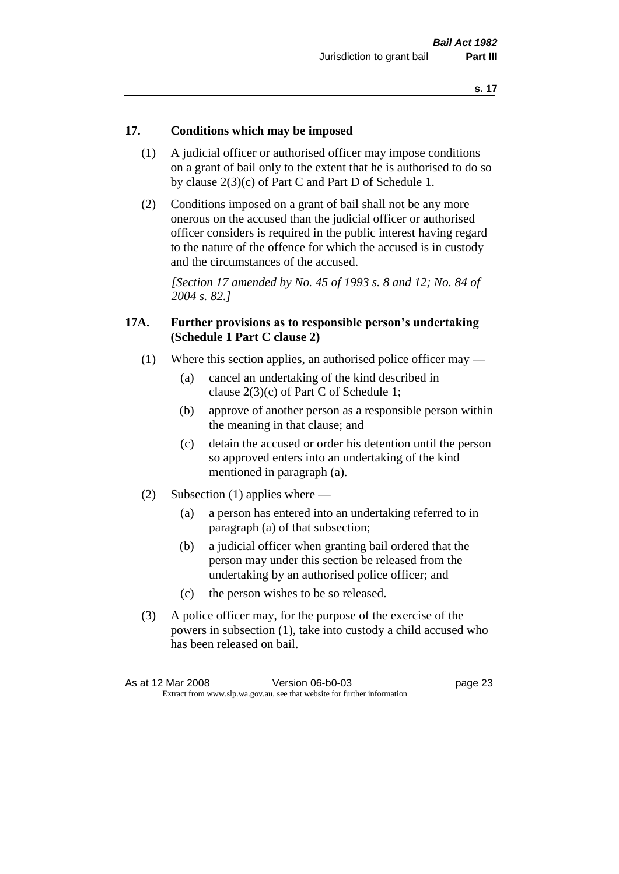#### **17. Conditions which may be imposed**

- (1) A judicial officer or authorised officer may impose conditions on a grant of bail only to the extent that he is authorised to do so by clause 2(3)(c) of Part C and Part D of Schedule 1.
- (2) Conditions imposed on a grant of bail shall not be any more onerous on the accused than the judicial officer or authorised officer considers is required in the public interest having regard to the nature of the offence for which the accused is in custody and the circumstances of the accused.

*[Section 17 amended by No. 45 of 1993 s. 8 and 12; No. 84 of 2004 s. 82.]* 

#### **17A. Further provisions as to responsible person's undertaking (Schedule 1 Part C clause 2)**

- (1) Where this section applies, an authorised police officer may
	- (a) cancel an undertaking of the kind described in clause 2(3)(c) of Part C of Schedule 1;
	- (b) approve of another person as a responsible person within the meaning in that clause; and
	- (c) detain the accused or order his detention until the person so approved enters into an undertaking of the kind mentioned in paragraph (a).
- (2) Subsection (1) applies where
	- (a) a person has entered into an undertaking referred to in paragraph (a) of that subsection;
	- (b) a judicial officer when granting bail ordered that the person may under this section be released from the undertaking by an authorised police officer; and
	- (c) the person wishes to be so released.
- (3) A police officer may, for the purpose of the exercise of the powers in subsection (1), take into custody a child accused who has been released on bail.

| As at 12 Mar 2008                                                        | Version 06-b0-03 | page 23 |
|--------------------------------------------------------------------------|------------------|---------|
| Extract from www.slp.wa.gov.au, see that website for further information |                  |         |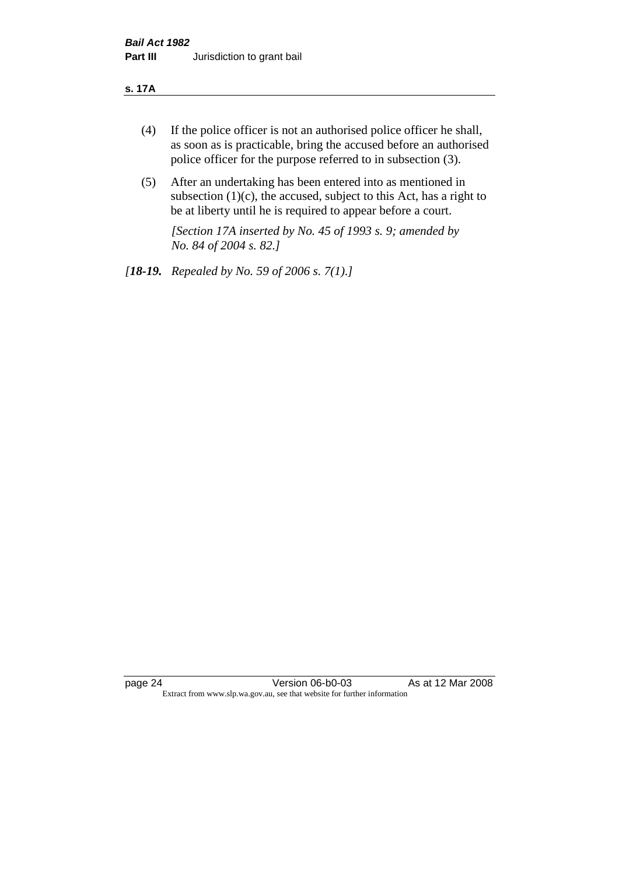#### **s. 17A**

- (4) If the police officer is not an authorised police officer he shall, as soon as is practicable, bring the accused before an authorised police officer for the purpose referred to in subsection (3).
- (5) After an undertaking has been entered into as mentioned in subsection  $(1)(c)$ , the accused, subject to this Act, has a right to be at liberty until he is required to appear before a court.

*[Section 17A inserted by No. 45 of 1993 s. 9; amended by No. 84 of 2004 s. 82.]* 

*[18-19. Repealed by No. 59 of 2006 s. 7(1).]*

page 24 Version 06-b0-03 As at 12 Mar 2008 Extract from www.slp.wa.gov.au, see that website for further information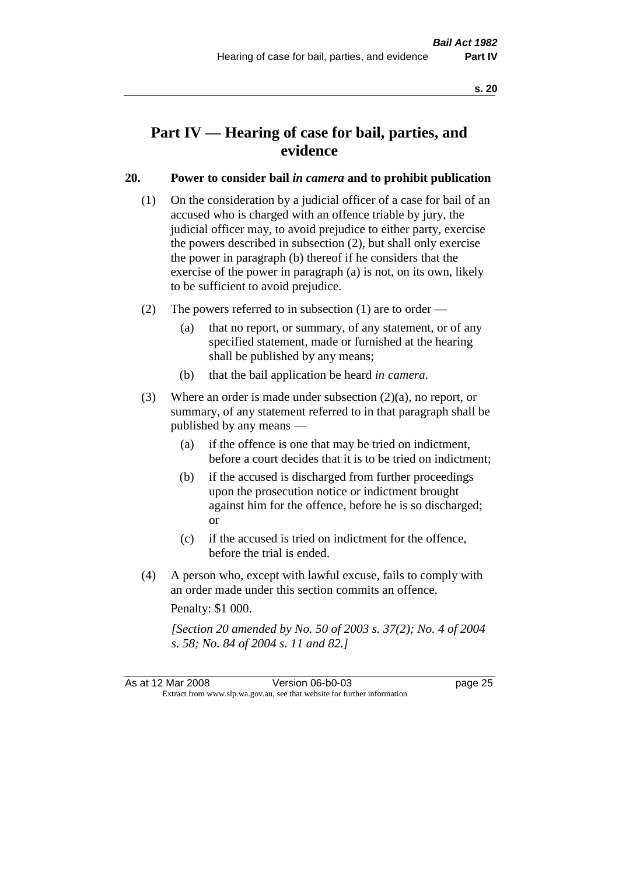# **Part IV — Hearing of case for bail, parties, and evidence**

### **20. Power to consider bail** *in camera* **and to prohibit publication**

- (1) On the consideration by a judicial officer of a case for bail of an accused who is charged with an offence triable by jury, the judicial officer may, to avoid prejudice to either party, exercise the powers described in subsection (2), but shall only exercise the power in paragraph (b) thereof if he considers that the exercise of the power in paragraph (a) is not, on its own, likely to be sufficient to avoid prejudice.
- (2) The powers referred to in subsection (1) are to order
	- (a) that no report, or summary, of any statement, or of any specified statement, made or furnished at the hearing shall be published by any means;
	- (b) that the bail application be heard *in camera*.
- (3) Where an order is made under subsection (2)(a), no report, or summary, of any statement referred to in that paragraph shall be published by any means —
	- (a) if the offence is one that may be tried on indictment, before a court decides that it is to be tried on indictment;
	- (b) if the accused is discharged from further proceedings upon the prosecution notice or indictment brought against him for the offence, before he is so discharged; or
	- (c) if the accused is tried on indictment for the offence, before the trial is ended.
- (4) A person who, except with lawful excuse, fails to comply with an order made under this section commits an offence.

Penalty: \$1 000.

*[Section 20 amended by No. 50 of 2003 s. 37(2); No. 4 of 2004 s. 58; No. 84 of 2004 s. 11 and 82.]*

As at 12 Mar 2008 Version 06-b0-03 page 25 Extract from www.slp.wa.gov.au, see that website for further information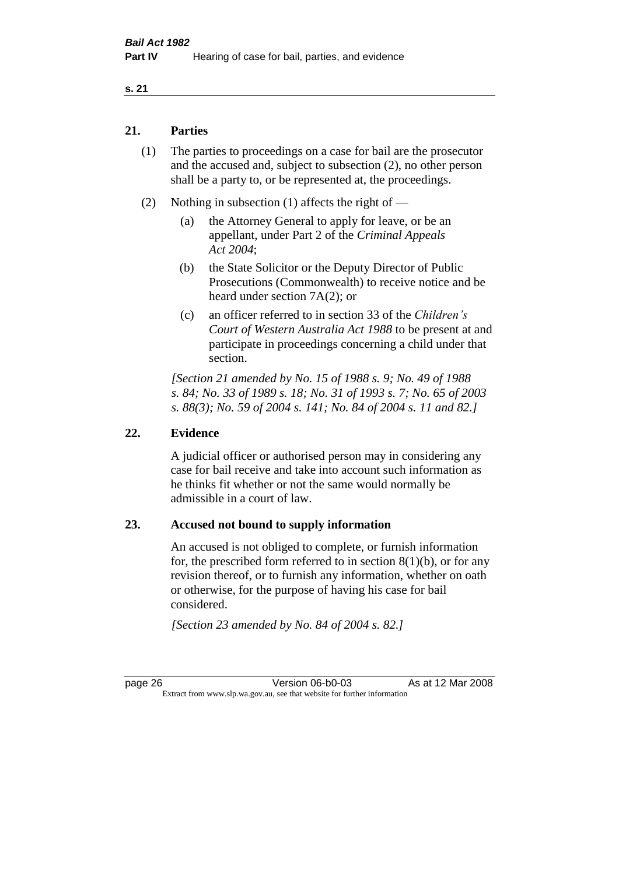### **21. Parties**

- (1) The parties to proceedings on a case for bail are the prosecutor and the accused and, subject to subsection (2), no other person shall be a party to, or be represented at, the proceedings.
- (2) Nothing in subsection (1) affects the right of
	- (a) the Attorney General to apply for leave, or be an appellant, under Part 2 of the *Criminal Appeals Act 2004*;
	- (b) the State Solicitor or the Deputy Director of Public Prosecutions (Commonwealth) to receive notice and be heard under section 7A(2); or
	- (c) an officer referred to in section 33 of the *Children's Court of Western Australia Act 1988* to be present at and participate in proceedings concerning a child under that section.

*[Section 21 amended by No. 15 of 1988 s. 9; No. 49 of 1988 s. 84; No. 33 of 1989 s. 18; No. 31 of 1993 s. 7; No. 65 of 2003 s. 88(3); No. 59 of 2004 s. 141; No. 84 of 2004 s. 11 and 82.]* 

#### **22. Evidence**

A judicial officer or authorised person may in considering any case for bail receive and take into account such information as he thinks fit whether or not the same would normally be admissible in a court of law.

#### **23. Accused not bound to supply information**

An accused is not obliged to complete, or furnish information for, the prescribed form referred to in section  $8(1)(b)$ , or for any revision thereof, or to furnish any information, whether on oath or otherwise, for the purpose of having his case for bail considered.

*[Section 23 amended by No. 84 of 2004 s. 82.]* 

page 26 Version 06-b0-03 As at 12 Mar 2008 Extract from www.slp.wa.gov.au, see that website for further information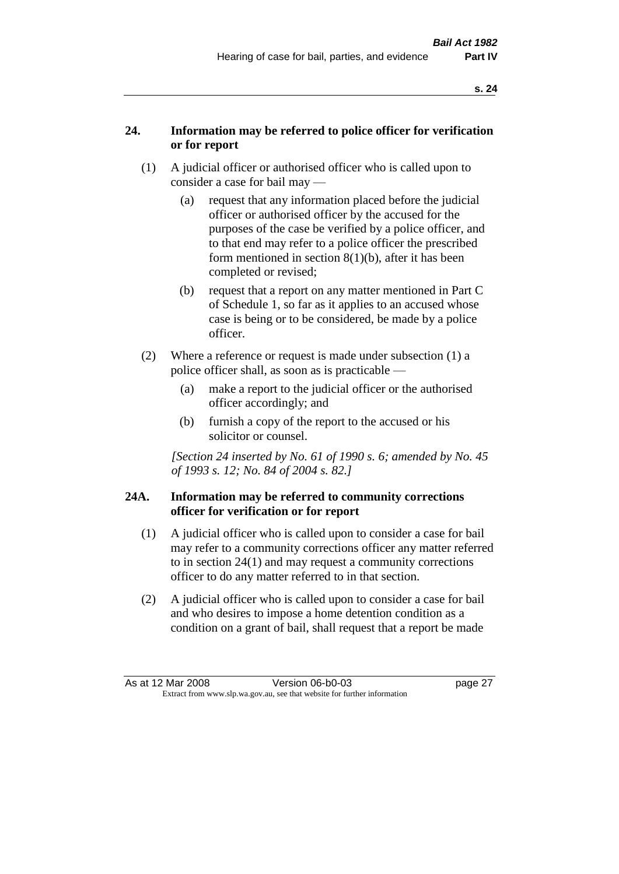### **24. Information may be referred to police officer for verification or for report**

- (1) A judicial officer or authorised officer who is called upon to consider a case for bail may —
	- (a) request that any information placed before the judicial officer or authorised officer by the accused for the purposes of the case be verified by a police officer, and to that end may refer to a police officer the prescribed form mentioned in section 8(1)(b), after it has been completed or revised;
	- (b) request that a report on any matter mentioned in Part C of Schedule 1, so far as it applies to an accused whose case is being or to be considered, be made by a police officer.
- (2) Where a reference or request is made under subsection (1) a police officer shall, as soon as is practicable —
	- (a) make a report to the judicial officer or the authorised officer accordingly; and
	- (b) furnish a copy of the report to the accused or his solicitor or counsel.

*[Section 24 inserted by No. 61 of 1990 s. 6; amended by No. 45 of 1993 s. 12; No. 84 of 2004 s. 82.]* 

### **24A. Information may be referred to community corrections officer for verification or for report**

- (1) A judicial officer who is called upon to consider a case for bail may refer to a community corrections officer any matter referred to in section 24(1) and may request a community corrections officer to do any matter referred to in that section.
- (2) A judicial officer who is called upon to consider a case for bail and who desires to impose a home detention condition as a condition on a grant of bail, shall request that a report be made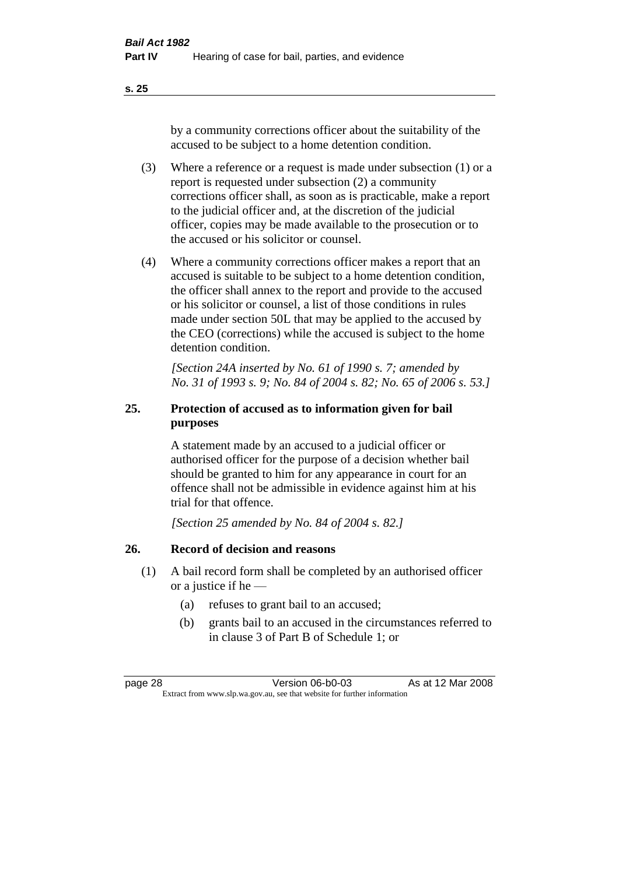by a community corrections officer about the suitability of the accused to be subject to a home detention condition.

- (3) Where a reference or a request is made under subsection (1) or a report is requested under subsection (2) a community corrections officer shall, as soon as is practicable, make a report to the judicial officer and, at the discretion of the judicial officer, copies may be made available to the prosecution or to the accused or his solicitor or counsel.
- (4) Where a community corrections officer makes a report that an accused is suitable to be subject to a home detention condition, the officer shall annex to the report and provide to the accused or his solicitor or counsel, a list of those conditions in rules made under section 50L that may be applied to the accused by the CEO (corrections) while the accused is subject to the home detention condition.

*[Section 24A inserted by No. 61 of 1990 s. 7; amended by No. 31 of 1993 s. 9; No. 84 of 2004 s. 82; No. 65 of 2006 s. 53.]* 

## **25. Protection of accused as to information given for bail purposes**

A statement made by an accused to a judicial officer or authorised officer for the purpose of a decision whether bail should be granted to him for any appearance in court for an offence shall not be admissible in evidence against him at his trial for that offence.

*[Section 25 amended by No. 84 of 2004 s. 82.]* 

### **26. Record of decision and reasons**

- (1) A bail record form shall be completed by an authorised officer or a justice if he —
	- (a) refuses to grant bail to an accused;
	- (b) grants bail to an accused in the circumstances referred to in clause 3 of Part B of Schedule 1; or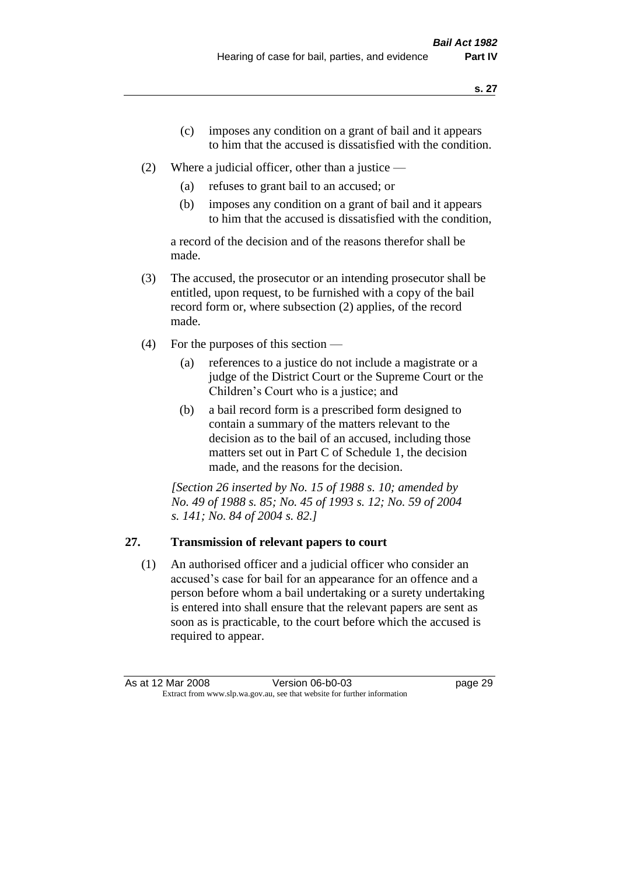- (c) imposes any condition on a grant of bail and it appears to him that the accused is dissatisfied with the condition.
- (2) Where a judicial officer, other than a justice
	- (a) refuses to grant bail to an accused; or
	- (b) imposes any condition on a grant of bail and it appears to him that the accused is dissatisfied with the condition,

a record of the decision and of the reasons therefor shall be made.

- (3) The accused, the prosecutor or an intending prosecutor shall be entitled, upon request, to be furnished with a copy of the bail record form or, where subsection (2) applies, of the record made.
- (4) For the purposes of this section
	- (a) references to a justice do not include a magistrate or a judge of the District Court or the Supreme Court or the Children's Court who is a justice; and
	- (b) a bail record form is a prescribed form designed to contain a summary of the matters relevant to the decision as to the bail of an accused, including those matters set out in Part C of Schedule 1, the decision made, and the reasons for the decision.

*[Section 26 inserted by No. 15 of 1988 s. 10; amended by No. 49 of 1988 s. 85; No. 45 of 1993 s. 12; No. 59 of 2004 s. 141; No. 84 of 2004 s. 82.]* 

# **27. Transmission of relevant papers to court**

(1) An authorised officer and a judicial officer who consider an accused's case for bail for an appearance for an offence and a person before whom a bail undertaking or a surety undertaking is entered into shall ensure that the relevant papers are sent as soon as is practicable, to the court before which the accused is required to appear.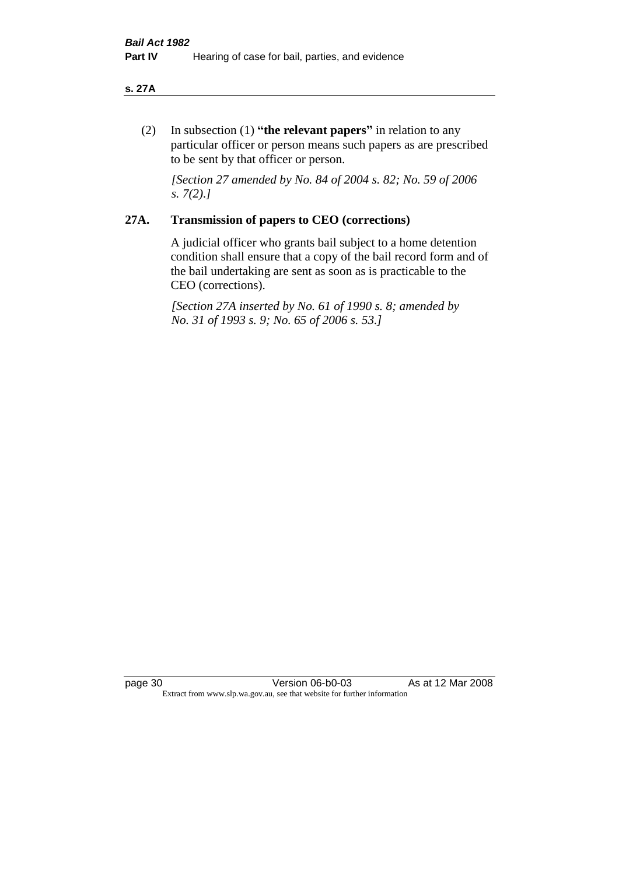#### **s. 27A**

(2) In subsection (1) **"the relevant papers"** in relation to any particular officer or person means such papers as are prescribed to be sent by that officer or person.

*[Section 27 amended by No. 84 of 2004 s. 82; No. 59 of 2006 s. 7(2).]* 

#### **27A. Transmission of papers to CEO (corrections)**

A judicial officer who grants bail subject to a home detention condition shall ensure that a copy of the bail record form and of the bail undertaking are sent as soon as is practicable to the CEO (corrections).

*[Section 27A inserted by No. 61 of 1990 s. 8; amended by No. 31 of 1993 s. 9; No. 65 of 2006 s. 53.]* 

page 30 Version 06-b0-03 As at 12 Mar 2008 Extract from www.slp.wa.gov.au, see that website for further information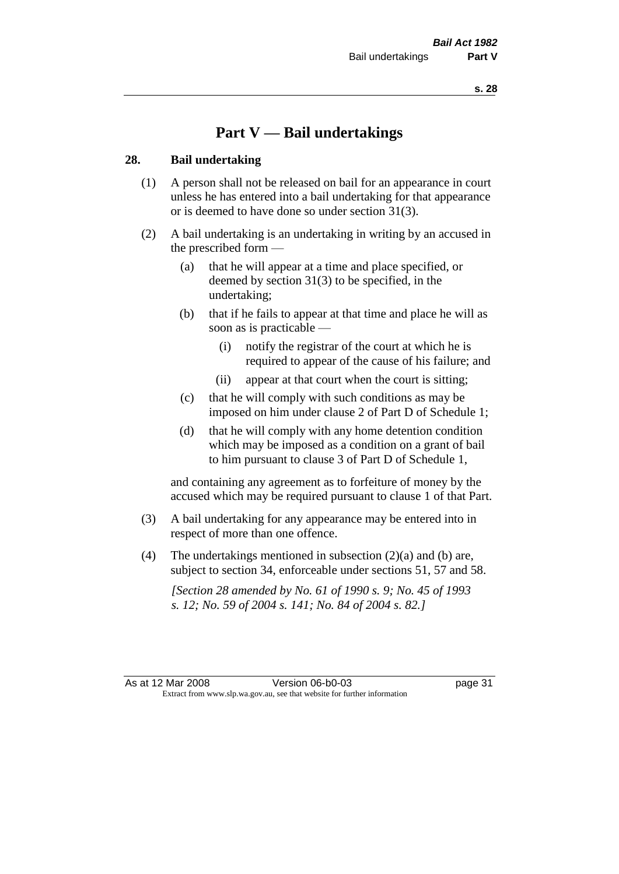# **Part V — Bail undertakings**

#### **28. Bail undertaking**

- (1) A person shall not be released on bail for an appearance in court unless he has entered into a bail undertaking for that appearance or is deemed to have done so under section 31(3).
- (2) A bail undertaking is an undertaking in writing by an accused in the prescribed form —
	- (a) that he will appear at a time and place specified, or deemed by section 31(3) to be specified, in the undertaking;
	- (b) that if he fails to appear at that time and place he will as soon as is practicable —
		- (i) notify the registrar of the court at which he is required to appear of the cause of his failure; and
		- (ii) appear at that court when the court is sitting;
	- (c) that he will comply with such conditions as may be imposed on him under clause 2 of Part D of Schedule 1;
	- (d) that he will comply with any home detention condition which may be imposed as a condition on a grant of bail to him pursuant to clause 3 of Part D of Schedule 1,

and containing any agreement as to forfeiture of money by the accused which may be required pursuant to clause 1 of that Part.

- (3) A bail undertaking for any appearance may be entered into in respect of more than one offence.
- (4) The undertakings mentioned in subsection  $(2)(a)$  and (b) are, subject to section 34, enforceable under sections 51, 57 and 58.

*[Section 28 amended by No. 61 of 1990 s. 9; No. 45 of 1993 s. 12; No. 59 of 2004 s. 141; No. 84 of 2004 s. 82.]*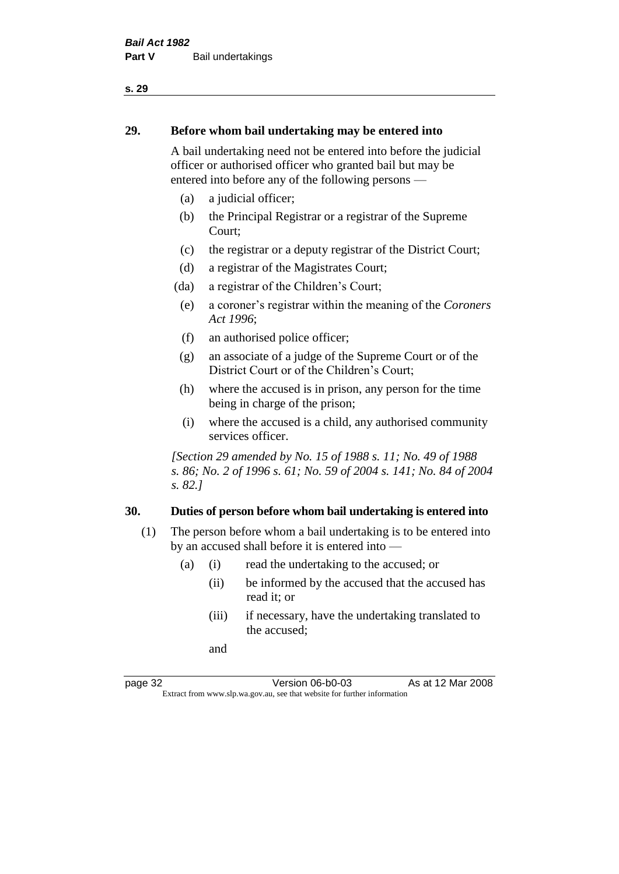#### **29. Before whom bail undertaking may be entered into**

A bail undertaking need not be entered into before the judicial officer or authorised officer who granted bail but may be entered into before any of the following persons —

- (a) a judicial officer;
- (b) the Principal Registrar or a registrar of the Supreme Court;
- (c) the registrar or a deputy registrar of the District Court;
- (d) a registrar of the Magistrates Court;
- (da) a registrar of the Children's Court;
- (e) a coroner's registrar within the meaning of the *Coroners Act 1996*;
- (f) an authorised police officer;
- (g) an associate of a judge of the Supreme Court or of the District Court or of the Children's Court;
- (h) where the accused is in prison, any person for the time being in charge of the prison;
- (i) where the accused is a child, any authorised community services officer.

*[Section 29 amended by No. 15 of 1988 s. 11; No. 49 of 1988 s. 86; No. 2 of 1996 s. 61; No. 59 of 2004 s. 141; No. 84 of 2004 s. 82.]* 

#### **30. Duties of person before whom bail undertaking is entered into**

- (1) The person before whom a bail undertaking is to be entered into by an accused shall before it is entered into —
	- (a) (i) read the undertaking to the accused; or
		- (ii) be informed by the accused that the accused has read it; or
		- (iii) if necessary, have the undertaking translated to the accused;

and

page 32 Version 06-b0-03 As at 12 Mar 2008 Extract from www.slp.wa.gov.au, see that website for further information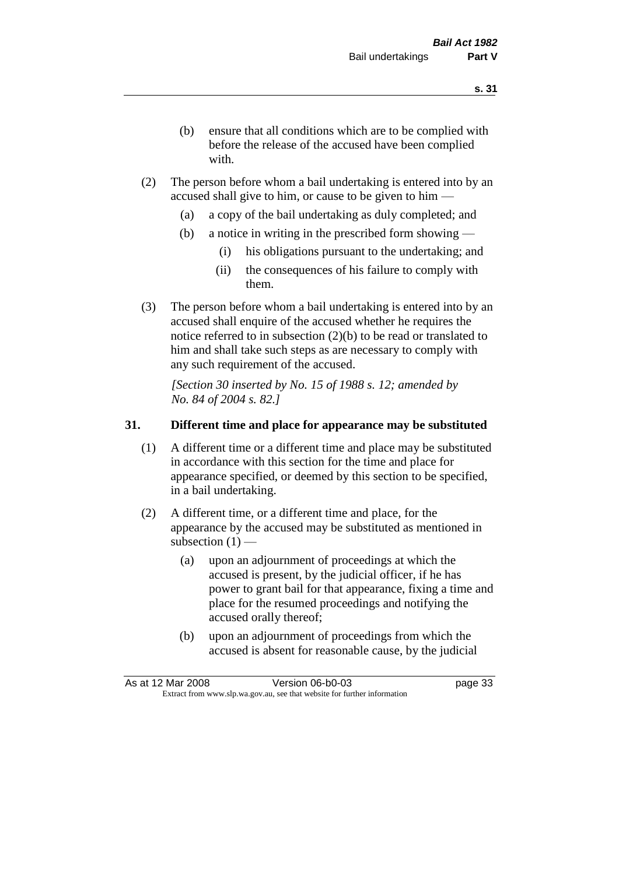- (b) ensure that all conditions which are to be complied with before the release of the accused have been complied with.
- (2) The person before whom a bail undertaking is entered into by an accused shall give to him, or cause to be given to him —
	- (a) a copy of the bail undertaking as duly completed; and
	- (b) a notice in writing in the prescribed form showing
		- (i) his obligations pursuant to the undertaking; and
		- (ii) the consequences of his failure to comply with them.
- (3) The person before whom a bail undertaking is entered into by an accused shall enquire of the accused whether he requires the notice referred to in subsection (2)(b) to be read or translated to him and shall take such steps as are necessary to comply with any such requirement of the accused.

*[Section 30 inserted by No. 15 of 1988 s. 12; amended by No. 84 of 2004 s. 82.]* 

# **31. Different time and place for appearance may be substituted**

- (1) A different time or a different time and place may be substituted in accordance with this section for the time and place for appearance specified, or deemed by this section to be specified, in a bail undertaking.
- (2) A different time, or a different time and place, for the appearance by the accused may be substituted as mentioned in subsection  $(1)$  —
	- (a) upon an adjournment of proceedings at which the accused is present, by the judicial officer, if he has power to grant bail for that appearance, fixing a time and place for the resumed proceedings and notifying the accused orally thereof;
	- (b) upon an adjournment of proceedings from which the accused is absent for reasonable cause, by the judicial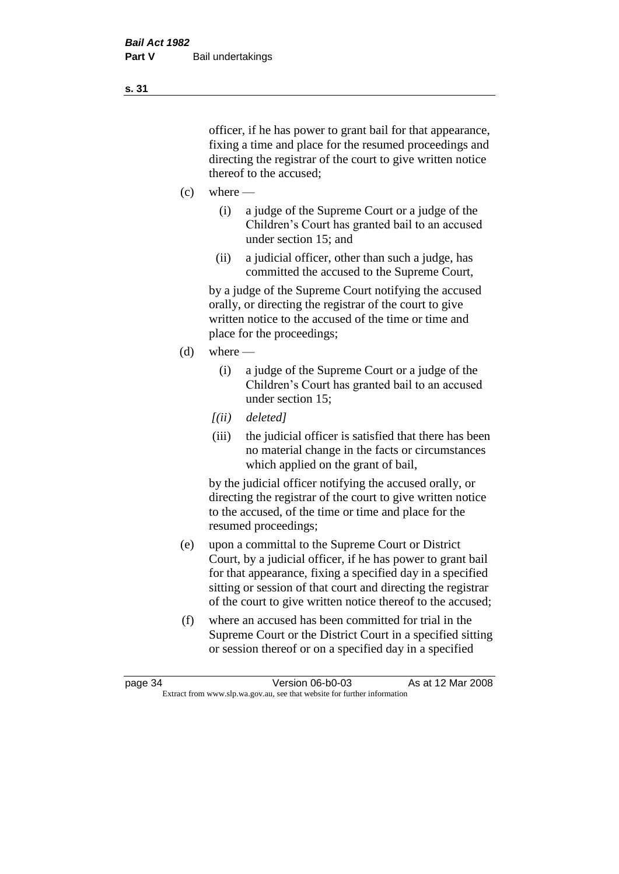officer, if he has power to grant bail for that appearance, fixing a time and place for the resumed proceedings and directing the registrar of the court to give written notice thereof to the accused;

- $(c)$  where
	- (i) a judge of the Supreme Court or a judge of the Children's Court has granted bail to an accused under section 15; and
	- (ii) a judicial officer, other than such a judge, has committed the accused to the Supreme Court,

by a judge of the Supreme Court notifying the accused orally, or directing the registrar of the court to give written notice to the accused of the time or time and place for the proceedings;

- (d) where
	- (i) a judge of the Supreme Court or a judge of the Children's Court has granted bail to an accused under section 15;
	- *[(ii) deleted]*
	- (iii) the judicial officer is satisfied that there has been no material change in the facts or circumstances which applied on the grant of bail,

by the judicial officer notifying the accused orally, or directing the registrar of the court to give written notice to the accused, of the time or time and place for the resumed proceedings;

- (e) upon a committal to the Supreme Court or District Court, by a judicial officer, if he has power to grant bail for that appearance, fixing a specified day in a specified sitting or session of that court and directing the registrar of the court to give written notice thereof to the accused;
- (f) where an accused has been committed for trial in the Supreme Court or the District Court in a specified sitting or session thereof or on a specified day in a specified

**s. 31**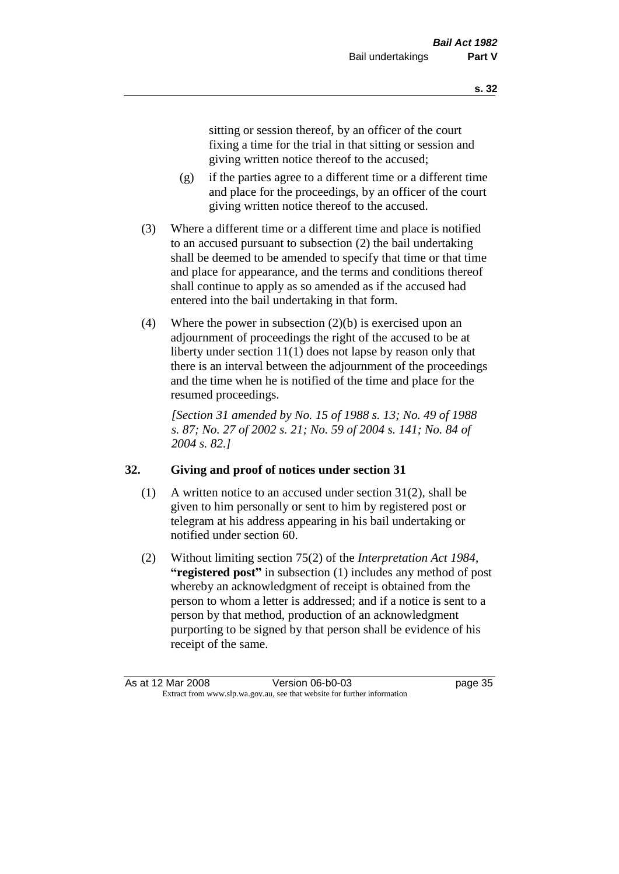sitting or session thereof, by an officer of the court fixing a time for the trial in that sitting or session and giving written notice thereof to the accused;

- (g) if the parties agree to a different time or a different time and place for the proceedings, by an officer of the court giving written notice thereof to the accused.
- (3) Where a different time or a different time and place is notified to an accused pursuant to subsection (2) the bail undertaking shall be deemed to be amended to specify that time or that time and place for appearance, and the terms and conditions thereof shall continue to apply as so amended as if the accused had entered into the bail undertaking in that form.
- (4) Where the power in subsection (2)(b) is exercised upon an adjournment of proceedings the right of the accused to be at liberty under section 11(1) does not lapse by reason only that there is an interval between the adjournment of the proceedings and the time when he is notified of the time and place for the resumed proceedings.

*[Section 31 amended by No. 15 of 1988 s. 13; No. 49 of 1988 s. 87; No. 27 of 2002 s. 21; No. 59 of 2004 s. 141; No. 84 of 2004 s. 82.]* 

# **32. Giving and proof of notices under section 31**

- (1) A written notice to an accused under section 31(2), shall be given to him personally or sent to him by registered post or telegram at his address appearing in his bail undertaking or notified under section 60.
- (2) Without limiting section 75(2) of the *Interpretation Act 1984*, **"registered post"** in subsection (1) includes any method of post whereby an acknowledgment of receipt is obtained from the person to whom a letter is addressed; and if a notice is sent to a person by that method, production of an acknowledgment purporting to be signed by that person shall be evidence of his receipt of the same.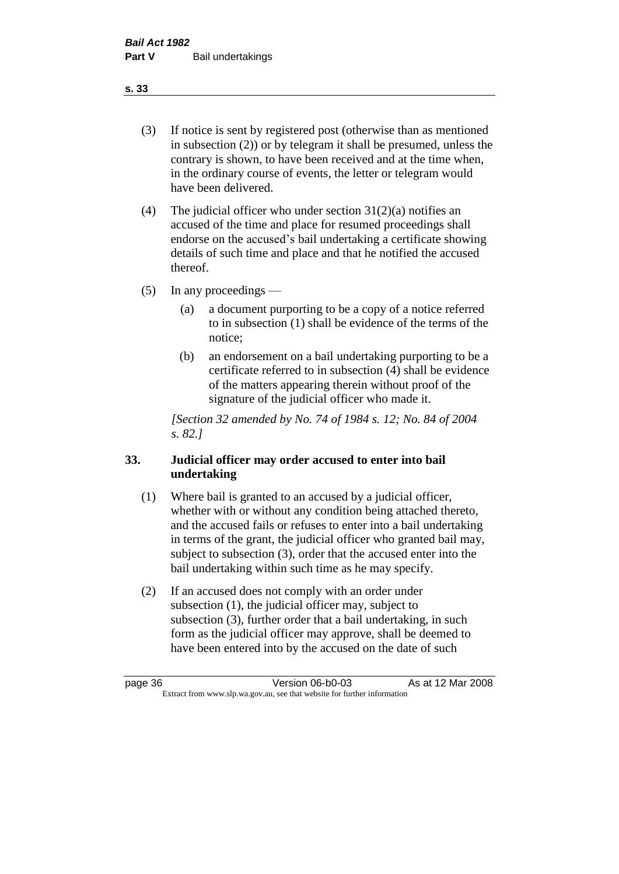(3) If notice is sent by registered post (otherwise than as mentioned in subsection (2)) or by telegram it shall be presumed, unless the contrary is shown, to have been received and at the time when, in the ordinary course of events, the letter or telegram would have been delivered.

(4) The judicial officer who under section  $31(2)(a)$  notifies an accused of the time and place for resumed proceedings shall endorse on the accused's bail undertaking a certificate showing details of such time and place and that he notified the accused thereof.

(5) In any proceedings —

- (a) a document purporting to be a copy of a notice referred to in subsection (1) shall be evidence of the terms of the notice;
- (b) an endorsement on a bail undertaking purporting to be a certificate referred to in subsection (4) shall be evidence of the matters appearing therein without proof of the signature of the judicial officer who made it.

*[Section 32 amended by No. 74 of 1984 s. 12; No. 84 of 2004 s. 82.]* 

# **33. Judicial officer may order accused to enter into bail undertaking**

- (1) Where bail is granted to an accused by a judicial officer, whether with or without any condition being attached thereto, and the accused fails or refuses to enter into a bail undertaking in terms of the grant, the judicial officer who granted bail may, subject to subsection (3), order that the accused enter into the bail undertaking within such time as he may specify.
- (2) If an accused does not comply with an order under subsection (1), the judicial officer may, subject to subsection (3), further order that a bail undertaking, in such form as the judicial officer may approve, shall be deemed to have been entered into by the accused on the date of such

**s. 33**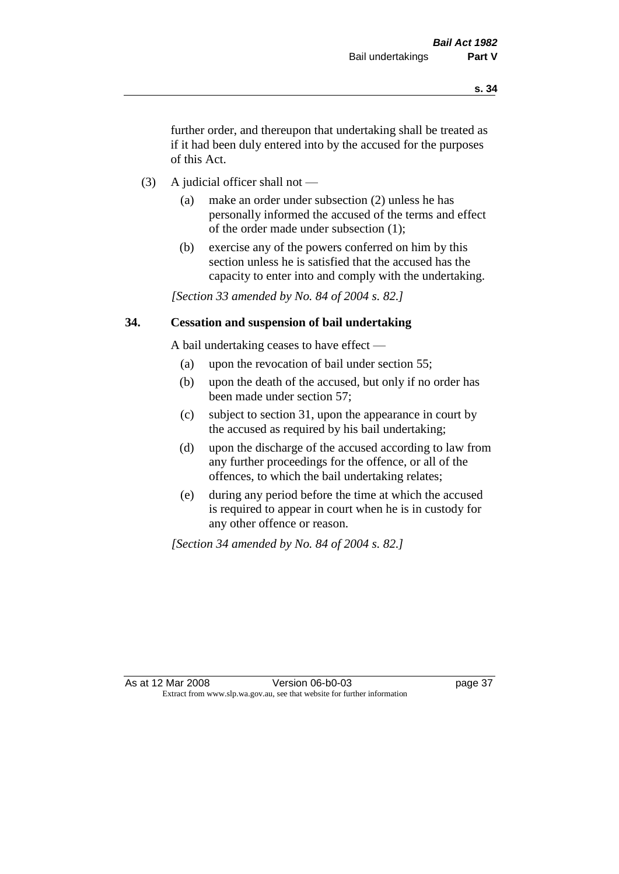further order, and thereupon that undertaking shall be treated as if it had been duly entered into by the accused for the purposes of this Act.

- (3) A judicial officer shall not
	- (a) make an order under subsection (2) unless he has personally informed the accused of the terms and effect of the order made under subsection (1);
	- (b) exercise any of the powers conferred on him by this section unless he is satisfied that the accused has the capacity to enter into and comply with the undertaking.

*[Section 33 amended by No. 84 of 2004 s. 82.]* 

## **34. Cessation and suspension of bail undertaking**

A bail undertaking ceases to have effect —

- (a) upon the revocation of bail under section 55;
- (b) upon the death of the accused, but only if no order has been made under section 57;
- (c) subject to section 31, upon the appearance in court by the accused as required by his bail undertaking;
- (d) upon the discharge of the accused according to law from any further proceedings for the offence, or all of the offences, to which the bail undertaking relates;
- (e) during any period before the time at which the accused is required to appear in court when he is in custody for any other offence or reason.

*[Section 34 amended by No. 84 of 2004 s. 82.]*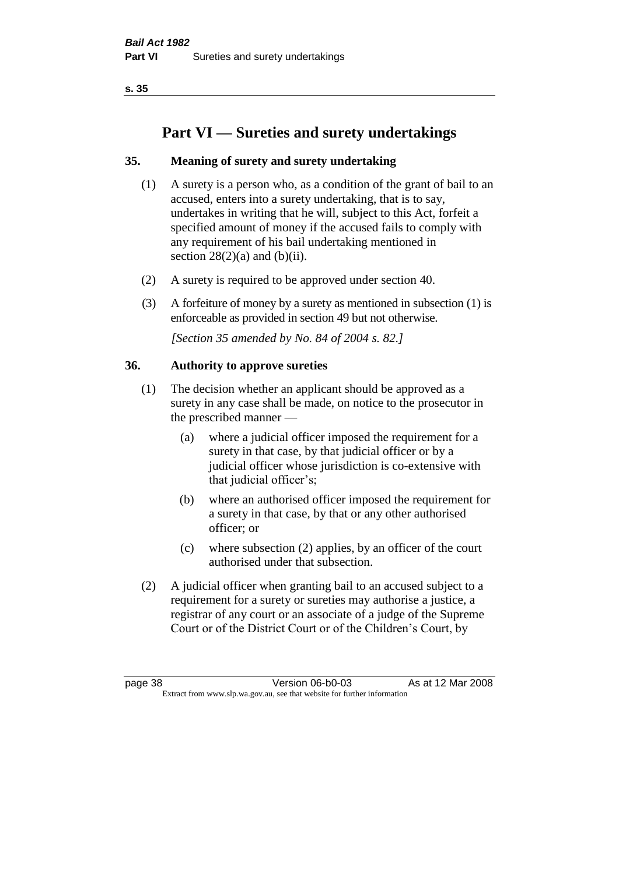# **Part VI — Sureties and surety undertakings**

# **35. Meaning of surety and surety undertaking**

- (1) A surety is a person who, as a condition of the grant of bail to an accused, enters into a surety undertaking, that is to say, undertakes in writing that he will, subject to this Act, forfeit a specified amount of money if the accused fails to comply with any requirement of his bail undertaking mentioned in section  $28(2)(a)$  and  $(b)(ii)$ .
- (2) A surety is required to be approved under section 40.
- (3) A forfeiture of money by a surety as mentioned in subsection (1) is enforceable as provided in section 49 but not otherwise.

*[Section 35 amended by No. 84 of 2004 s. 82.]* 

# **36. Authority to approve sureties**

- (1) The decision whether an applicant should be approved as a surety in any case shall be made, on notice to the prosecutor in the prescribed manner —
	- (a) where a judicial officer imposed the requirement for a surety in that case, by that judicial officer or by a judicial officer whose jurisdiction is co-extensive with that judicial officer's;
	- (b) where an authorised officer imposed the requirement for a surety in that case, by that or any other authorised officer; or
	- (c) where subsection (2) applies, by an officer of the court authorised under that subsection.
- (2) A judicial officer when granting bail to an accused subject to a requirement for a surety or sureties may authorise a justice, a registrar of any court or an associate of a judge of the Supreme Court or of the District Court or of the Children's Court, by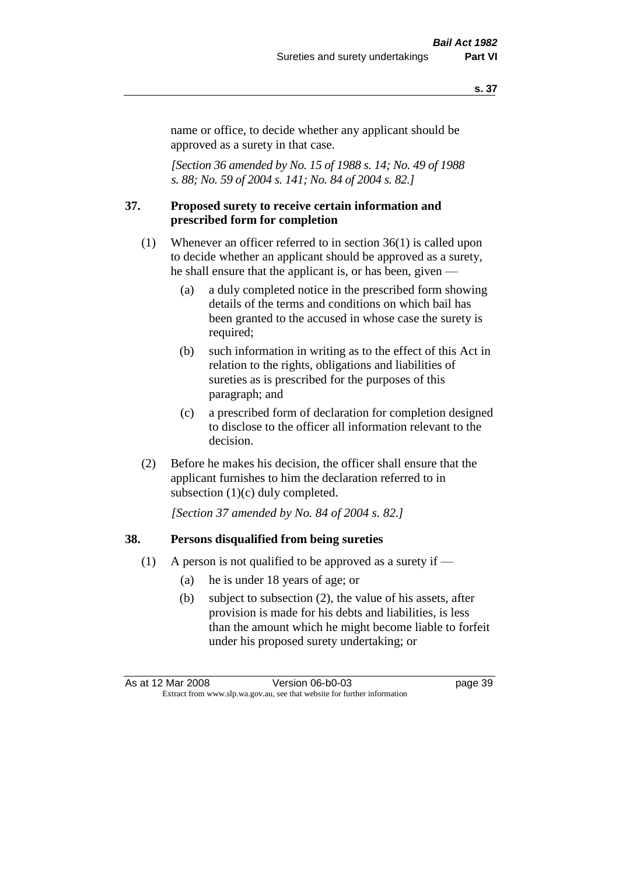name or office, to decide whether any applicant should be approved as a surety in that case.

*[Section 36 amended by No. 15 of 1988 s. 14; No. 49 of 1988 s. 88; No. 59 of 2004 s. 141; No. 84 of 2004 s. 82.]* 

#### **37. Proposed surety to receive certain information and prescribed form for completion**

- (1) Whenever an officer referred to in section 36(1) is called upon to decide whether an applicant should be approved as a surety, he shall ensure that the applicant is, or has been, given —
	- (a) a duly completed notice in the prescribed form showing details of the terms and conditions on which bail has been granted to the accused in whose case the surety is required;
	- (b) such information in writing as to the effect of this Act in relation to the rights, obligations and liabilities of sureties as is prescribed for the purposes of this paragraph; and
	- (c) a prescribed form of declaration for completion designed to disclose to the officer all information relevant to the decision.
- (2) Before he makes his decision, the officer shall ensure that the applicant furnishes to him the declaration referred to in subsection (1)(c) duly completed.

*[Section 37 amended by No. 84 of 2004 s. 82.]* 

#### **38. Persons disqualified from being sureties**

- (1) A person is not qualified to be approved as a surety if  $-$ 
	- (a) he is under 18 years of age; or
	- (b) subject to subsection (2), the value of his assets, after provision is made for his debts and liabilities, is less than the amount which he might become liable to forfeit under his proposed surety undertaking; or

As at 12 Mar 2008 Version 06-b0-03 page 39 Extract from www.slp.wa.gov.au, see that website for further information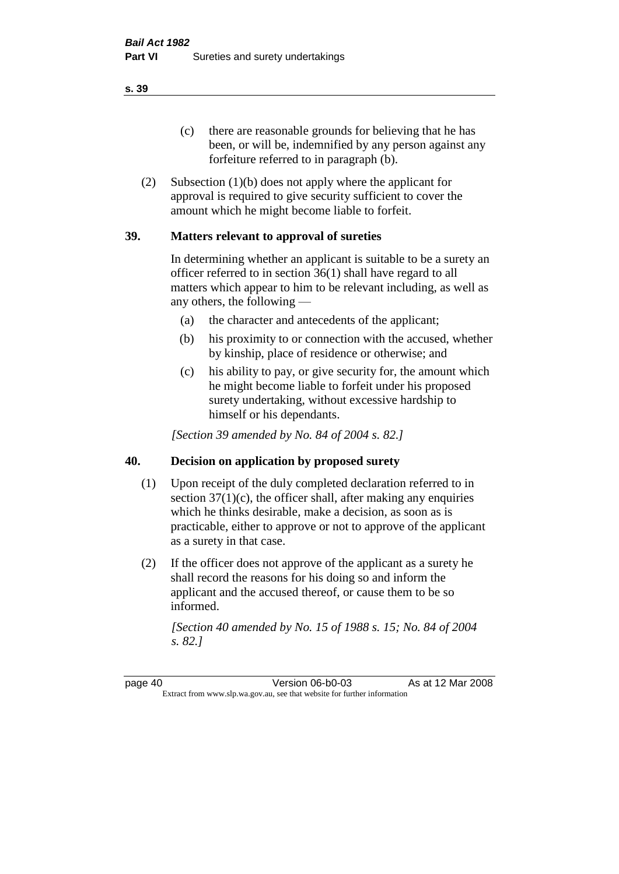(c) there are reasonable grounds for believing that he has been, or will be, indemnified by any person against any forfeiture referred to in paragraph (b).

(2) Subsection (1)(b) does not apply where the applicant for approval is required to give security sufficient to cover the amount which he might become liable to forfeit.

## **39. Matters relevant to approval of sureties**

In determining whether an applicant is suitable to be a surety an officer referred to in section 36(1) shall have regard to all matters which appear to him to be relevant including, as well as any others, the following —

- (a) the character and antecedents of the applicant;
- (b) his proximity to or connection with the accused, whether by kinship, place of residence or otherwise; and
- (c) his ability to pay, or give security for, the amount which he might become liable to forfeit under his proposed surety undertaking, without excessive hardship to himself or his dependants.

*[Section 39 amended by No. 84 of 2004 s. 82.]* 

## **40. Decision on application by proposed surety**

- (1) Upon receipt of the duly completed declaration referred to in section  $37(1)(c)$ , the officer shall, after making any enquiries which he thinks desirable, make a decision, as soon as is practicable, either to approve or not to approve of the applicant as a surety in that case.
- (2) If the officer does not approve of the applicant as a surety he shall record the reasons for his doing so and inform the applicant and the accused thereof, or cause them to be so informed.

*[Section 40 amended by No. 15 of 1988 s. 15; No. 84 of 2004 s. 82.]* 

page 40 Version 06-b0-03 As at 12 Mar 2008 Extract from www.slp.wa.gov.au, see that website for further information

**s. 39**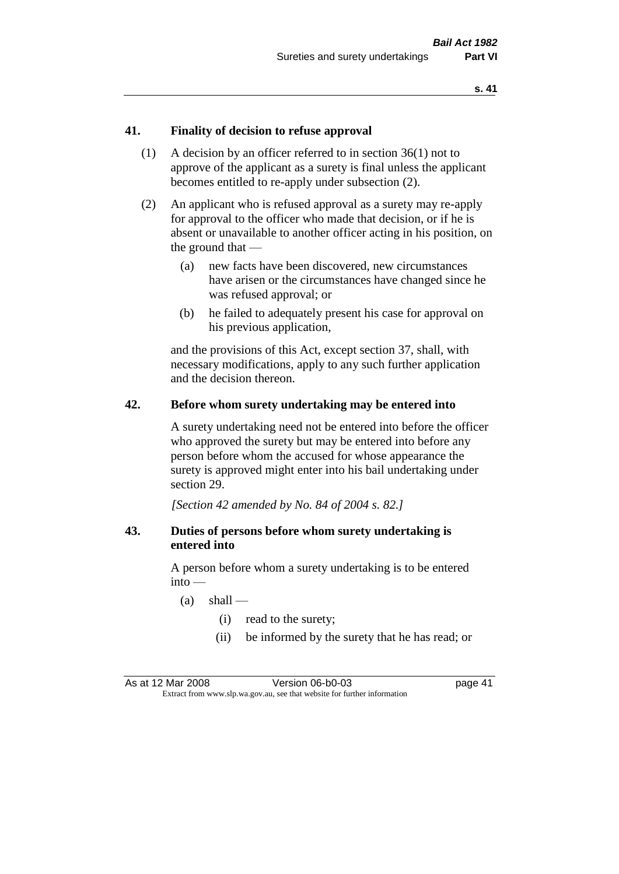## **41. Finality of decision to refuse approval**

- (1) A decision by an officer referred to in section 36(1) not to approve of the applicant as a surety is final unless the applicant becomes entitled to re-apply under subsection (2).
- (2) An applicant who is refused approval as a surety may re-apply for approval to the officer who made that decision, or if he is absent or unavailable to another officer acting in his position, on the ground that —
	- (a) new facts have been discovered, new circumstances have arisen or the circumstances have changed since he was refused approval; or
	- (b) he failed to adequately present his case for approval on his previous application,

and the provisions of this Act, except section 37, shall, with necessary modifications, apply to any such further application and the decision thereon.

#### **42. Before whom surety undertaking may be entered into**

A surety undertaking need not be entered into before the officer who approved the surety but may be entered into before any person before whom the accused for whose appearance the surety is approved might enter into his bail undertaking under section 29.

*[Section 42 amended by No. 84 of 2004 s. 82.]* 

## **43. Duties of persons before whom surety undertaking is entered into**

A person before whom a surety undertaking is to be entered into —

- $(a)$  shall
	- (i) read to the surety;
	- (ii) be informed by the surety that he has read; or

As at 12 Mar 2008 Version 06-b0-03 page 41 Extract from www.slp.wa.gov.au, see that website for further information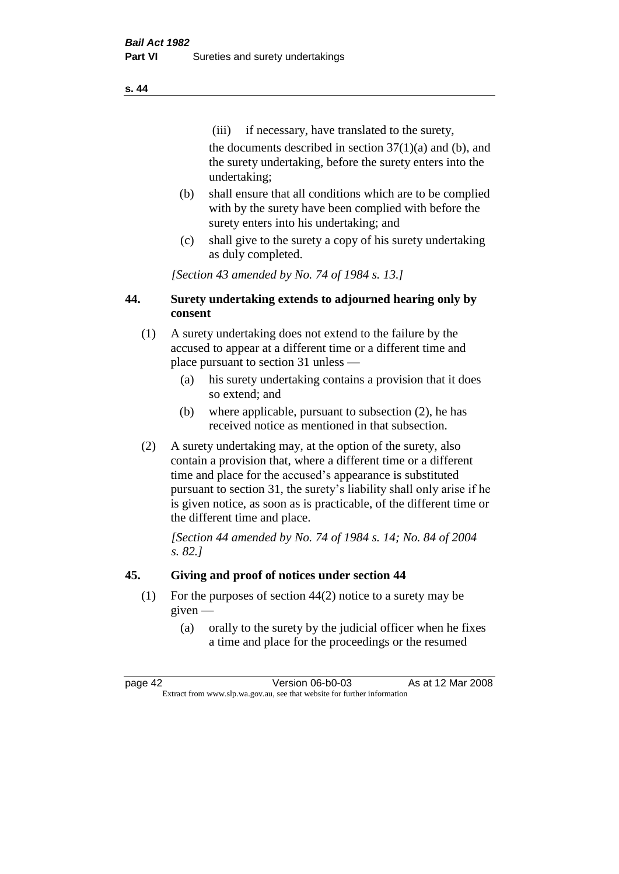(iii) if necessary, have translated to the surety, the documents described in section  $37(1)(a)$  and (b), and the surety undertaking, before the surety enters into the undertaking;

- (b) shall ensure that all conditions which are to be complied with by the surety have been complied with before the surety enters into his undertaking; and
- (c) shall give to the surety a copy of his surety undertaking as duly completed.

*[Section 43 amended by No. 74 of 1984 s. 13.]* 

# **44. Surety undertaking extends to adjourned hearing only by consent**

- (1) A surety undertaking does not extend to the failure by the accused to appear at a different time or a different time and place pursuant to section 31 unless —
	- (a) his surety undertaking contains a provision that it does so extend; and
	- (b) where applicable, pursuant to subsection (2), he has received notice as mentioned in that subsection.
- (2) A surety undertaking may, at the option of the surety, also contain a provision that, where a different time or a different time and place for the accused's appearance is substituted pursuant to section 31, the surety's liability shall only arise if he is given notice, as soon as is practicable, of the different time or the different time and place.

*[Section 44 amended by No. 74 of 1984 s. 14; No. 84 of 2004 s. 82.]* 

# **45. Giving and proof of notices under section 44**

- (1) For the purposes of section 44(2) notice to a surety may be given —
	- (a) orally to the surety by the judicial officer when he fixes a time and place for the proceedings or the resumed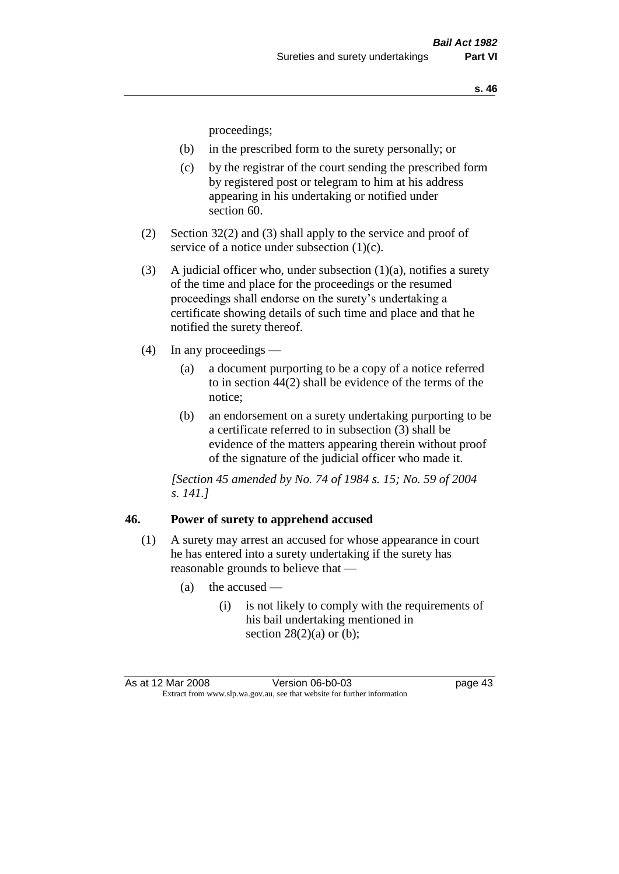proceedings;

- (b) in the prescribed form to the surety personally; or
- (c) by the registrar of the court sending the prescribed form by registered post or telegram to him at his address appearing in his undertaking or notified under section 60.
- (2) Section 32(2) and (3) shall apply to the service and proof of service of a notice under subsection (1)(c).
- (3) A judicial officer who, under subsection  $(1)(a)$ , notifies a surety of the time and place for the proceedings or the resumed proceedings shall endorse on the surety's undertaking a certificate showing details of such time and place and that he notified the surety thereof.
- (4) In any proceedings
	- (a) a document purporting to be a copy of a notice referred to in section 44(2) shall be evidence of the terms of the notice;
	- (b) an endorsement on a surety undertaking purporting to be a certificate referred to in subsection (3) shall be evidence of the matters appearing therein without proof of the signature of the judicial officer who made it.

*[Section 45 amended by No. 74 of 1984 s. 15; No. 59 of 2004 s. 141.]* 

#### **46. Power of surety to apprehend accused**

- (1) A surety may arrest an accused for whose appearance in court he has entered into a surety undertaking if the surety has reasonable grounds to believe that —
	- (a) the accused
		- (i) is not likely to comply with the requirements of his bail undertaking mentioned in section  $28(2)(a)$  or (b);

As at 12 Mar 2008 Version 06-b0-03 page 43 Extract from www.slp.wa.gov.au, see that website for further information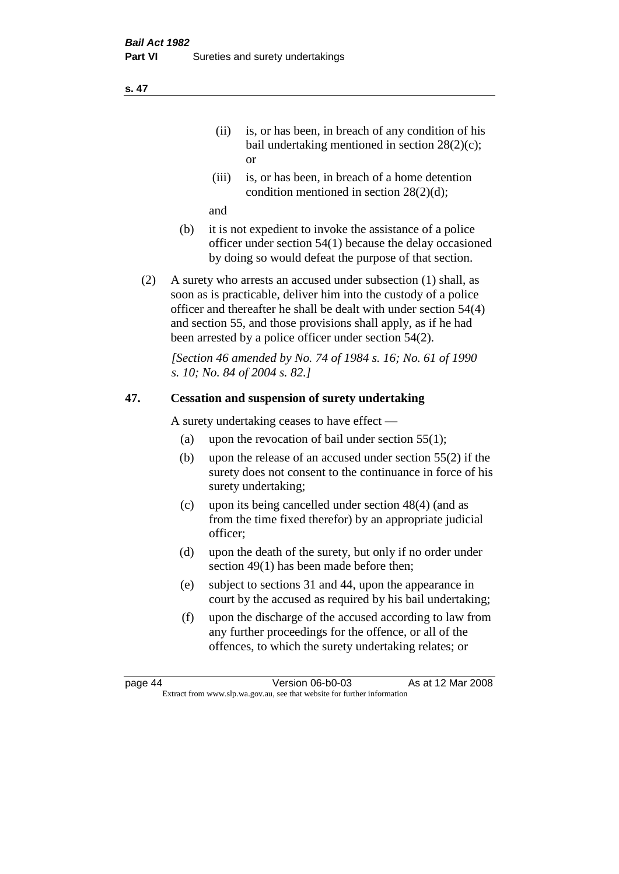- (ii) is, or has been, in breach of any condition of his bail undertaking mentioned in section 28(2)(c); or
- (iii) is, or has been, in breach of a home detention condition mentioned in section 28(2)(d);

and

- (b) it is not expedient to invoke the assistance of a police officer under section 54(1) because the delay occasioned by doing so would defeat the purpose of that section.
- (2) A surety who arrests an accused under subsection (1) shall, as soon as is practicable, deliver him into the custody of a police officer and thereafter he shall be dealt with under section 54(4) and section 55, and those provisions shall apply, as if he had been arrested by a police officer under section 54(2).

*[Section 46 amended by No. 74 of 1984 s. 16; No. 61 of 1990 s. 10; No. 84 of 2004 s. 82.]* 

# **47. Cessation and suspension of surety undertaking**

A surety undertaking ceases to have effect —

- (a) upon the revocation of bail under section  $55(1)$ ;
- (b) upon the release of an accused under section 55(2) if the surety does not consent to the continuance in force of his surety undertaking;
- (c) upon its being cancelled under section 48(4) (and as from the time fixed therefor) by an appropriate judicial officer;
- (d) upon the death of the surety, but only if no order under section 49(1) has been made before then;
- (e) subject to sections 31 and 44, upon the appearance in court by the accused as required by his bail undertaking;
- (f) upon the discharge of the accused according to law from any further proceedings for the offence, or all of the offences, to which the surety undertaking relates; or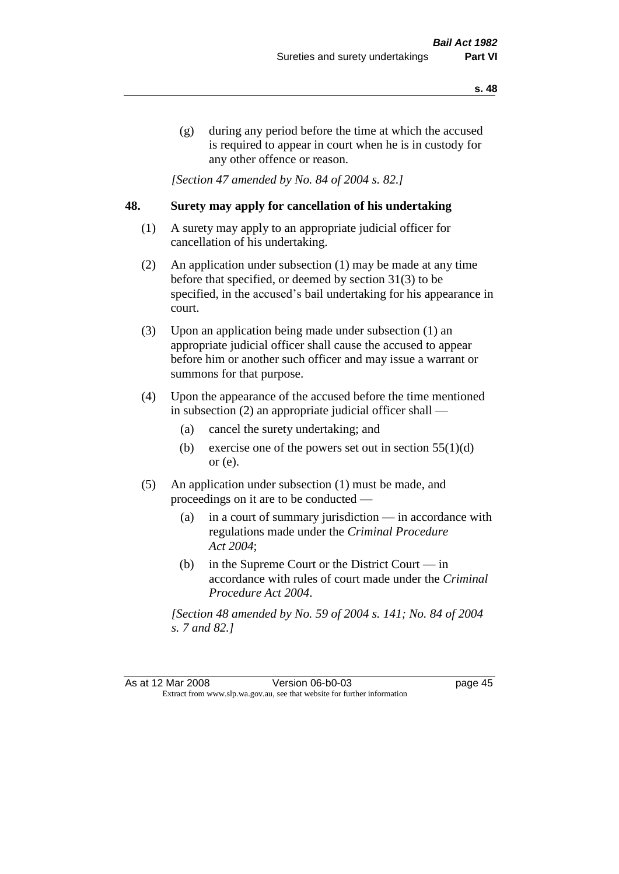(g) during any period before the time at which the accused is required to appear in court when he is in custody for any other offence or reason.

*[Section 47 amended by No. 84 of 2004 s. 82.]* 

### **48. Surety may apply for cancellation of his undertaking**

- (1) A surety may apply to an appropriate judicial officer for cancellation of his undertaking.
- (2) An application under subsection (1) may be made at any time before that specified, or deemed by section 31(3) to be specified, in the accused's bail undertaking for his appearance in court.
- (3) Upon an application being made under subsection (1) an appropriate judicial officer shall cause the accused to appear before him or another such officer and may issue a warrant or summons for that purpose.
- (4) Upon the appearance of the accused before the time mentioned in subsection (2) an appropriate judicial officer shall —
	- (a) cancel the surety undertaking; and
	- (b) exercise one of the powers set out in section  $55(1)(d)$ or (e).
- (5) An application under subsection (1) must be made, and proceedings on it are to be conducted —
	- (a) in a court of summary jurisdiction in accordance with regulations made under the *Criminal Procedure Act 2004*;
	- (b) in the Supreme Court or the District Court  $-\text{in}$ accordance with rules of court made under the *Criminal Procedure Act 2004*.

*[Section 48 amended by No. 59 of 2004 s. 141; No. 84 of 2004 s. 7 and 82.]* 

As at 12 Mar 2008 Version 06-b0-03 page 45 Extract from www.slp.wa.gov.au, see that website for further information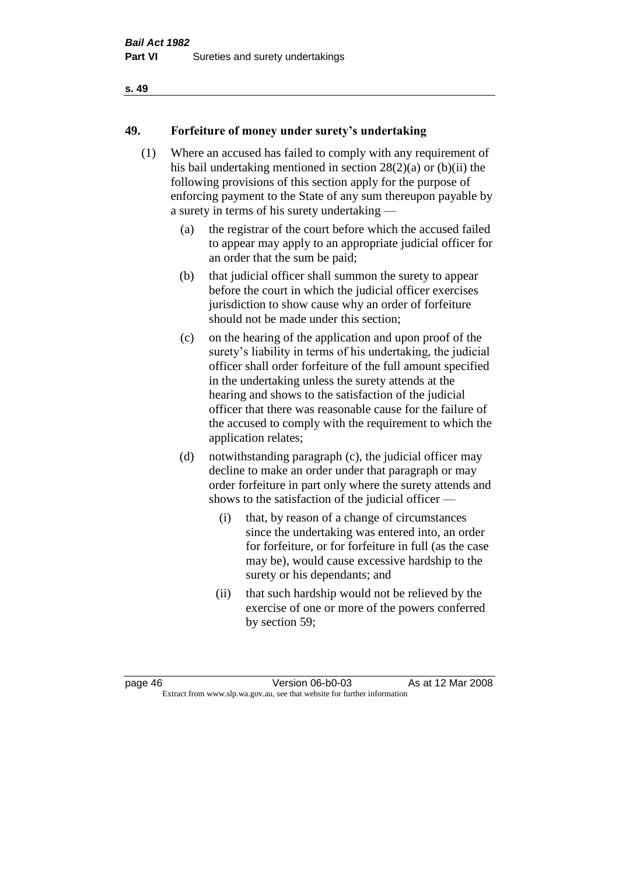# **49. Forfeiture of money under surety's undertaking**

- (1) Where an accused has failed to comply with any requirement of his bail undertaking mentioned in section 28(2)(a) or (b)(ii) the following provisions of this section apply for the purpose of enforcing payment to the State of any sum thereupon payable by a surety in terms of his surety undertaking —
	- (a) the registrar of the court before which the accused failed to appear may apply to an appropriate judicial officer for an order that the sum be paid;
	- (b) that judicial officer shall summon the surety to appear before the court in which the judicial officer exercises jurisdiction to show cause why an order of forfeiture should not be made under this section;
	- (c) on the hearing of the application and upon proof of the surety's liability in terms of his undertaking, the judicial officer shall order forfeiture of the full amount specified in the undertaking unless the surety attends at the hearing and shows to the satisfaction of the judicial officer that there was reasonable cause for the failure of the accused to comply with the requirement to which the application relates;
	- (d) notwithstanding paragraph (c), the judicial officer may decline to make an order under that paragraph or may order forfeiture in part only where the surety attends and shows to the satisfaction of the judicial officer —
		- (i) that, by reason of a change of circumstances since the undertaking was entered into, an order for forfeiture, or for forfeiture in full (as the case may be), would cause excessive hardship to the surety or his dependants; and
		- (ii) that such hardship would not be relieved by the exercise of one or more of the powers conferred by section 59;

page 46 Version 06-b0-03 As at 12 Mar 2008 Extract from www.slp.wa.gov.au, see that website for further information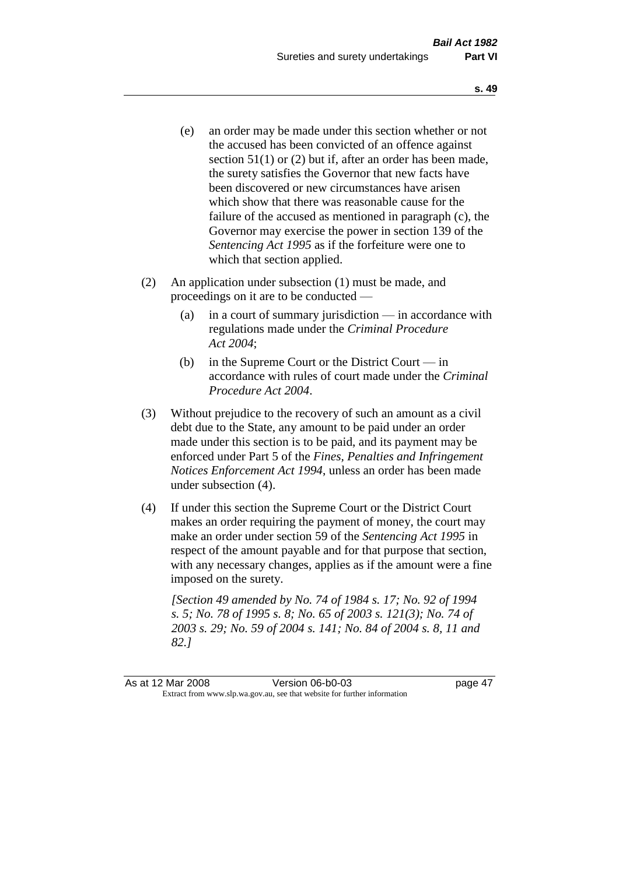- (e) an order may be made under this section whether or not the accused has been convicted of an offence against section 51(1) or (2) but if, after an order has been made, the surety satisfies the Governor that new facts have been discovered or new circumstances have arisen which show that there was reasonable cause for the failure of the accused as mentioned in paragraph (c), the Governor may exercise the power in section 139 of the *Sentencing Act 1995* as if the forfeiture were one to which that section applied.
- (2) An application under subsection (1) must be made, and proceedings on it are to be conducted —
	- (a) in a court of summary jurisdiction in accordance with regulations made under the *Criminal Procedure Act 2004*;
	- (b) in the Supreme Court or the District Court in accordance with rules of court made under the *Criminal Procedure Act 2004*.
- (3) Without prejudice to the recovery of such an amount as a civil debt due to the State, any amount to be paid under an order made under this section is to be paid, and its payment may be enforced under Part 5 of the *Fines, Penalties and Infringement Notices Enforcement Act 1994*, unless an order has been made under subsection (4).
- (4) If under this section the Supreme Court or the District Court makes an order requiring the payment of money, the court may make an order under section 59 of the *Sentencing Act 1995* in respect of the amount payable and for that purpose that section, with any necessary changes, applies as if the amount were a fine imposed on the surety.

*[Section 49 amended by No. 74 of 1984 s. 17; No. 92 of 1994 s. 5; No. 78 of 1995 s. 8; No. 65 of 2003 s. 121(3); No. 74 of 2003 s. 29; No. 59 of 2004 s. 141; No. 84 of 2004 s. 8, 11 and 82.]*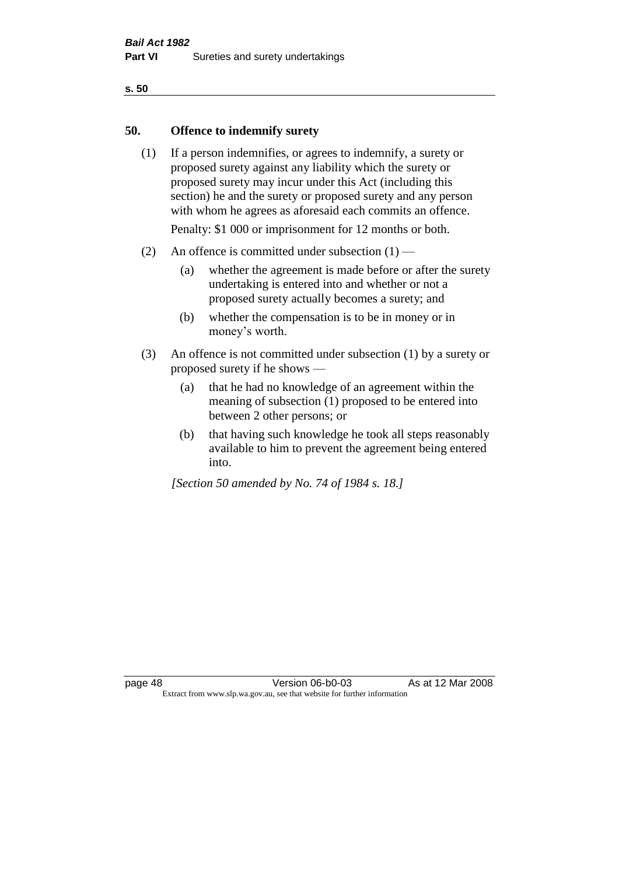#### **50. Offence to indemnify surety**

(1) If a person indemnifies, or agrees to indemnify, a surety or proposed surety against any liability which the surety or proposed surety may incur under this Act (including this section) he and the surety or proposed surety and any person with whom he agrees as aforesaid each commits an offence.

Penalty: \$1 000 or imprisonment for 12 months or both.

- (2) An offence is committed under subsection  $(1)$ 
	- (a) whether the agreement is made before or after the surety undertaking is entered into and whether or not a proposed surety actually becomes a surety; and
	- (b) whether the compensation is to be in money or in money's worth.
- (3) An offence is not committed under subsection (1) by a surety or proposed surety if he shows —
	- (a) that he had no knowledge of an agreement within the meaning of subsection (1) proposed to be entered into between 2 other persons; or
	- (b) that having such knowledge he took all steps reasonably available to him to prevent the agreement being entered into.

*[Section 50 amended by No. 74 of 1984 s. 18.]*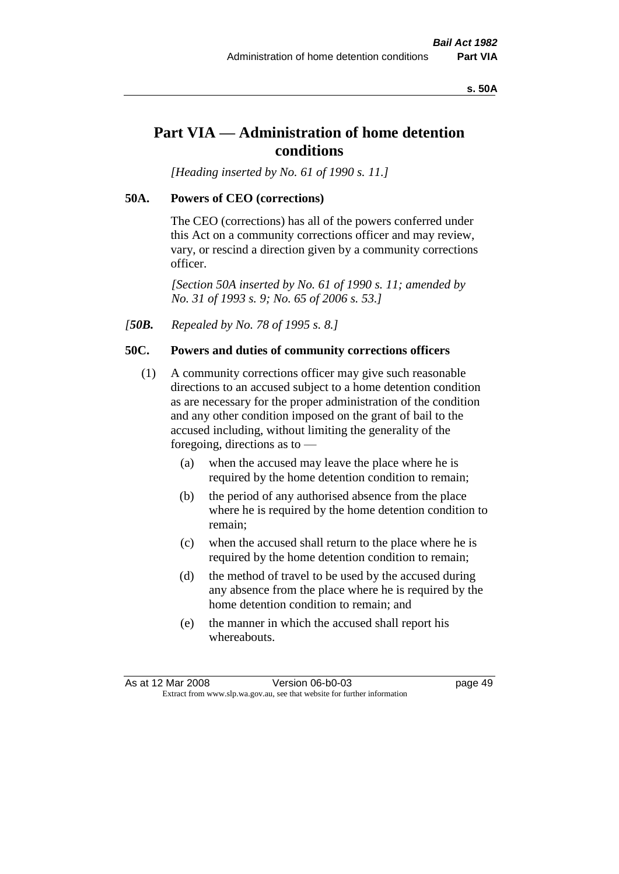#### **s. 50A**

# **Part VIA — Administration of home detention conditions**

*[Heading inserted by No. 61 of 1990 s. 11.]* 

#### **50A. Powers of CEO (corrections)**

The CEO (corrections) has all of the powers conferred under this Act on a community corrections officer and may review, vary, or rescind a direction given by a community corrections officer.

*[Section 50A inserted by No. 61 of 1990 s. 11; amended by No. 31 of 1993 s. 9; No. 65 of 2006 s. 53.]* 

*[50B. Repealed by No. 78 of 1995 s. 8.]* 

#### **50C. Powers and duties of community corrections officers**

- (1) A community corrections officer may give such reasonable directions to an accused subject to a home detention condition as are necessary for the proper administration of the condition and any other condition imposed on the grant of bail to the accused including, without limiting the generality of the foregoing, directions as to —
	- (a) when the accused may leave the place where he is required by the home detention condition to remain;
	- (b) the period of any authorised absence from the place where he is required by the home detention condition to remain;
	- (c) when the accused shall return to the place where he is required by the home detention condition to remain;
	- (d) the method of travel to be used by the accused during any absence from the place where he is required by the home detention condition to remain; and
	- (e) the manner in which the accused shall report his whereabouts.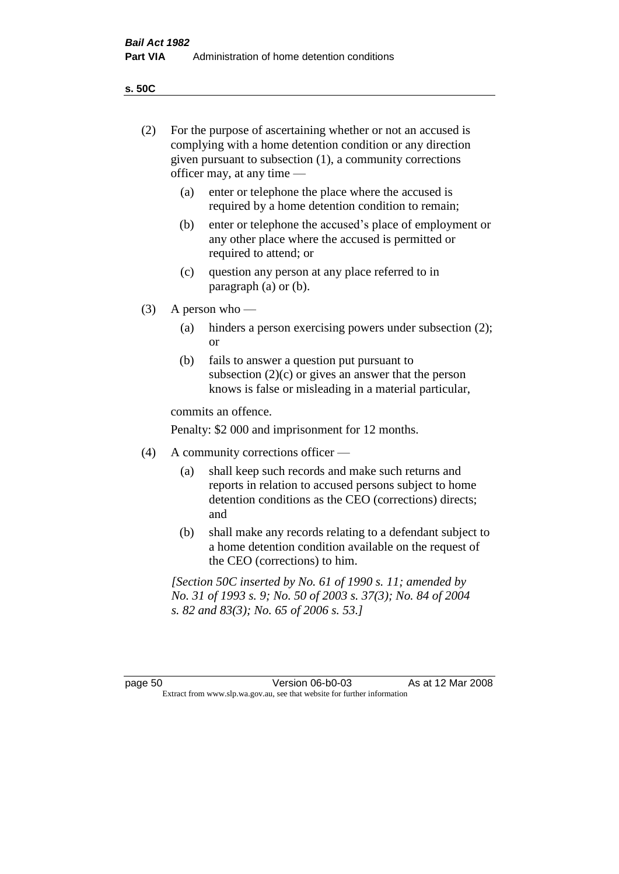**s. 50C**

| (2)     | For the purpose of ascertaining whether or not an accused is<br>complying with a home detention condition or any direction<br>given pursuant to subsection (1), a community corrections<br>officer may, at any time — |                                                                                                                                                                              |  |
|---------|-----------------------------------------------------------------------------------------------------------------------------------------------------------------------------------------------------------------------|------------------------------------------------------------------------------------------------------------------------------------------------------------------------------|--|
|         | (a)                                                                                                                                                                                                                   | enter or telephone the place where the accused is<br>required by a home detention condition to remain;                                                                       |  |
|         | (b)                                                                                                                                                                                                                   | enter or telephone the accused's place of employment or<br>any other place where the accused is permitted or<br>required to attend; or                                       |  |
|         | (c)                                                                                                                                                                                                                   | question any person at any place referred to in<br>paragraph $(a)$ or $(b)$ .                                                                                                |  |
| (3)     | A person who $-$                                                                                                                                                                                                      |                                                                                                                                                                              |  |
|         | (a)                                                                                                                                                                                                                   | hinders a person exercising powers under subsection (2);<br><sub>or</sub>                                                                                                    |  |
|         | (b)                                                                                                                                                                                                                   | fails to answer a question put pursuant to<br>subsection $(2)(c)$ or gives an answer that the person<br>knows is false or misleading in a material particular,               |  |
|         |                                                                                                                                                                                                                       | commits an offence.                                                                                                                                                          |  |
|         |                                                                                                                                                                                                                       | Penalty: \$2 000 and imprisonment for 12 months.                                                                                                                             |  |
| (4)     | A community corrections officer —                                                                                                                                                                                     |                                                                                                                                                                              |  |
|         | (a)                                                                                                                                                                                                                   | shall keep such records and make such returns and<br>reports in relation to accused persons subject to home<br>detention conditions as the CEO (corrections) directs;<br>and |  |
|         | (b)                                                                                                                                                                                                                   | shall make any records relating to a defendant subject to<br>a home detention condition available on the request of<br>the CEO (corrections) to him.                         |  |
|         |                                                                                                                                                                                                                       | [Section 50C inserted by No. 61 of 1990 s. 11; amended by<br>No. 31 of 1993 s. 9; No. 50 of 2003 s. 37(3); No. 84 of 2004<br>s. 82 and 83(3); No. 65 of 2006 s. 53.]         |  |
|         |                                                                                                                                                                                                                       |                                                                                                                                                                              |  |
| page 50 |                                                                                                                                                                                                                       | Version 06-b0-03<br>As at 12 Mar 2008<br>Extract from www.slp.wa.gov.au, see that website for further information                                                            |  |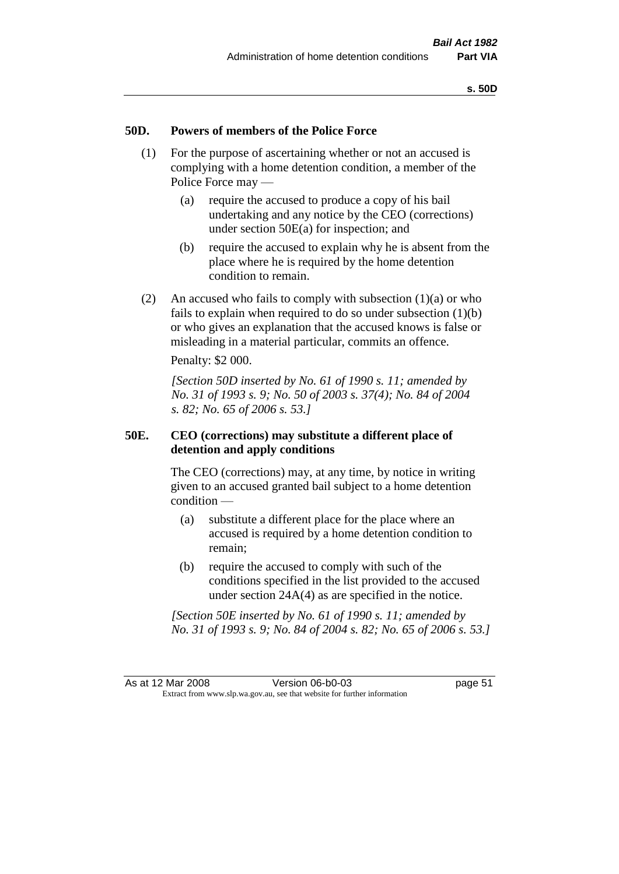#### **50D. Powers of members of the Police Force**

- (1) For the purpose of ascertaining whether or not an accused is complying with a home detention condition, a member of the Police Force may —
	- (a) require the accused to produce a copy of his bail undertaking and any notice by the CEO (corrections) under section 50E(a) for inspection; and
	- (b) require the accused to explain why he is absent from the place where he is required by the home detention condition to remain.
- (2) An accused who fails to comply with subsection  $(1)(a)$  or who fails to explain when required to do so under subsection  $(1)(b)$ or who gives an explanation that the accused knows is false or misleading in a material particular, commits an offence.

Penalty: \$2 000.

*[Section 50D inserted by No. 61 of 1990 s. 11; amended by No. 31 of 1993 s. 9; No. 50 of 2003 s. 37(4); No. 84 of 2004 s. 82; No. 65 of 2006 s. 53.]* 

## **50E. CEO (corrections) may substitute a different place of detention and apply conditions**

The CEO (corrections) may, at any time, by notice in writing given to an accused granted bail subject to a home detention condition —

- (a) substitute a different place for the place where an accused is required by a home detention condition to remain;
- (b) require the accused to comply with such of the conditions specified in the list provided to the accused under section 24A(4) as are specified in the notice.

*[Section 50E inserted by No. 61 of 1990 s. 11; amended by No. 31 of 1993 s. 9; No. 84 of 2004 s. 82; No. 65 of 2006 s. 53.]*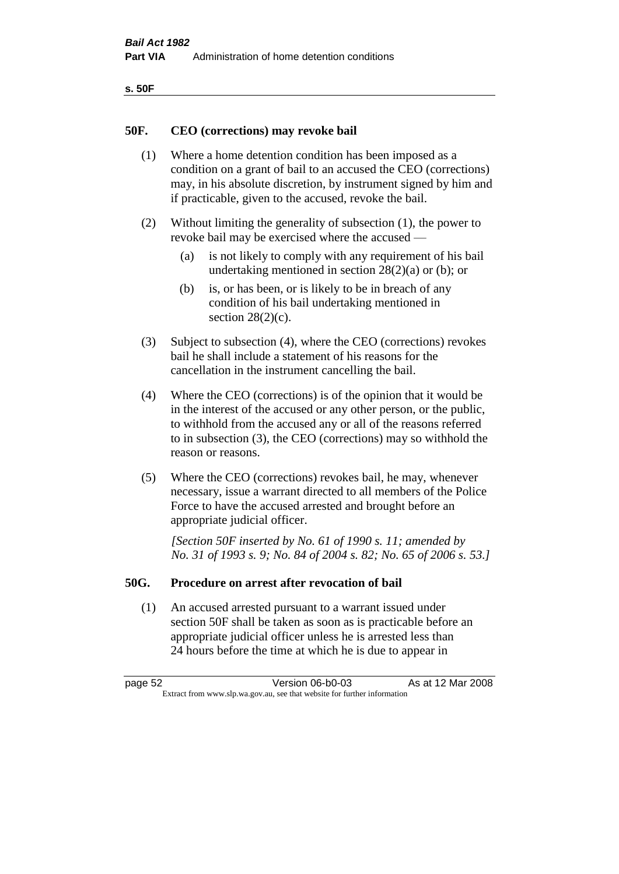| ۰.<br>۰,<br>۰.<br>×<br>× |
|--------------------------|
|--------------------------|

#### **50F. CEO (corrections) may revoke bail**

- (1) Where a home detention condition has been imposed as a condition on a grant of bail to an accused the CEO (corrections) may, in his absolute discretion, by instrument signed by him and if practicable, given to the accused, revoke the bail.
- (2) Without limiting the generality of subsection (1), the power to revoke bail may be exercised where the accused —
	- (a) is not likely to comply with any requirement of his bail undertaking mentioned in section  $28(2)(a)$  or (b); or
	- (b) is, or has been, or is likely to be in breach of any condition of his bail undertaking mentioned in section  $28(2)(c)$ .
- (3) Subject to subsection (4), where the CEO (corrections) revokes bail he shall include a statement of his reasons for the cancellation in the instrument cancelling the bail.
- (4) Where the CEO (corrections) is of the opinion that it would be in the interest of the accused or any other person, or the public, to withhold from the accused any or all of the reasons referred to in subsection (3), the CEO (corrections) may so withhold the reason or reasons.
- (5) Where the CEO (corrections) revokes bail, he may, whenever necessary, issue a warrant directed to all members of the Police Force to have the accused arrested and brought before an appropriate judicial officer.

*[Section 50F inserted by No. 61 of 1990 s. 11; amended by No. 31 of 1993 s. 9; No. 84 of 2004 s. 82; No. 65 of 2006 s. 53.]* 

#### **50G. Procedure on arrest after revocation of bail**

(1) An accused arrested pursuant to a warrant issued under section 50F shall be taken as soon as is practicable before an appropriate judicial officer unless he is arrested less than 24 hours before the time at which he is due to appear in

page 52 Version 06-b0-03 As at 12 Mar 2008 Extract from www.slp.wa.gov.au, see that website for further information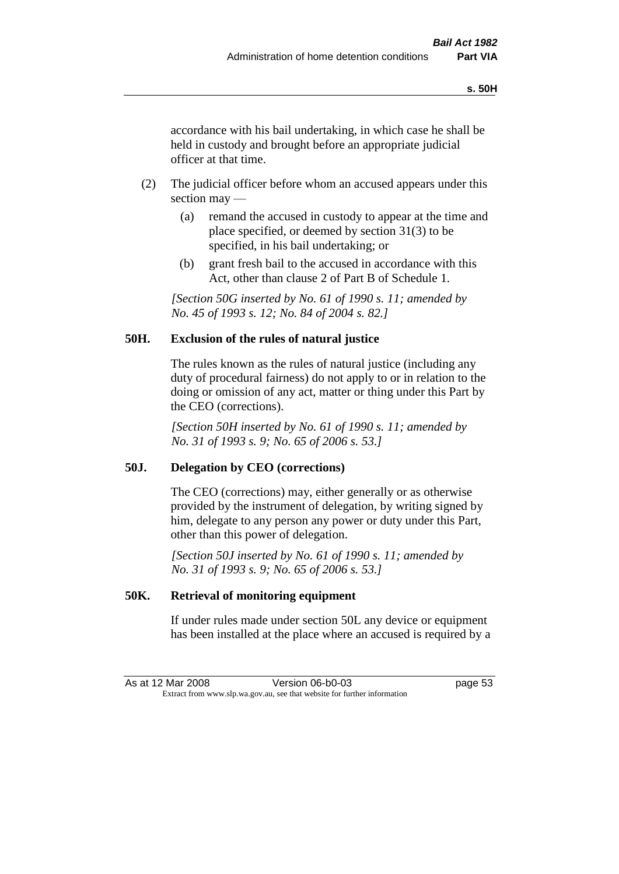accordance with his bail undertaking, in which case he shall be held in custody and brought before an appropriate judicial officer at that time.

- (2) The judicial officer before whom an accused appears under this section may —
	- (a) remand the accused in custody to appear at the time and place specified, or deemed by section 31(3) to be specified, in his bail undertaking; or
	- (b) grant fresh bail to the accused in accordance with this Act, other than clause 2 of Part B of Schedule 1.

*[Section 50G inserted by No. 61 of 1990 s. 11; amended by No. 45 of 1993 s. 12; No. 84 of 2004 s. 82.]* 

## **50H. Exclusion of the rules of natural justice**

The rules known as the rules of natural justice (including any duty of procedural fairness) do not apply to or in relation to the doing or omission of any act, matter or thing under this Part by the CEO (corrections).

*[Section 50H inserted by No. 61 of 1990 s. 11; amended by No. 31 of 1993 s. 9; No. 65 of 2006 s. 53.]* 

## **50J. Delegation by CEO (corrections)**

The CEO (corrections) may, either generally or as otherwise provided by the instrument of delegation, by writing signed by him, delegate to any person any power or duty under this Part, other than this power of delegation.

*[Section 50J inserted by No. 61 of 1990 s. 11; amended by No. 31 of 1993 s. 9; No. 65 of 2006 s. 53.]* 

## **50K. Retrieval of monitoring equipment**

If under rules made under section 50L any device or equipment has been installed at the place where an accused is required by a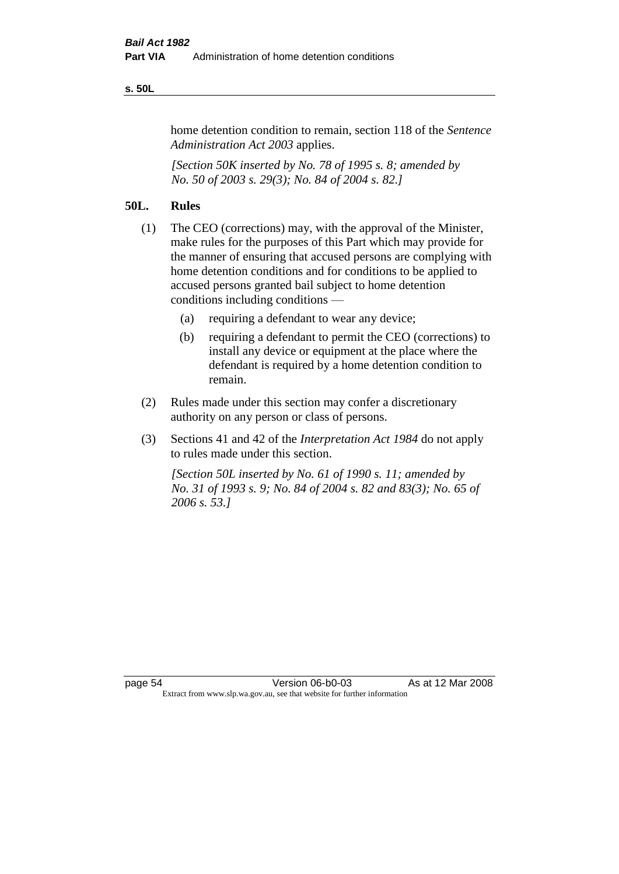#### **s. 50L**

home detention condition to remain, section 118 of the *Sentence Administration Act 2003* applies.

*[Section 50K inserted by No. 78 of 1995 s. 8; amended by No. 50 of 2003 s. 29(3); No. 84 of 2004 s. 82.]* 

# **50L. Rules**

- (1) The CEO (corrections) may, with the approval of the Minister, make rules for the purposes of this Part which may provide for the manner of ensuring that accused persons are complying with home detention conditions and for conditions to be applied to accused persons granted bail subject to home detention conditions including conditions —
	- (a) requiring a defendant to wear any device;
	- (b) requiring a defendant to permit the CEO (corrections) to install any device or equipment at the place where the defendant is required by a home detention condition to remain.
- (2) Rules made under this section may confer a discretionary authority on any person or class of persons.
- (3) Sections 41 and 42 of the *Interpretation Act 1984* do not apply to rules made under this section.

*[Section 50L inserted by No. 61 of 1990 s. 11; amended by No. 31 of 1993 s. 9; No. 84 of 2004 s. 82 and 83(3); No. 65 of 2006 s. 53.]*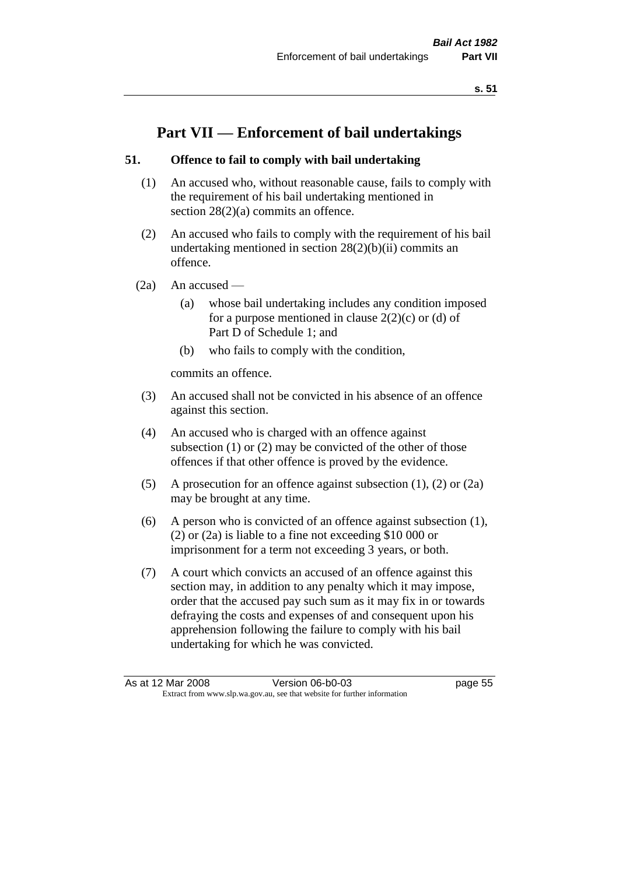# **Part VII — Enforcement of bail undertakings**

# **51. Offence to fail to comply with bail undertaking**

- (1) An accused who, without reasonable cause, fails to comply with the requirement of his bail undertaking mentioned in section 28(2)(a) commits an offence.
- (2) An accused who fails to comply with the requirement of his bail undertaking mentioned in section  $28(2)(b)(ii)$  commits an offence.
- $(2a)$  An accused
	- (a) whose bail undertaking includes any condition imposed for a purpose mentioned in clause  $2(2)(c)$  or (d) of Part D of Schedule 1; and
	- (b) who fails to comply with the condition,

commits an offence.

- (3) An accused shall not be convicted in his absence of an offence against this section.
- (4) An accused who is charged with an offence against subsection (1) or (2) may be convicted of the other of those offences if that other offence is proved by the evidence.
- (5) A prosecution for an offence against subsection (1), (2) or (2a) may be brought at any time.
- (6) A person who is convicted of an offence against subsection (1), (2) or (2a) is liable to a fine not exceeding \$10 000 or imprisonment for a term not exceeding 3 years, or both.
- (7) A court which convicts an accused of an offence against this section may, in addition to any penalty which it may impose, order that the accused pay such sum as it may fix in or towards defraying the costs and expenses of and consequent upon his apprehension following the failure to comply with his bail undertaking for which he was convicted.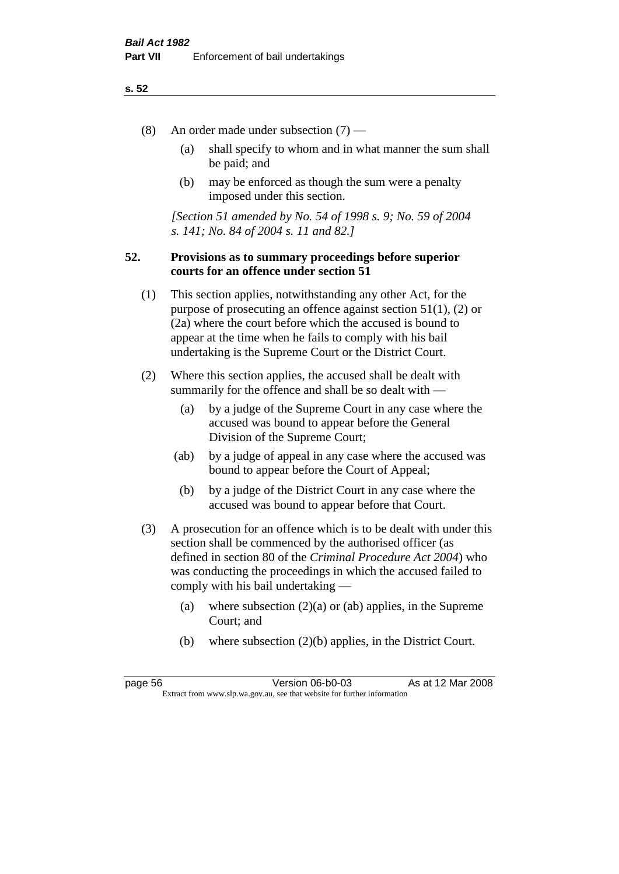- (8) An order made under subsection (7)
	- (a) shall specify to whom and in what manner the sum shall be paid; and
	- (b) may be enforced as though the sum were a penalty imposed under this section.

*[Section 51 amended by No. 54 of 1998 s. 9; No. 59 of 2004 s. 141; No. 84 of 2004 s. 11 and 82.]*

## **52. Provisions as to summary proceedings before superior courts for an offence under section 51**

- (1) This section applies, notwithstanding any other Act, for the purpose of prosecuting an offence against section 51(1), (2) or (2a) where the court before which the accused is bound to appear at the time when he fails to comply with his bail undertaking is the Supreme Court or the District Court.
- (2) Where this section applies, the accused shall be dealt with summarily for the offence and shall be so dealt with —
	- (a) by a judge of the Supreme Court in any case where the accused was bound to appear before the General Division of the Supreme Court;
	- (ab) by a judge of appeal in any case where the accused was bound to appear before the Court of Appeal;
	- (b) by a judge of the District Court in any case where the accused was bound to appear before that Court.
- (3) A prosecution for an offence which is to be dealt with under this section shall be commenced by the authorised officer (as defined in section 80 of the *Criminal Procedure Act 2004*) who was conducting the proceedings in which the accused failed to comply with his bail undertaking —
	- (a) where subsection  $(2)(a)$  or (ab) applies, in the Supreme Court; and
	- (b) where subsection (2)(b) applies, in the District Court.

page 56 Version 06-b0-03 As at 12 Mar 2008 Extract from www.slp.wa.gov.au, see that website for further information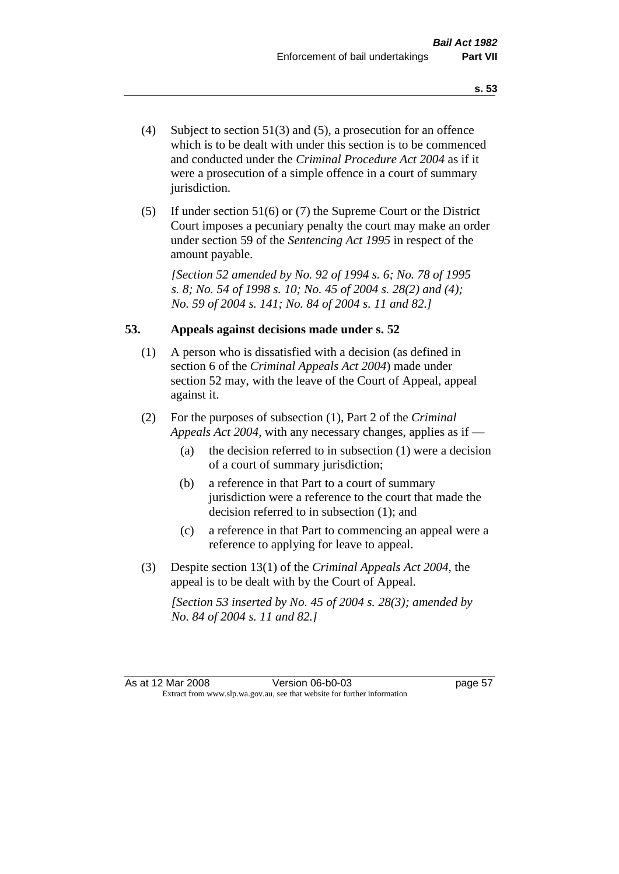- (4) Subject to section 51(3) and (5), a prosecution for an offence which is to be dealt with under this section is to be commenced and conducted under the *Criminal Procedure Act 2004* as if it were a prosecution of a simple offence in a court of summary jurisdiction.
- (5) If under section 51(6) or (7) the Supreme Court or the District Court imposes a pecuniary penalty the court may make an order under section 59 of the *Sentencing Act 1995* in respect of the amount payable.

*[Section 52 amended by No. 92 of 1994 s. 6; No. 78 of 1995 s. 8; No. 54 of 1998 s. 10; No. 45 of 2004 s. 28(2) and (4); No. 59 of 2004 s. 141; No. 84 of 2004 s. 11 and 82.]* 

## **53. Appeals against decisions made under s. 52**

- (1) A person who is dissatisfied with a decision (as defined in section 6 of the *Criminal Appeals Act 2004*) made under section 52 may, with the leave of the Court of Appeal, appeal against it.
- (2) For the purposes of subsection (1), Part 2 of the *Criminal Appeals Act 2004*, with any necessary changes, applies as if —
	- (a) the decision referred to in subsection (1) were a decision of a court of summary jurisdiction;
	- (b) a reference in that Part to a court of summary jurisdiction were a reference to the court that made the decision referred to in subsection (1); and
	- (c) a reference in that Part to commencing an appeal were a reference to applying for leave to appeal.
- (3) Despite section 13(1) of the *Criminal Appeals Act 2004*, the appeal is to be dealt with by the Court of Appeal.

*[Section 53 inserted by No. 45 of 2004 s. 28(3); amended by No. 84 of 2004 s. 11 and 82.]*

As at 12 Mar 2008 Version 06-b0-03 page 57 Extract from www.slp.wa.gov.au, see that website for further information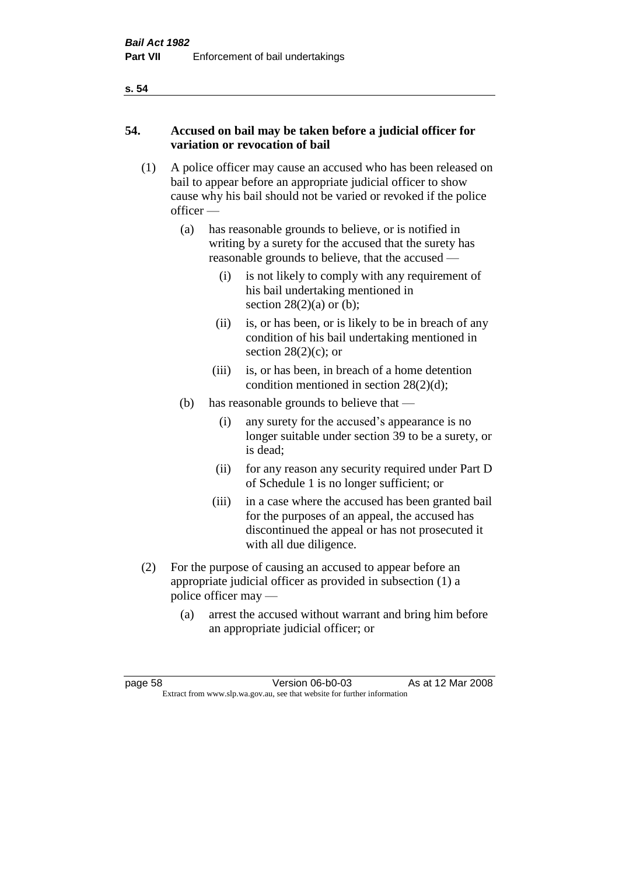# **54. Accused on bail may be taken before a judicial officer for variation or revocation of bail**

- (1) A police officer may cause an accused who has been released on bail to appear before an appropriate judicial officer to show cause why his bail should not be varied or revoked if the police officer —
	- (a) has reasonable grounds to believe, or is notified in writing by a surety for the accused that the surety has reasonable grounds to believe, that the accused —
		- (i) is not likely to comply with any requirement of his bail undertaking mentioned in section  $28(2)(a)$  or (b);
		- (ii) is, or has been, or is likely to be in breach of any condition of his bail undertaking mentioned in section  $28(2)(c)$ ; or
		- (iii) is, or has been, in breach of a home detention condition mentioned in section 28(2)(d);
	- (b) has reasonable grounds to believe that
		- (i) any surety for the accused's appearance is no longer suitable under section 39 to be a surety, or is dead;
		- (ii) for any reason any security required under Part D of Schedule 1 is no longer sufficient; or
		- (iii) in a case where the accused has been granted bail for the purposes of an appeal, the accused has discontinued the appeal or has not prosecuted it with all due diligence.
- (2) For the purpose of causing an accused to appear before an appropriate judicial officer as provided in subsection (1) a police officer may —
	- (a) arrest the accused without warrant and bring him before an appropriate judicial officer; or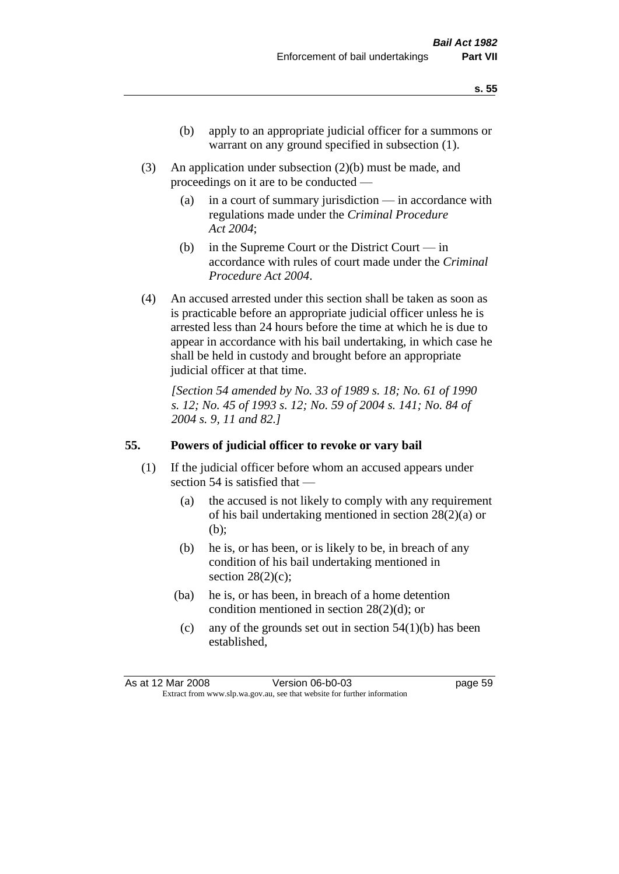- (b) apply to an appropriate judicial officer for a summons or warrant on any ground specified in subsection  $(1)$ .
- (3) An application under subsection (2)(b) must be made, and proceedings on it are to be conducted —
	- (a) in a court of summary jurisdiction in accordance with regulations made under the *Criminal Procedure Act 2004*;
	- (b) in the Supreme Court or the District Court in accordance with rules of court made under the *Criminal Procedure Act 2004*.
- (4) An accused arrested under this section shall be taken as soon as is practicable before an appropriate judicial officer unless he is arrested less than 24 hours before the time at which he is due to appear in accordance with his bail undertaking, in which case he shall be held in custody and brought before an appropriate judicial officer at that time.

*[Section 54 amended by No. 33 of 1989 s. 18; No. 61 of 1990 s. 12; No. 45 of 1993 s. 12; No. 59 of 2004 s. 141; No. 84 of 2004 s. 9, 11 and 82.]* 

## **55. Powers of judicial officer to revoke or vary bail**

- (1) If the judicial officer before whom an accused appears under section 54 is satisfied that —
	- (a) the accused is not likely to comply with any requirement of his bail undertaking mentioned in section 28(2)(a) or (b);
	- (b) he is, or has been, or is likely to be, in breach of any condition of his bail undertaking mentioned in section  $28(2)(c)$ ;
	- (ba) he is, or has been, in breach of a home detention condition mentioned in section 28(2)(d); or
		- (c) any of the grounds set out in section  $54(1)(b)$  has been established,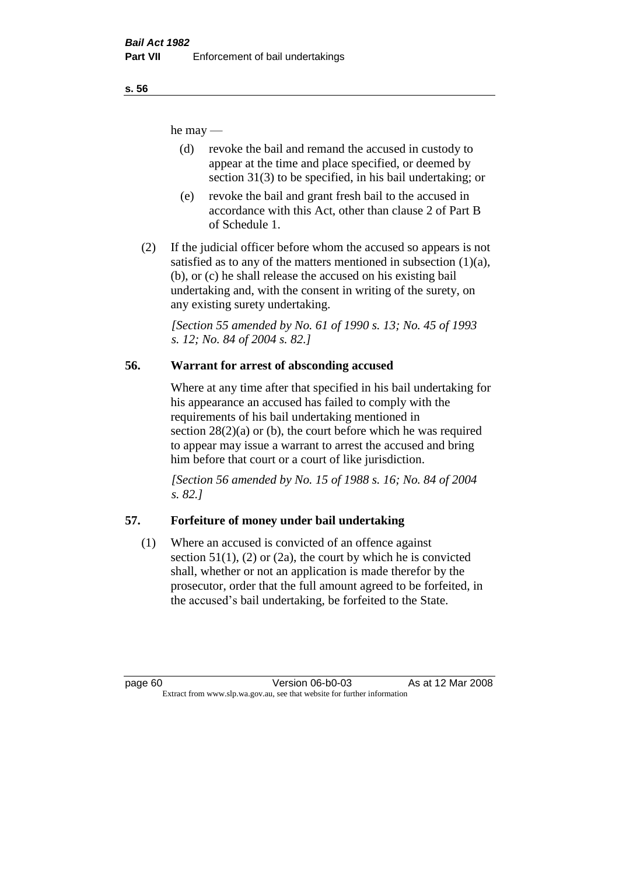he may —

- (d) revoke the bail and remand the accused in custody to appear at the time and place specified, or deemed by section 31(3) to be specified, in his bail undertaking; or
- (e) revoke the bail and grant fresh bail to the accused in accordance with this Act, other than clause 2 of Part B of Schedule 1.
- (2) If the judicial officer before whom the accused so appears is not satisfied as to any of the matters mentioned in subsection  $(1)(a)$ , (b), or (c) he shall release the accused on his existing bail undertaking and, with the consent in writing of the surety, on any existing surety undertaking.

*[Section 55 amended by No. 61 of 1990 s. 13; No. 45 of 1993 s. 12; No. 84 of 2004 s. 82.]* 

# **56. Warrant for arrest of absconding accused**

Where at any time after that specified in his bail undertaking for his appearance an accused has failed to comply with the requirements of his bail undertaking mentioned in section  $28(2)(a)$  or (b), the court before which he was required to appear may issue a warrant to arrest the accused and bring him before that court or a court of like jurisdiction.

*[Section 56 amended by No. 15 of 1988 s. 16; No. 84 of 2004 s. 82.]* 

# **57. Forfeiture of money under bail undertaking**

(1) Where an accused is convicted of an offence against section  $51(1)$ ,  $(2)$  or  $(2a)$ , the court by which he is convicted shall, whether or not an application is made therefor by the prosecutor, order that the full amount agreed to be forfeited, in the accused's bail undertaking, be forfeited to the State.

page 60 Version 06-b0-03 As at 12 Mar 2008 Extract from www.slp.wa.gov.au, see that website for further information

**s. 56**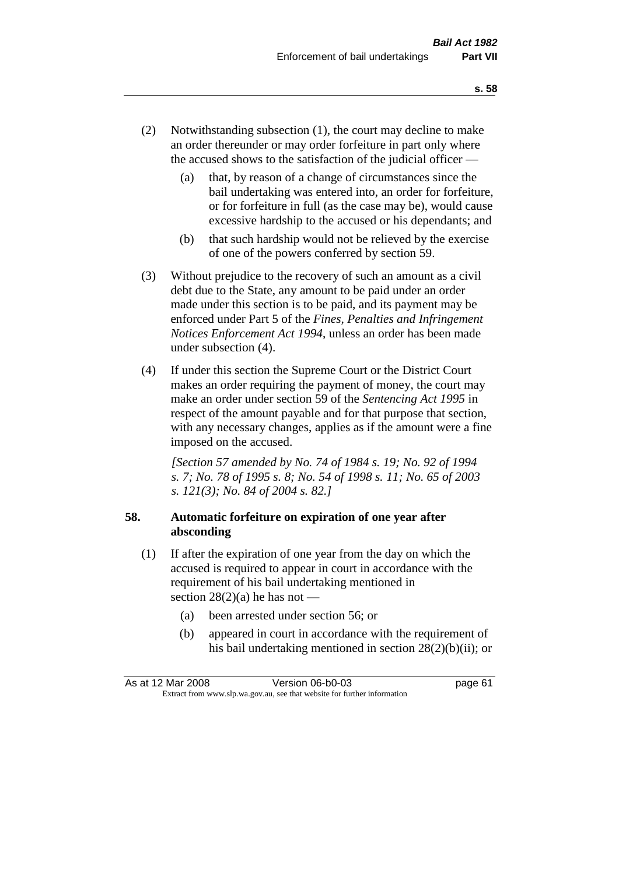- (2) Notwithstanding subsection (1), the court may decline to make an order thereunder or may order forfeiture in part only where the accused shows to the satisfaction of the judicial officer —
	- (a) that, by reason of a change of circumstances since the bail undertaking was entered into, an order for forfeiture, or for forfeiture in full (as the case may be), would cause excessive hardship to the accused or his dependants; and
	- (b) that such hardship would not be relieved by the exercise of one of the powers conferred by section 59.
- (3) Without prejudice to the recovery of such an amount as a civil debt due to the State, any amount to be paid under an order made under this section is to be paid, and its payment may be enforced under Part 5 of the *Fines, Penalties and Infringement Notices Enforcement Act 1994*, unless an order has been made under subsection (4).
- (4) If under this section the Supreme Court or the District Court makes an order requiring the payment of money, the court may make an order under section 59 of the *Sentencing Act 1995* in respect of the amount payable and for that purpose that section, with any necessary changes, applies as if the amount were a fine imposed on the accused.

*[Section 57 amended by No. 74 of 1984 s. 19; No. 92 of 1994 s. 7; No. 78 of 1995 s. 8; No. 54 of 1998 s. 11; No. 65 of 2003 s. 121(3); No. 84 of 2004 s. 82.]* 

# **58. Automatic forfeiture on expiration of one year after absconding**

- (1) If after the expiration of one year from the day on which the accused is required to appear in court in accordance with the requirement of his bail undertaking mentioned in section  $28(2)(a)$  he has not —
	- (a) been arrested under section 56; or
	- (b) appeared in court in accordance with the requirement of his bail undertaking mentioned in section 28(2)(b)(ii); or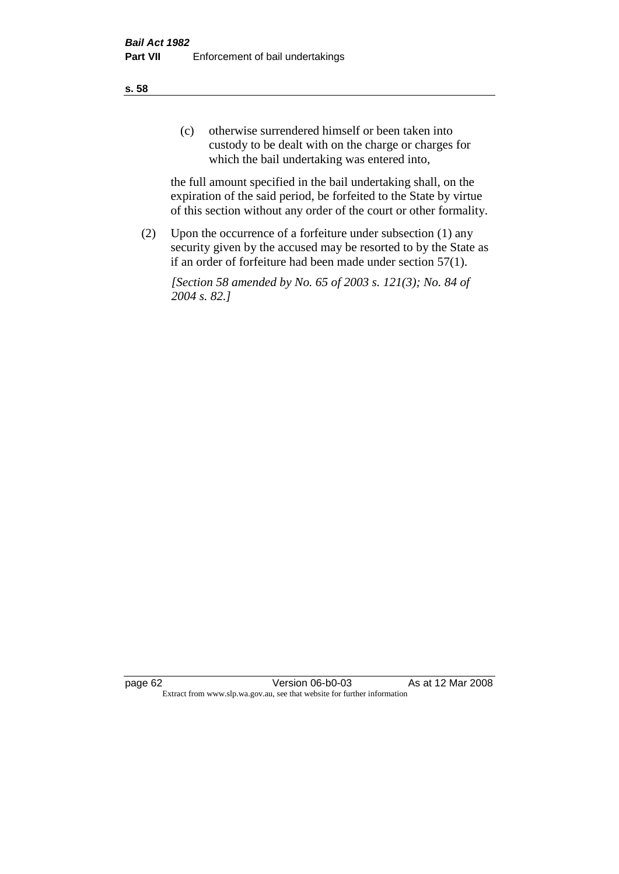(c) otherwise surrendered himself or been taken into custody to be dealt with on the charge or charges for which the bail undertaking was entered into,

the full amount specified in the bail undertaking shall, on the expiration of the said period, be forfeited to the State by virtue of this section without any order of the court or other formality.

(2) Upon the occurrence of a forfeiture under subsection (1) any security given by the accused may be resorted to by the State as if an order of forfeiture had been made under section 57(1).

*[Section 58 amended by No. 65 of 2003 s. 121(3); No. 84 of 2004 s. 82.]*

page 62 Version 06-b0-03 As at 12 Mar 2008 Extract from www.slp.wa.gov.au, see that website for further information

**s. 58**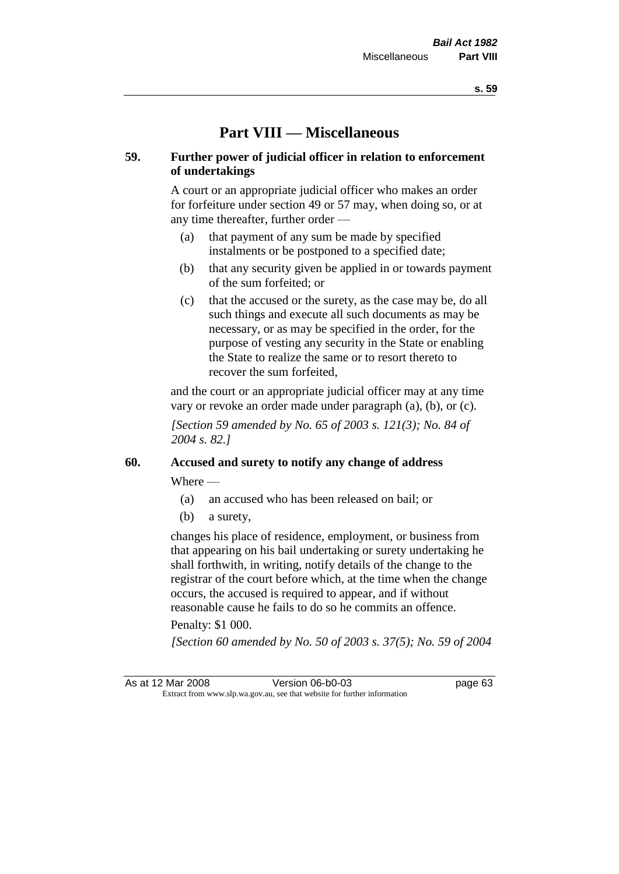# **Part VIII — Miscellaneous**

## **59. Further power of judicial officer in relation to enforcement of undertakings**

A court or an appropriate judicial officer who makes an order for forfeiture under section 49 or 57 may, when doing so, or at any time thereafter, further order —

- (a) that payment of any sum be made by specified instalments or be postponed to a specified date;
- (b) that any security given be applied in or towards payment of the sum forfeited; or
- (c) that the accused or the surety, as the case may be, do all such things and execute all such documents as may be necessary, or as may be specified in the order, for the purpose of vesting any security in the State or enabling the State to realize the same or to resort thereto to recover the sum forfeited,

and the court or an appropriate judicial officer may at any time vary or revoke an order made under paragraph (a), (b), or (c).

*[Section 59 amended by No. 65 of 2003 s. 121(3); No. 84 of 2004 s. 82.]*

# **60. Accused and surety to notify any change of address**

Where —

- (a) an accused who has been released on bail; or
- (b) a surety,

changes his place of residence, employment, or business from that appearing on his bail undertaking or surety undertaking he shall forthwith, in writing, notify details of the change to the registrar of the court before which, at the time when the change occurs, the accused is required to appear, and if without reasonable cause he fails to do so he commits an offence.

#### Penalty: \$1 000.

*[Section 60 amended by No. 50 of 2003 s. 37(5); No. 59 of 2004* 

As at 12 Mar 2008 Version 06-b0-03 page 63 Extract from www.slp.wa.gov.au, see that website for further information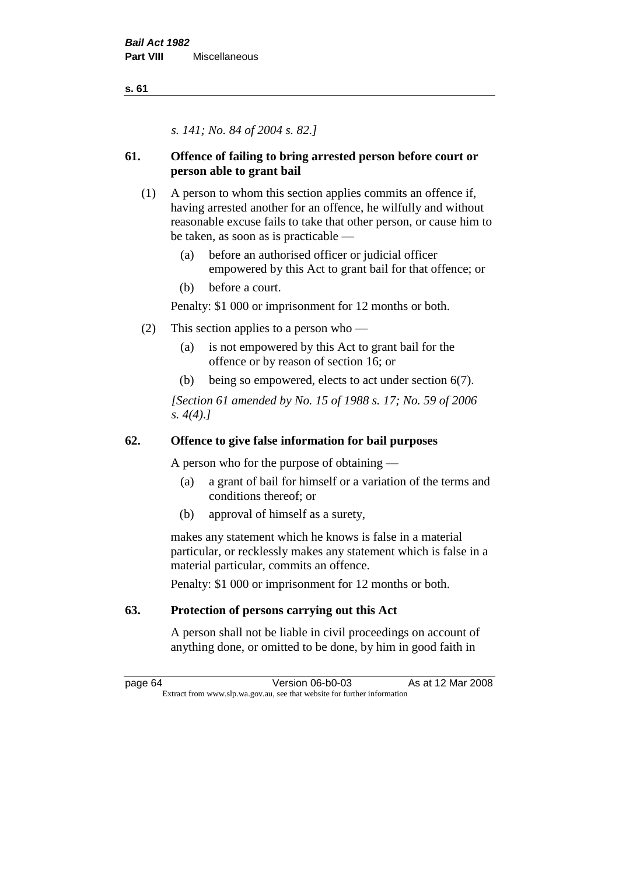*s. 141; No. 84 of 2004 s. 82.]*

# **61. Offence of failing to bring arrested person before court or person able to grant bail**

- (1) A person to whom this section applies commits an offence if, having arrested another for an offence, he wilfully and without reasonable excuse fails to take that other person, or cause him to be taken, as soon as is practicable —
	- (a) before an authorised officer or judicial officer empowered by this Act to grant bail for that offence; or
	- (b) before a court.

Penalty: \$1 000 or imprisonment for 12 months or both.

- (2) This section applies to a person who
	- (a) is not empowered by this Act to grant bail for the offence or by reason of section 16; or
	- (b) being so empowered, elects to act under section 6(7).

*[Section 61 amended by No. 15 of 1988 s. 17; No. 59 of 2006 s. 4(4).]* 

# **62. Offence to give false information for bail purposes**

A person who for the purpose of obtaining —

- (a) a grant of bail for himself or a variation of the terms and conditions thereof; or
- (b) approval of himself as a surety,

makes any statement which he knows is false in a material particular, or recklessly makes any statement which is false in a material particular, commits an offence.

Penalty: \$1 000 or imprisonment for 12 months or both.

# **63. Protection of persons carrying out this Act**

A person shall not be liable in civil proceedings on account of anything done, or omitted to be done, by him in good faith in

page 64 Version 06-b0-03 As at 12 Mar 2008 Extract from www.slp.wa.gov.au, see that website for further information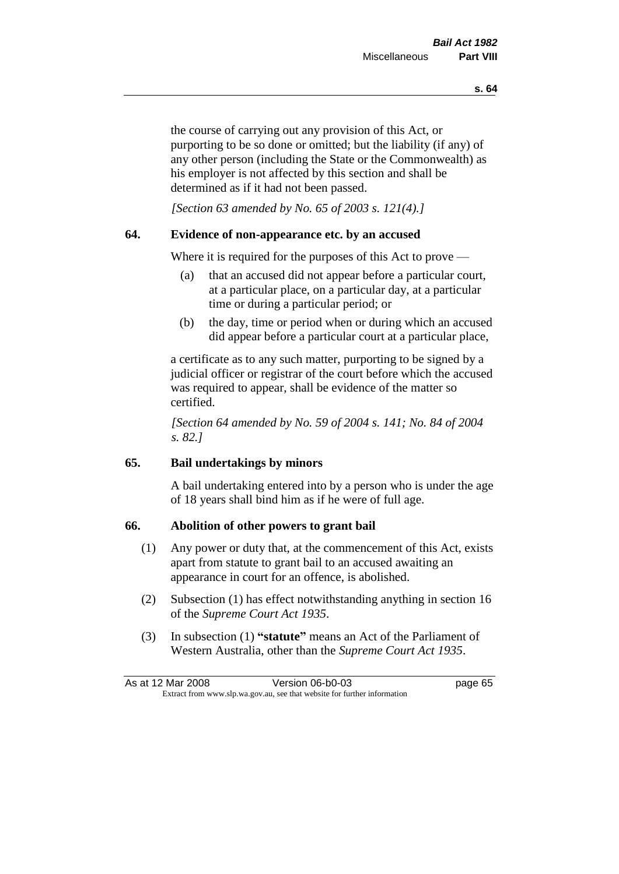the course of carrying out any provision of this Act, or purporting to be so done or omitted; but the liability (if any) of any other person (including the State or the Commonwealth) as his employer is not affected by this section and shall be determined as if it had not been passed.

*[Section 63 amended by No. 65 of 2003 s. 121(4).]*

#### **64. Evidence of non-appearance etc. by an accused**

Where it is required for the purposes of this Act to prove —

- (a) that an accused did not appear before a particular court, at a particular place, on a particular day, at a particular time or during a particular period; or
- (b) the day, time or period when or during which an accused did appear before a particular court at a particular place,

a certificate as to any such matter, purporting to be signed by a judicial officer or registrar of the court before which the accused was required to appear, shall be evidence of the matter so certified.

*[Section 64 amended by No. 59 of 2004 s. 141; No. 84 of 2004 s. 82.]* 

#### **65. Bail undertakings by minors**

A bail undertaking entered into by a person who is under the age of 18 years shall bind him as if he were of full age.

#### **66. Abolition of other powers to grant bail**

- (1) Any power or duty that, at the commencement of this Act, exists apart from statute to grant bail to an accused awaiting an appearance in court for an offence, is abolished.
- (2) Subsection (1) has effect notwithstanding anything in section 16 of the *Supreme Court Act 1935*.
- (3) In subsection (1) **"statute"** means an Act of the Parliament of Western Australia, other than the *Supreme Court Act 1935*.

| As at 12 Mar 2008 | Version 06-b0-03                                                         | page 65 |
|-------------------|--------------------------------------------------------------------------|---------|
|                   | Extract from www.slp.wa.gov.au, see that website for further information |         |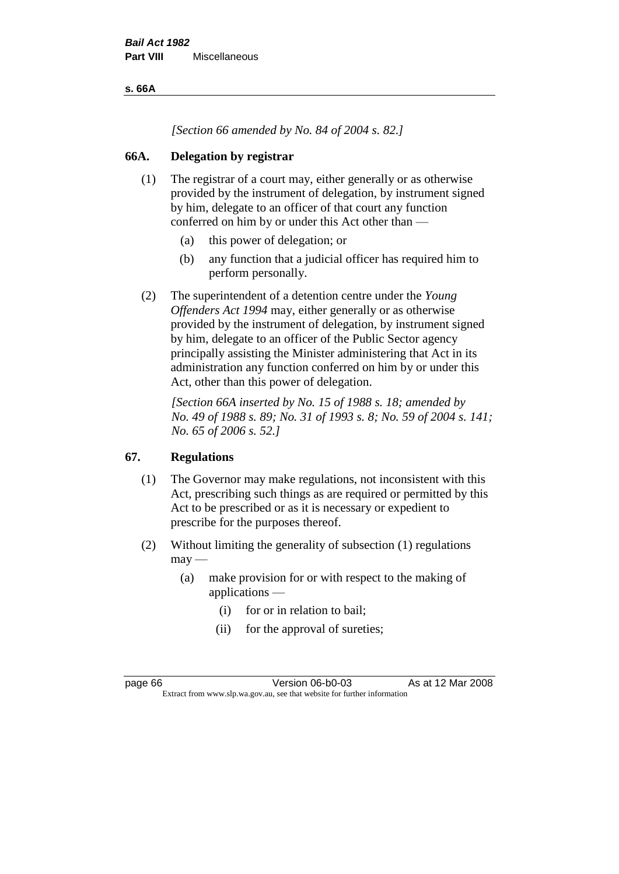**s. 66A**

*[Section 66 amended by No. 84 of 2004 s. 82.]*

#### **66A. Delegation by registrar**

- (1) The registrar of a court may, either generally or as otherwise provided by the instrument of delegation, by instrument signed by him, delegate to an officer of that court any function conferred on him by or under this Act other than —
	- (a) this power of delegation; or
	- (b) any function that a judicial officer has required him to perform personally.
- (2) The superintendent of a detention centre under the *Young Offenders Act 1994* may, either generally or as otherwise provided by the instrument of delegation, by instrument signed by him, delegate to an officer of the Public Sector agency principally assisting the Minister administering that Act in its administration any function conferred on him by or under this Act, other than this power of delegation.

*[Section 66A inserted by No. 15 of 1988 s. 18; amended by No. 49 of 1988 s. 89; No. 31 of 1993 s. 8; No. 59 of 2004 s. 141; No. 65 of 2006 s. 52.]* 

## **67. Regulations**

- (1) The Governor may make regulations, not inconsistent with this Act, prescribing such things as are required or permitted by this Act to be prescribed or as it is necessary or expedient to prescribe for the purposes thereof.
- (2) Without limiting the generality of subsection (1) regulations  $may -$ 
	- (a) make provision for or with respect to the making of applications —
		- (i) for or in relation to bail;
		- (ii) for the approval of sureties;

page 66 **Version 06-b0-03** As at 12 Mar 2008 Extract from www.slp.wa.gov.au, see that website for further information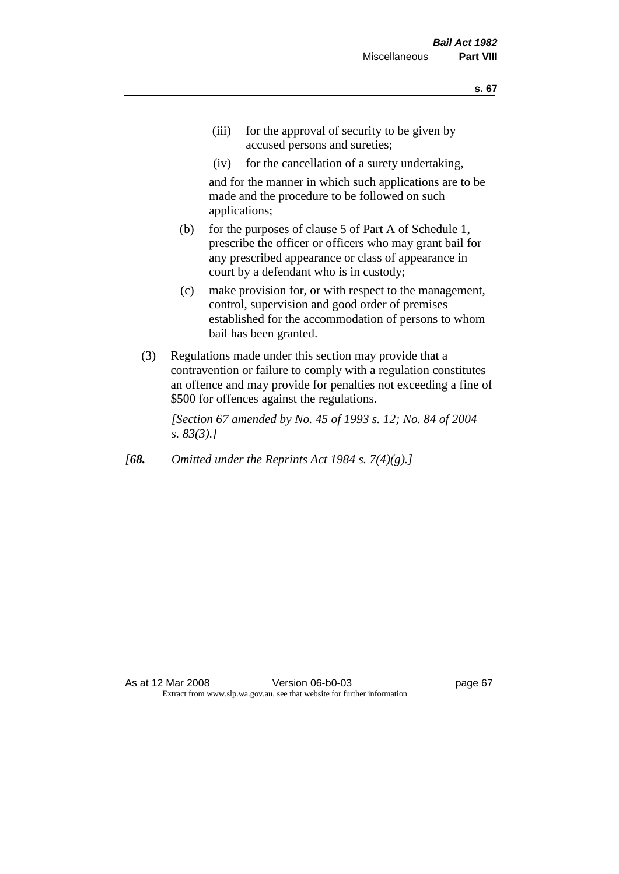- (iii) for the approval of security to be given by accused persons and sureties;
- (iv) for the cancellation of a surety undertaking,

and for the manner in which such applications are to be made and the procedure to be followed on such applications;

- (b) for the purposes of clause 5 of Part A of Schedule 1, prescribe the officer or officers who may grant bail for any prescribed appearance or class of appearance in court by a defendant who is in custody;
- (c) make provision for, or with respect to the management, control, supervision and good order of premises established for the accommodation of persons to whom bail has been granted.
- (3) Regulations made under this section may provide that a contravention or failure to comply with a regulation constitutes an offence and may provide for penalties not exceeding a fine of \$500 for offences against the regulations.

*[Section 67 amended by No. 45 of 1993 s. 12; No. 84 of 2004 s. 83(3).]* 

*[68. Omitted under the Reprints Act 1984 s. 7(4)(g).]*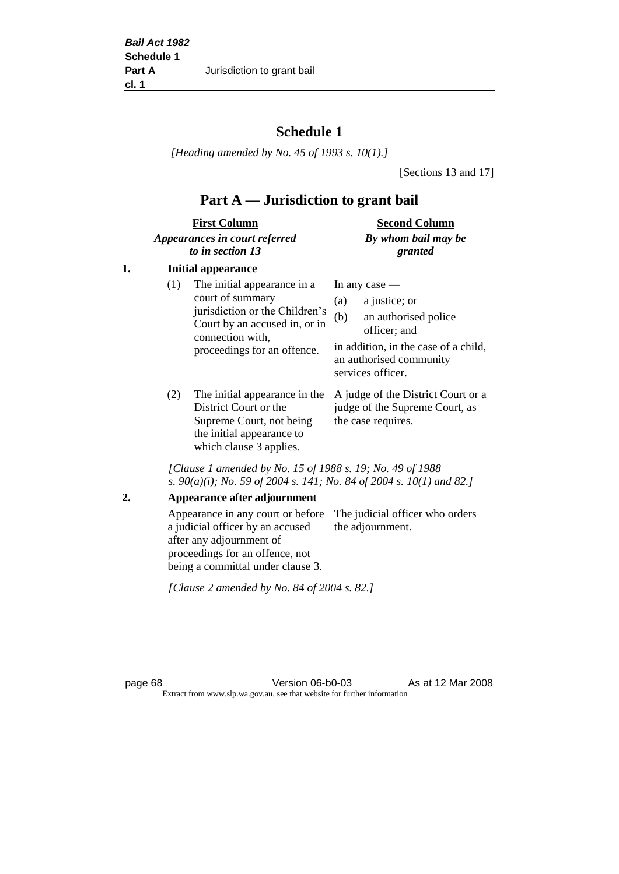# **Schedule 1**

*[Heading amended by No. 45 of 1993 s. 10(1).]*

[Sections 13 and 17]

# **Part A — Jurisdiction to grant bail**

| <b>First Column</b>           | <b>Second Column</b> |
|-------------------------------|----------------------|
| Appearances in court referred | By whom bail may be  |
| to in section 13              | granted              |

#### **1. Initial appearance**

| (1) | The initial appearance in a<br>court of summary<br>jurisdiction or the Children's | In any case $-$<br>a justice; or<br>(a)                                                                                             |  |
|-----|-----------------------------------------------------------------------------------|-------------------------------------------------------------------------------------------------------------------------------------|--|
|     | Court by an accused in, or in<br>connection with,<br>proceedings for an offence.  | an authorised police<br>(b)<br>officer; and<br>in addition, in the case of a child,<br>an authorised community<br>services officer. |  |
|     |                                                                                   |                                                                                                                                     |  |

District Court or the Supreme Court, not being the initial appearance to which clause 3 applies.

(2) The initial appearance in the A judge of the District Court or a judge of the Supreme Court, as the case requires.

*[Clause 1 amended by No. 15 of 1988 s. 19; No. 49 of 1988 s. 90(a)(i); No. 59 of 2004 s. 141; No. 84 of 2004 s. 10(1) and 82.]*

#### **2. Appearance after adjournment**

Appearance in any court or before The judicial officer who orders a judicial officer by an accused after any adjournment of proceedings for an offence, not being a committal under clause 3. the adjournment.

*[Clause 2 amended by No. 84 of 2004 s. 82.]*

page 68 Version 06-b0-03 As at 12 Mar 2008 Extract from www.slp.wa.gov.au, see that website for further information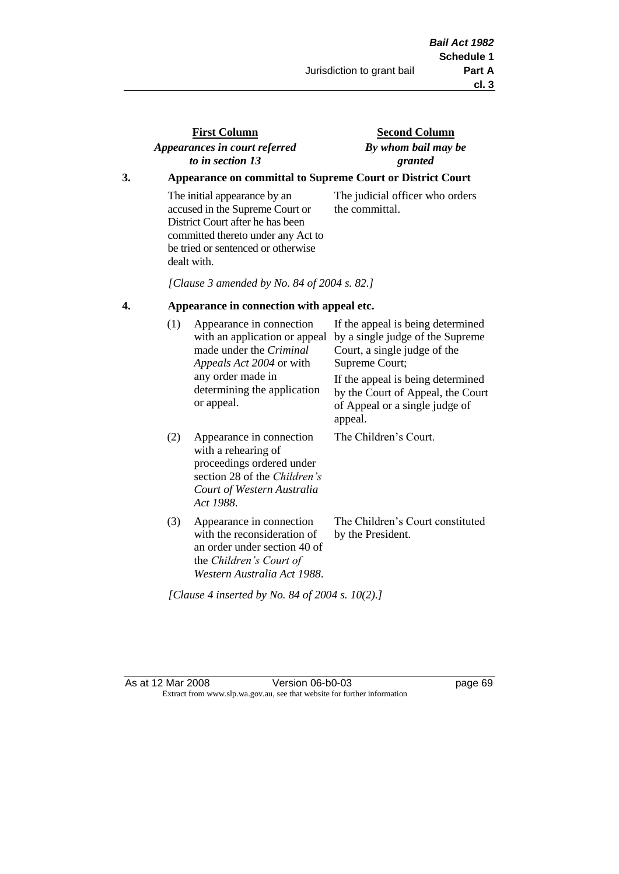### **First Column** *Appearances in court referred to in section 13*

### **Second Column** *By whom bail may be granted*

### **3. Appearance on committal to Supreme Court or District Court**

The initial appearance by an accused in the Supreme Court or District Court after he has been committed thereto under any Act to be tried or sentenced or otherwise dealt with.

The judicial officer who orders the committal.

*[Clause 3 amended by No. 84 of 2004 s. 82.]*

#### **4. Appearance in connection with appeal etc.**

| (1) | Appearance in connection<br>with an application or appeal<br>made under the <i>Criminal</i><br><i>Appeals Act 2004</i> or with<br>any order made in<br>determining the application<br>or appeal. | If the appeal is being determined<br>by a single judge of the Supreme<br>Court, a single judge of the<br>Supreme Court;<br>If the appeal is being determined<br>by the Court of Appeal, the Court<br>of Appeal or a single judge of<br>appeal. |
|-----|--------------------------------------------------------------------------------------------------------------------------------------------------------------------------------------------------|------------------------------------------------------------------------------------------------------------------------------------------------------------------------------------------------------------------------------------------------|
| (2) | Appearance in connection<br>with a rehearing of<br>proceedings ordered under<br>section 28 of the Children's<br>Court of Western Australia<br>Act 1988.                                          | The Children's Court.                                                                                                                                                                                                                          |
| (3) | Appearance in connection<br>with the reconsideration of<br>an order under section 40 of<br>the Children's Court of<br>Western Australia Act 1988.                                                | The Children's Court constituted<br>by the President.                                                                                                                                                                                          |

*[Clause 4 inserted by No. 84 of 2004 s. 10(2).]*

As at 12 Mar 2008 Version 06-b0-03 page 69 Extract from www.slp.wa.gov.au, see that website for further information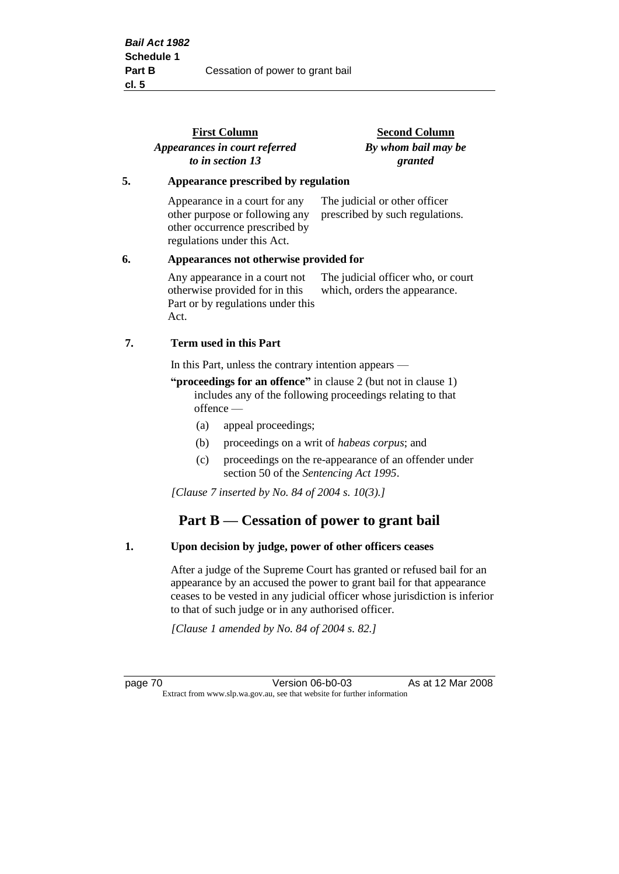|                                              | <b>First Column</b><br>Appearances in court referred<br>to in section 13                                                         | <b>Second Column</b><br>By whom bail may be<br>granted              |
|----------------------------------------------|----------------------------------------------------------------------------------------------------------------------------------|---------------------------------------------------------------------|
| 5.                                           | Appearance prescribed by regulation                                                                                              |                                                                     |
|                                              | Appearance in a court for any<br>other purpose or following any<br>other occurrence prescribed by<br>regulations under this Act. | The judicial or other officer<br>prescribed by such regulations.    |
| 6.<br>Appearances not otherwise provided for |                                                                                                                                  |                                                                     |
|                                              | Any appearance in a court not<br>otherwise provided for in this<br>Part or by regulations under this<br>Act.                     | The judicial officer who, or court<br>which, orders the appearance. |
| 7.                                           | Term used in this Part                                                                                                           |                                                                     |
|                                              | In this Part, unless the contrary intention appears —                                                                            |                                                                     |

**"proceedings for an offence"** in clause 2 (but not in clause 1) includes any of the following proceedings relating to that offence —

- (a) appeal proceedings;
- (b) proceedings on a writ of *habeas corpus*; and
- (c) proceedings on the re-appearance of an offender under section 50 of the *Sentencing Act 1995*.

*[Clause 7 inserted by No. 84 of 2004 s. 10(3).]*

# **Part B — Cessation of power to grant bail**

#### **1. Upon decision by judge, power of other officers ceases**

After a judge of the Supreme Court has granted or refused bail for an appearance by an accused the power to grant bail for that appearance ceases to be vested in any judicial officer whose jurisdiction is inferior to that of such judge or in any authorised officer.

*[Clause 1 amended by No. 84 of 2004 s. 82.]*

page 70 Version 06-b0-03 As at 12 Mar 2008 Extract from www.slp.wa.gov.au, see that website for further information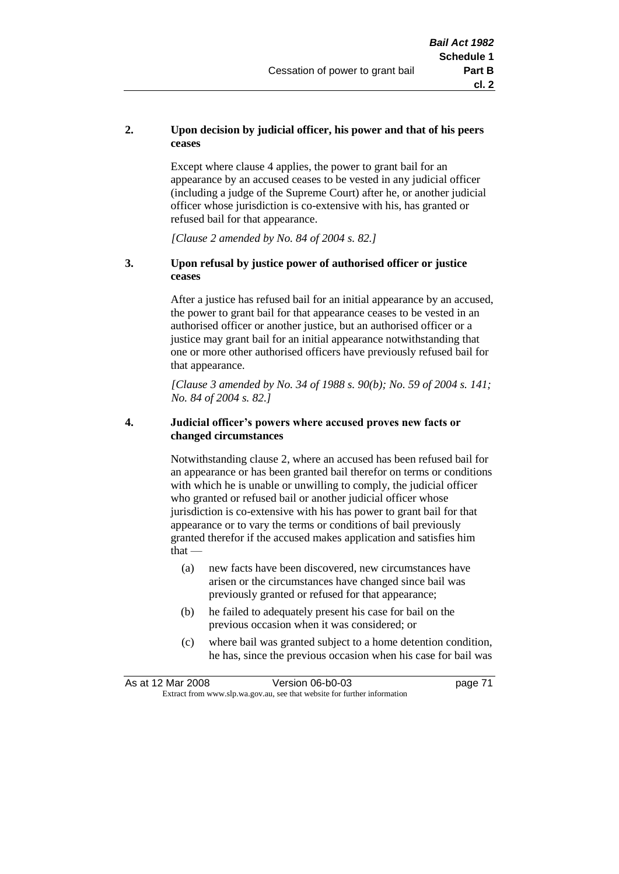#### **2. Upon decision by judicial officer, his power and that of his peers ceases**

Except where clause 4 applies, the power to grant bail for an appearance by an accused ceases to be vested in any judicial officer (including a judge of the Supreme Court) after he, or another judicial officer whose jurisdiction is co-extensive with his, has granted or refused bail for that appearance.

*[Clause 2 amended by No. 84 of 2004 s. 82.]*

#### **3. Upon refusal by justice power of authorised officer or justice ceases**

After a justice has refused bail for an initial appearance by an accused, the power to grant bail for that appearance ceases to be vested in an authorised officer or another justice, but an authorised officer or a justice may grant bail for an initial appearance notwithstanding that one or more other authorised officers have previously refused bail for that appearance.

*[Clause 3 amended by No. 34 of 1988 s. 90(b); No. 59 of 2004 s. 141; No. 84 of 2004 s. 82.]*

#### **4. Judicial officer's powers where accused proves new facts or changed circumstances**

Notwithstanding clause 2, where an accused has been refused bail for an appearance or has been granted bail therefor on terms or conditions with which he is unable or unwilling to comply, the judicial officer who granted or refused bail or another judicial officer whose jurisdiction is co-extensive with his has power to grant bail for that appearance or to vary the terms or conditions of bail previously granted therefor if the accused makes application and satisfies him  $that -$ 

- (a) new facts have been discovered, new circumstances have arisen or the circumstances have changed since bail was previously granted or refused for that appearance;
- (b) he failed to adequately present his case for bail on the previous occasion when it was considered; or
- (c) where bail was granted subject to a home detention condition, he has, since the previous occasion when his case for bail was

| As at 12 Mar 2008 | Version 06-b0-03                                                         | page 71 |
|-------------------|--------------------------------------------------------------------------|---------|
|                   | Extract from www.slp.wa.gov.au, see that website for further information |         |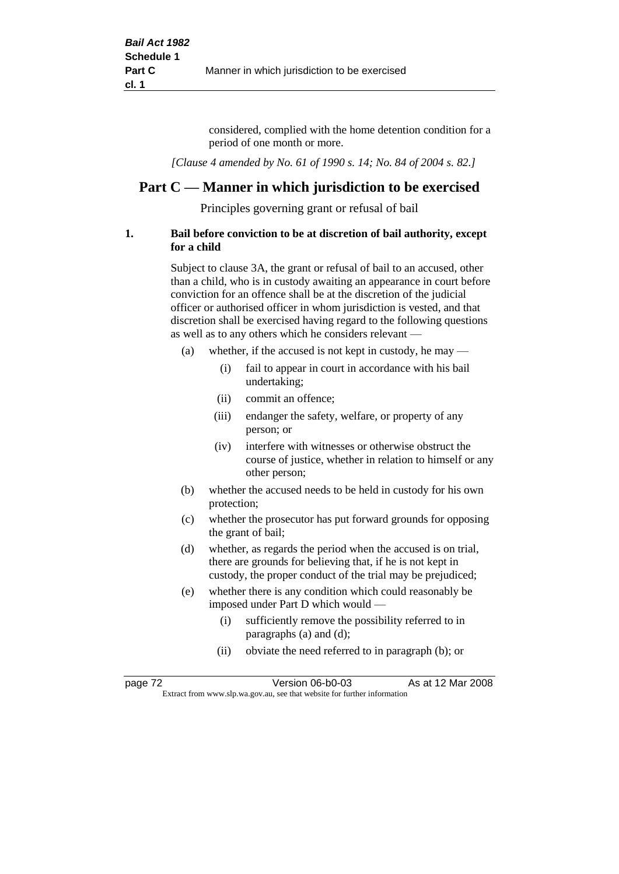considered, complied with the home detention condition for a period of one month or more.

*[Clause 4 amended by No. 61 of 1990 s. 14; No. 84 of 2004 s. 82.]*

## **Part C — Manner in which jurisdiction to be exercised**

Principles governing grant or refusal of bail

#### **1. Bail before conviction to be at discretion of bail authority, except for a child**

Subject to clause 3A, the grant or refusal of bail to an accused, other than a child, who is in custody awaiting an appearance in court before conviction for an offence shall be at the discretion of the judicial officer or authorised officer in whom jurisdiction is vested, and that discretion shall be exercised having regard to the following questions as well as to any others which he considers relevant —

- (a) whether, if the accused is not kept in custody, he may
	- (i) fail to appear in court in accordance with his bail undertaking;
	- (ii) commit an offence;
	- (iii) endanger the safety, welfare, or property of any person; or
	- (iv) interfere with witnesses or otherwise obstruct the course of justice, whether in relation to himself or any other person;
- (b) whether the accused needs to be held in custody for his own protection;
- (c) whether the prosecutor has put forward grounds for opposing the grant of bail;
- (d) whether, as regards the period when the accused is on trial, there are grounds for believing that, if he is not kept in custody, the proper conduct of the trial may be prejudiced;
- (e) whether there is any condition which could reasonably be imposed under Part D which would —
	- (i) sufficiently remove the possibility referred to in paragraphs (a) and (d);
	- (ii) obviate the need referred to in paragraph (b); or

| page 72 | Version 06-b0-03                                                         | As at 12 Mar 2008 |  |
|---------|--------------------------------------------------------------------------|-------------------|--|
|         | Extract from www.slp.wa.gov.au, see that website for further information |                   |  |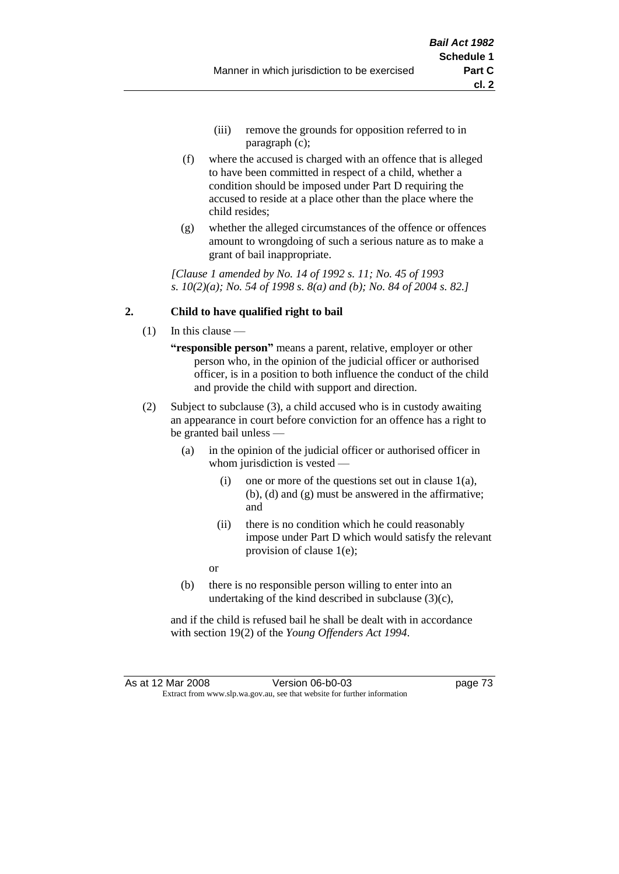- (iii) remove the grounds for opposition referred to in paragraph (c);
- (f) where the accused is charged with an offence that is alleged to have been committed in respect of a child, whether a condition should be imposed under Part D requiring the accused to reside at a place other than the place where the child resides;
- (g) whether the alleged circumstances of the offence or offences amount to wrongdoing of such a serious nature as to make a grant of bail inappropriate.

*[Clause 1 amended by No. 14 of 1992 s. 11; No. 45 of 1993 s. 10(2)(a); No. 54 of 1998 s. 8(a) and (b); No. 84 of 2004 s. 82.]*

#### **2. Child to have qualified right to bail**

- (1) In this clause
	- **"responsible person"** means a parent, relative, employer or other person who, in the opinion of the judicial officer or authorised officer, is in a position to both influence the conduct of the child and provide the child with support and direction.
- (2) Subject to subclause (3), a child accused who is in custody awaiting an appearance in court before conviction for an offence has a right to be granted bail unless —
	- (a) in the opinion of the judicial officer or authorised officer in whom jurisdiction is vested —
		- (i) one or more of the questions set out in clause  $1(a)$ , (b), (d) and (g) must be answered in the affirmative; and
		- (ii) there is no condition which he could reasonably impose under Part D which would satisfy the relevant provision of clause 1(e);
		- or
	- (b) there is no responsible person willing to enter into an undertaking of the kind described in subclause (3)(c),

and if the child is refused bail he shall be dealt with in accordance with section 19(2) of the *Young Offenders Act 1994*.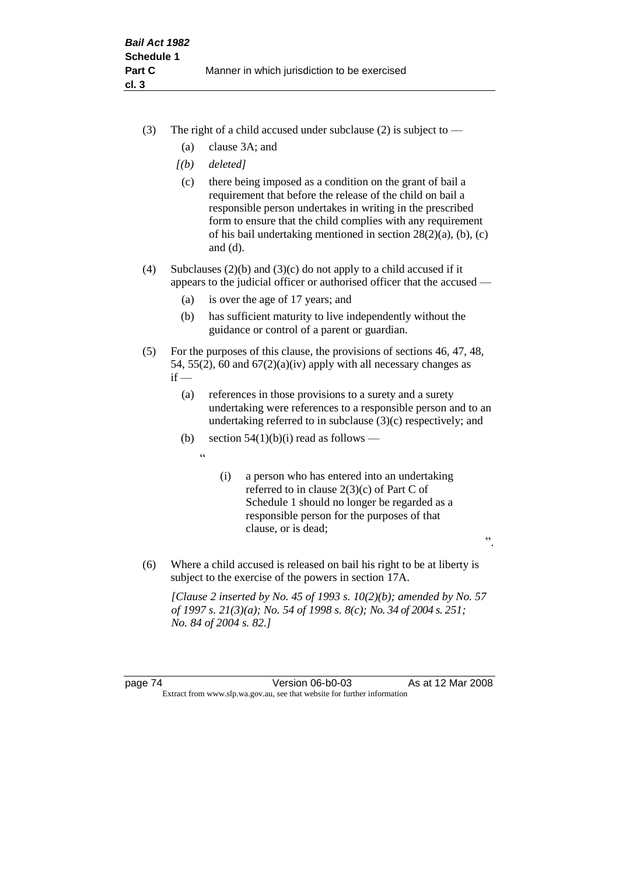- (3) The right of a child accused under subclause (2) is subject to  $-$ 
	- (a) clause 3A; and
	- *[(b) deleted]*
	- (c) there being imposed as a condition on the grant of bail a requirement that before the release of the child on bail a responsible person undertakes in writing in the prescribed form to ensure that the child complies with any requirement of his bail undertaking mentioned in section 28(2)(a), (b), (c) and (d).
- (4) Subclauses (2)(b) and (3)(c) do not apply to a child accused if it appears to the judicial officer or authorised officer that the accused —
	- (a) is over the age of 17 years; and
	- (b) has sufficient maturity to live independently without the guidance or control of a parent or guardian.
- (5) For the purposes of this clause, the provisions of sections 46, 47, 48, 54, 55(2), 60 and  $67(2)(a)(iv)$  apply with all necessary changes as  $if -$ 
	- (a) references in those provisions to a surety and a surety undertaking were references to a responsible person and to an undertaking referred to in subclause (3)(c) respectively; and
	- (b) section  $54(1)(b)(i)$  read as follows
		- $\epsilon$
- (i) a person who has entered into an undertaking referred to in clause 2(3)(c) of Part C of Schedule 1 should no longer be regarded as a responsible person for the purposes of that clause, or is dead;

".

(6) Where a child accused is released on bail his right to be at liberty is subject to the exercise of the powers in section 17A.

*[Clause 2 inserted by No. 45 of 1993 s. 10(2)(b); amended by No. 57 of 1997 s. 21(3)(a); No. 54 of 1998 s. 8(c); No. 34 of 2004 s. 251; No. 84 of 2004 s. 82.]*

page 74 Version 06-b0-03 As at 12 Mar 2008 Extract from www.slp.wa.gov.au, see that website for further information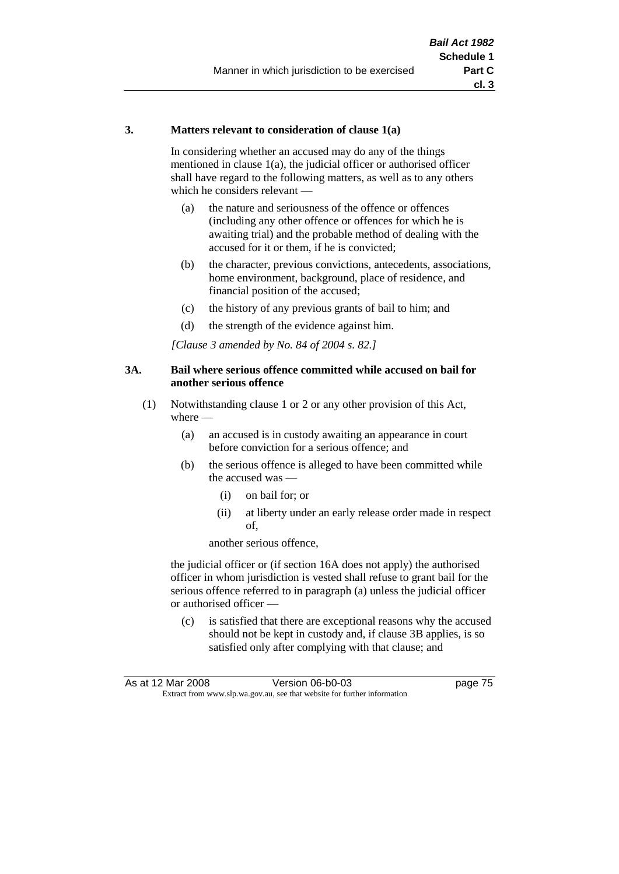#### **3. Matters relevant to consideration of clause 1(a)**

In considering whether an accused may do any of the things mentioned in clause 1(a), the judicial officer or authorised officer shall have regard to the following matters, as well as to any others which he considers relevant —

- (a) the nature and seriousness of the offence or offences (including any other offence or offences for which he is awaiting trial) and the probable method of dealing with the accused for it or them, if he is convicted;
- (b) the character, previous convictions, antecedents, associations, home environment, background, place of residence, and financial position of the accused;
- (c) the history of any previous grants of bail to him; and
- (d) the strength of the evidence against him.

*[Clause 3 amended by No. 84 of 2004 s. 82.]*

#### **3A. Bail where serious offence committed while accused on bail for another serious offence**

- (1) Notwithstanding clause 1 or 2 or any other provision of this Act, where —
	- (a) an accused is in custody awaiting an appearance in court before conviction for a serious offence; and
	- (b) the serious offence is alleged to have been committed while the accused was —
		- (i) on bail for; or
		- (ii) at liberty under an early release order made in respect of,

another serious offence,

the judicial officer or (if section 16A does not apply) the authorised officer in whom jurisdiction is vested shall refuse to grant bail for the serious offence referred to in paragraph (a) unless the judicial officer or authorised officer —

(c) is satisfied that there are exceptional reasons why the accused should not be kept in custody and, if clause 3B applies, is so satisfied only after complying with that clause; and

| As at 12 Mar 2008 | Version 06-b0-03                                                         | page 75 |
|-------------------|--------------------------------------------------------------------------|---------|
|                   | Extract from www.slp.wa.gov.au, see that website for further information |         |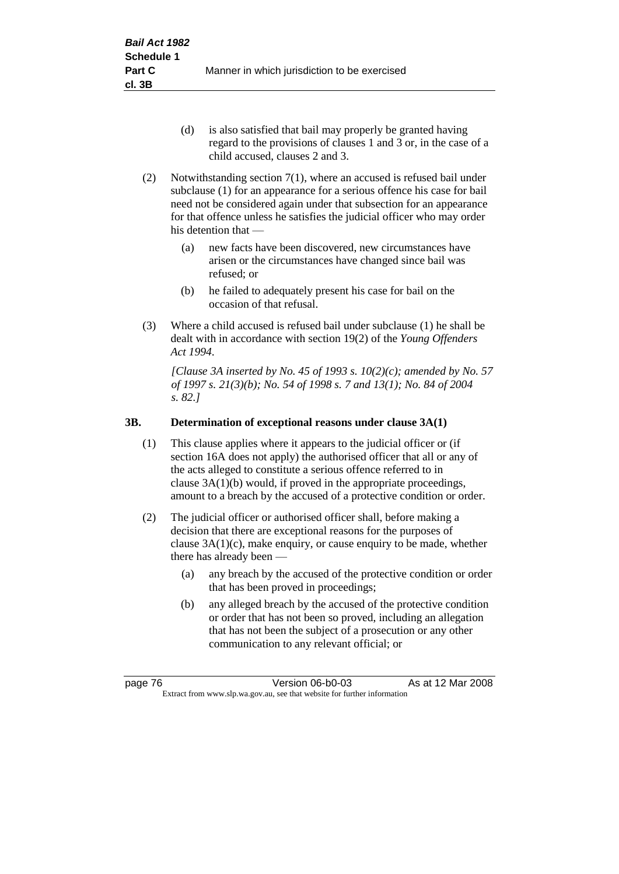- (d) is also satisfied that bail may properly be granted having regard to the provisions of clauses 1 and 3 or, in the case of a child accused, clauses 2 and 3.
- (2) Notwithstanding section 7(1), where an accused is refused bail under subclause (1) for an appearance for a serious offence his case for bail need not be considered again under that subsection for an appearance for that offence unless he satisfies the judicial officer who may order his detention that —
	- (a) new facts have been discovered, new circumstances have arisen or the circumstances have changed since bail was refused; or
	- (b) he failed to adequately present his case for bail on the occasion of that refusal.
- (3) Where a child accused is refused bail under subclause (1) he shall be dealt with in accordance with section 19(2) of the *Young Offenders Act 1994*.

*[Clause 3A inserted by No. 45 of 1993 s. 10(2)(c); amended by No. 57 of 1997 s. 21(3)(b); No. 54 of 1998 s. 7 and 13(1); No. 84 of 2004 s. 82.]*

#### **3B. Determination of exceptional reasons under clause 3A(1)**

- (1) This clause applies where it appears to the judicial officer or (if section 16A does not apply) the authorised officer that all or any of the acts alleged to constitute a serious offence referred to in clause 3A(1)(b) would, if proved in the appropriate proceedings, amount to a breach by the accused of a protective condition or order.
- (2) The judicial officer or authorised officer shall, before making a decision that there are exceptional reasons for the purposes of clause  $3A(1)(c)$ , make enquiry, or cause enquiry to be made, whether there has already been -
	- (a) any breach by the accused of the protective condition or order that has been proved in proceedings;
	- (b) any alleged breach by the accused of the protective condition or order that has not been so proved, including an allegation that has not been the subject of a prosecution or any other communication to any relevant official; or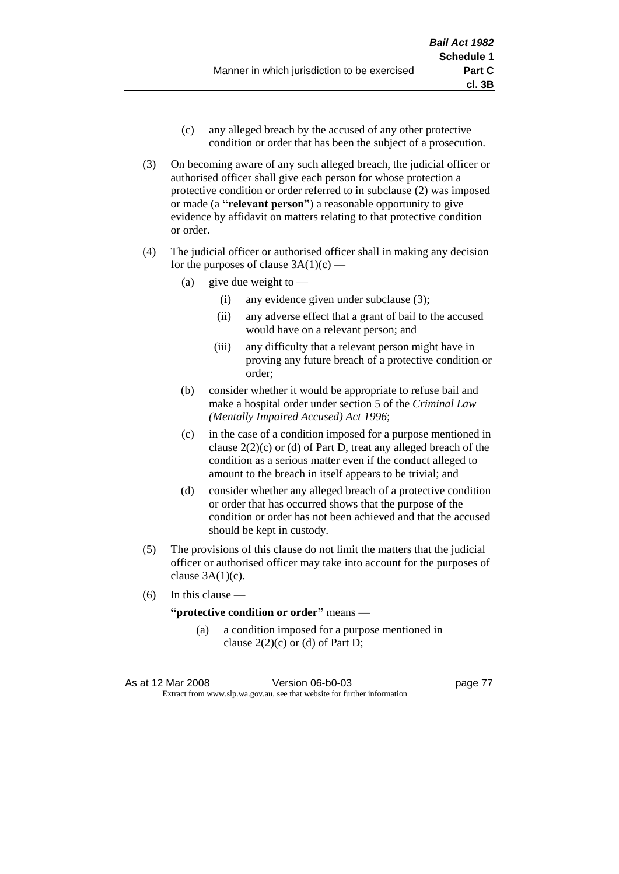- (c) any alleged breach by the accused of any other protective condition or order that has been the subject of a prosecution.
- (3) On becoming aware of any such alleged breach, the judicial officer or authorised officer shall give each person for whose protection a protective condition or order referred to in subclause (2) was imposed or made (a **"relevant person"**) a reasonable opportunity to give evidence by affidavit on matters relating to that protective condition or order.
- (4) The judicial officer or authorised officer shall in making any decision for the purposes of clause  $3A(1)(c)$  —
	- (a) give due weight to  $-$ 
		- (i) any evidence given under subclause (3);
		- (ii) any adverse effect that a grant of bail to the accused would have on a relevant person; and
		- (iii) any difficulty that a relevant person might have in proving any future breach of a protective condition or order;
	- (b) consider whether it would be appropriate to refuse bail and make a hospital order under section 5 of the *Criminal Law (Mentally Impaired Accused) Act 1996*;
	- (c) in the case of a condition imposed for a purpose mentioned in clause  $2(2)(c)$  or (d) of Part D, treat any alleged breach of the condition as a serious matter even if the conduct alleged to amount to the breach in itself appears to be trivial; and
	- (d) consider whether any alleged breach of a protective condition or order that has occurred shows that the purpose of the condition or order has not been achieved and that the accused should be kept in custody.
- (5) The provisions of this clause do not limit the matters that the judicial officer or authorised officer may take into account for the purposes of clause  $3A(1)(c)$ .
- (6) In this clause —

#### **"protective condition or order"** means —

(a) a condition imposed for a purpose mentioned in clause  $2(2)(c)$  or (d) of Part D;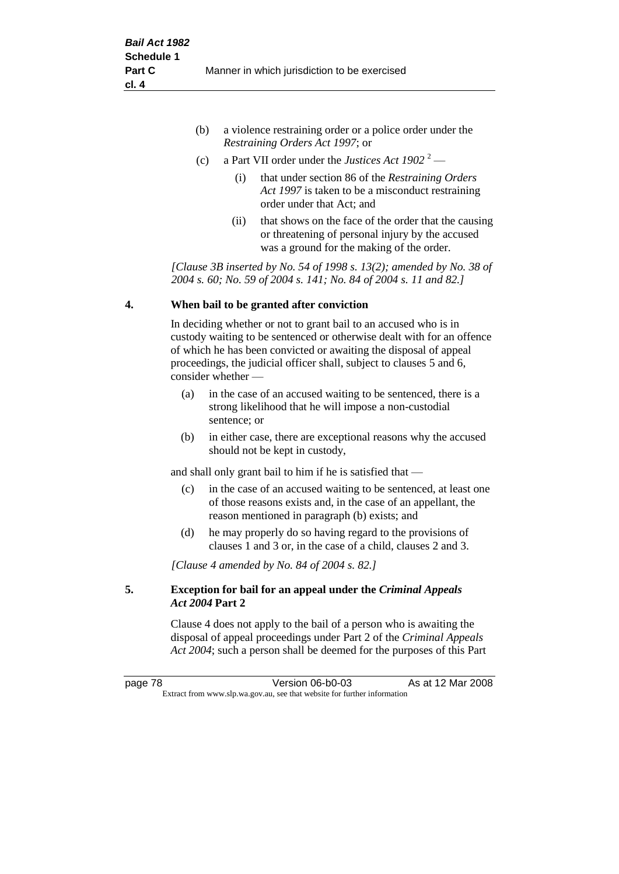| (b) | a violence restraining order or a police order under the |
|-----|----------------------------------------------------------|
|     | <i>Restraining Orders Act 1997; or</i>                   |

- (c) a Part VII order under the *Justices Act 1902* <sup>2</sup>
	- (i) that under section 86 of the *Restraining Orders Act 1997* is taken to be a misconduct restraining order under that Act; and
	- (ii) that shows on the face of the order that the causing or threatening of personal injury by the accused was a ground for the making of the order.

*[Clause 3B inserted by No. 54 of 1998 s. 13(2); amended by No. 38 of 2004 s. 60; No. 59 of 2004 s. 141; No. 84 of 2004 s. 11 and 82.]*

#### **4. When bail to be granted after conviction**

In deciding whether or not to grant bail to an accused who is in custody waiting to be sentenced or otherwise dealt with for an offence of which he has been convicted or awaiting the disposal of appeal proceedings, the judicial officer shall, subject to clauses 5 and 6, consider whether —

- (a) in the case of an accused waiting to be sentenced, there is a strong likelihood that he will impose a non-custodial sentence; or
- (b) in either case, there are exceptional reasons why the accused should not be kept in custody,

and shall only grant bail to him if he is satisfied that —

- (c) in the case of an accused waiting to be sentenced, at least one of those reasons exists and, in the case of an appellant, the reason mentioned in paragraph (b) exists; and
- (d) he may properly do so having regard to the provisions of clauses 1 and 3 or, in the case of a child, clauses 2 and 3.

*[Clause 4 amended by No. 84 of 2004 s. 82.]*

#### **5. Exception for bail for an appeal under the** *Criminal Appeals Act 2004* **Part 2**

Clause 4 does not apply to the bail of a person who is awaiting the disposal of appeal proceedings under Part 2 of the *Criminal Appeals Act 2004*; such a person shall be deemed for the purposes of this Part

page 78 Version 06-b0-03 As at 12 Mar 2008 Extract from www.slp.wa.gov.au, see that website for further information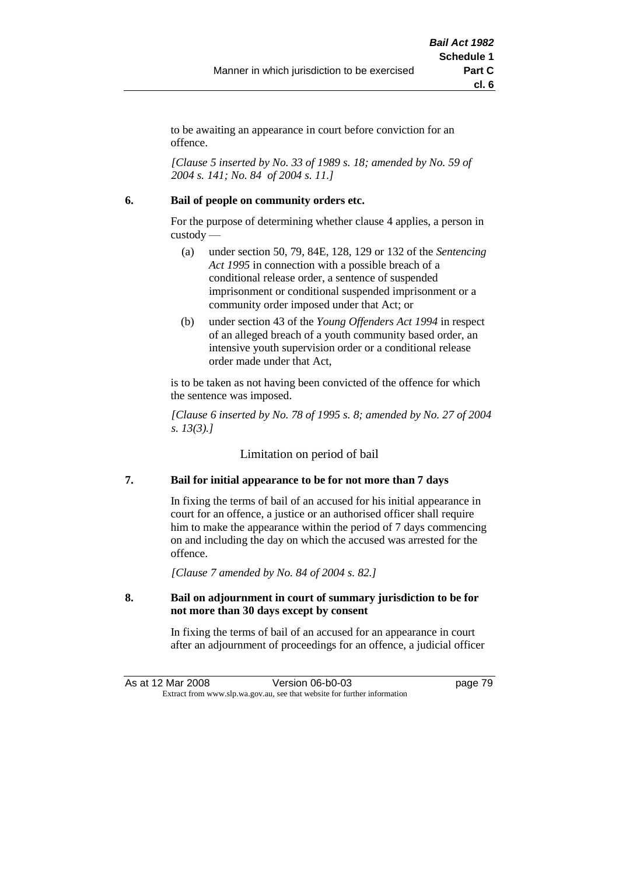to be awaiting an appearance in court before conviction for an offence.

*[Clause 5 inserted by No. 33 of 1989 s. 18; amended by No. 59 of 2004 s. 141; No. 84 of 2004 s. 11.]*

#### **6. Bail of people on community orders etc.**

For the purpose of determining whether clause 4 applies, a person in custody —

- (a) under section 50, 79, 84E, 128, 129 or 132 of the *Sentencing Act 1995* in connection with a possible breach of a conditional release order, a sentence of suspended imprisonment or conditional suspended imprisonment or a community order imposed under that Act; or
- (b) under section 43 of the *Young Offenders Act 1994* in respect of an alleged breach of a youth community based order, an intensive youth supervision order or a conditional release order made under that Act,

is to be taken as not having been convicted of the offence for which the sentence was imposed.

*[Clause 6 inserted by No. 78 of 1995 s. 8; amended by No. 27 of 2004 s. 13(3).]*

Limitation on period of bail

#### **7. Bail for initial appearance to be for not more than 7 days**

In fixing the terms of bail of an accused for his initial appearance in court for an offence, a justice or an authorised officer shall require him to make the appearance within the period of 7 days commencing on and including the day on which the accused was arrested for the offence.

*[Clause 7 amended by No. 84 of 2004 s. 82.]*

#### **8. Bail on adjournment in court of summary jurisdiction to be for not more than 30 days except by consent**

In fixing the terms of bail of an accused for an appearance in court after an adjournment of proceedings for an offence, a judicial officer

As at 12 Mar 2008 Version 06-b0-03 page 79 Extract from www.slp.wa.gov.au, see that website for further information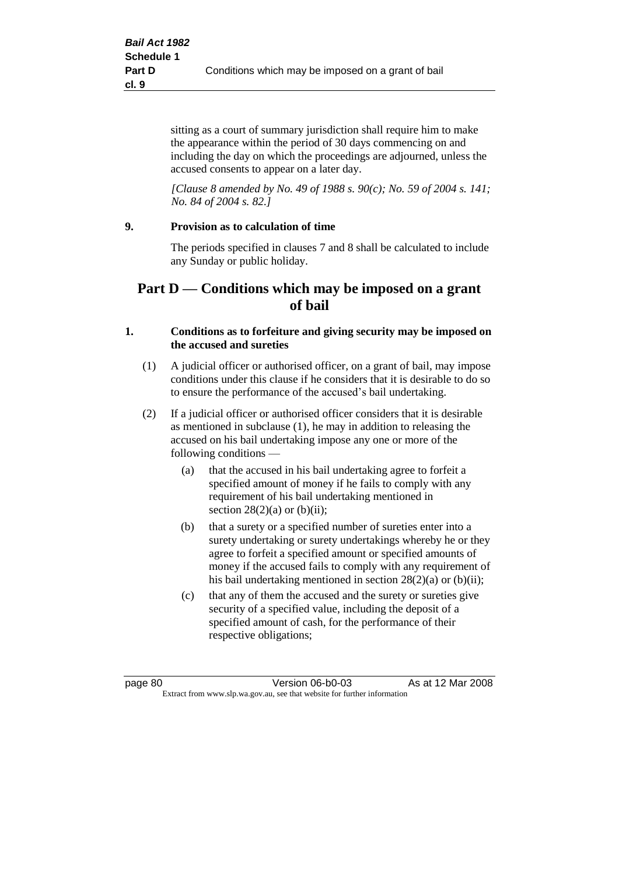sitting as a court of summary jurisdiction shall require him to make the appearance within the period of 30 days commencing on and including the day on which the proceedings are adjourned, unless the accused consents to appear on a later day.

*[Clause 8 amended by No. 49 of 1988 s. 90(c); No. 59 of 2004 s. 141; No. 84 of 2004 s. 82.]*

#### **9. Provision as to calculation of time**

The periods specified in clauses 7 and 8 shall be calculated to include any Sunday or public holiday.

## **Part D — Conditions which may be imposed on a grant of bail**

#### **1. Conditions as to forfeiture and giving security may be imposed on the accused and sureties**

- (1) A judicial officer or authorised officer, on a grant of bail, may impose conditions under this clause if he considers that it is desirable to do so to ensure the performance of the accused's bail undertaking.
- (2) If a judicial officer or authorised officer considers that it is desirable as mentioned in subclause (1), he may in addition to releasing the accused on his bail undertaking impose any one or more of the following conditions —
	- (a) that the accused in his bail undertaking agree to forfeit a specified amount of money if he fails to comply with any requirement of his bail undertaking mentioned in section  $28(2)(a)$  or  $(b)(ii)$ ;
	- (b) that a surety or a specified number of sureties enter into a surety undertaking or surety undertakings whereby he or they agree to forfeit a specified amount or specified amounts of money if the accused fails to comply with any requirement of his bail undertaking mentioned in section 28(2)(a) or (b)(ii);
	- (c) that any of them the accused and the surety or sureties give security of a specified value, including the deposit of a specified amount of cash, for the performance of their respective obligations;

page 80 Version 06-b0-03 As at 12 Mar 2008 Extract from www.slp.wa.gov.au, see that website for further information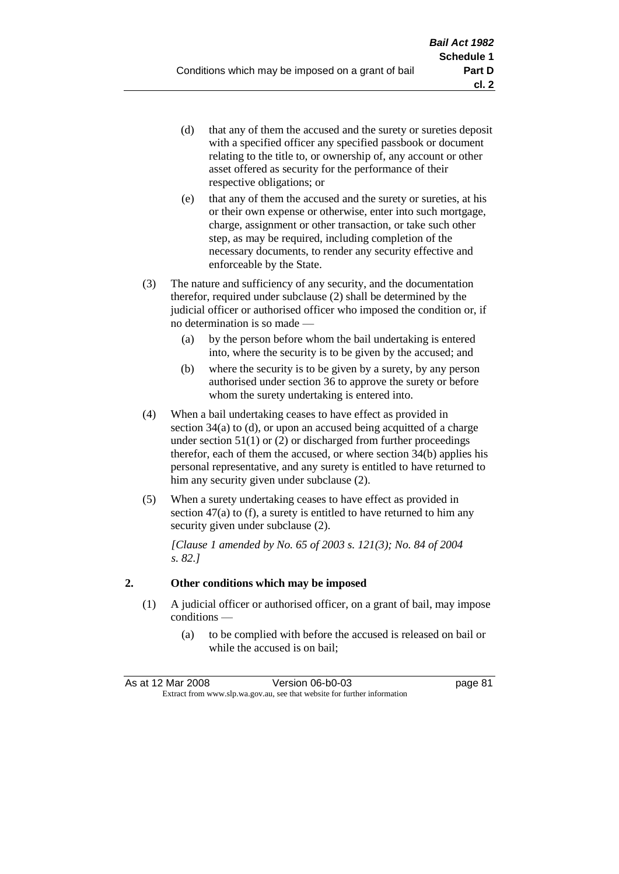- (d) that any of them the accused and the surety or sureties deposit with a specified officer any specified passbook or document relating to the title to, or ownership of, any account or other asset offered as security for the performance of their respective obligations; or
- (e) that any of them the accused and the surety or sureties, at his or their own expense or otherwise, enter into such mortgage, charge, assignment or other transaction, or take such other step, as may be required, including completion of the necessary documents, to render any security effective and enforceable by the State.
- (3) The nature and sufficiency of any security, and the documentation therefor, required under subclause (2) shall be determined by the judicial officer or authorised officer who imposed the condition or, if no determination is so made —
	- (a) by the person before whom the bail undertaking is entered into, where the security is to be given by the accused; and
	- (b) where the security is to be given by a surety, by any person authorised under section 36 to approve the surety or before whom the surety undertaking is entered into.
- (4) When a bail undertaking ceases to have effect as provided in section 34(a) to (d), or upon an accused being acquitted of a charge under section  $51(1)$  or (2) or discharged from further proceedings therefor, each of them the accused, or where section 34(b) applies his personal representative, and any surety is entitled to have returned to him any security given under subclause (2).
- (5) When a surety undertaking ceases to have effect as provided in section 47(a) to (f), a surety is entitled to have returned to him any security given under subclause  $(2)$ .

*[Clause 1 amended by No. 65 of 2003 s. 121(3); No. 84 of 2004 s. 82.]*

#### **2. Other conditions which may be imposed**

- (1) A judicial officer or authorised officer, on a grant of bail, may impose conditions —
	- (a) to be complied with before the accused is released on bail or while the accused is on bail;

| As at 12 Mar 2008 | Version 06-b0-03                                                         | page 81 |
|-------------------|--------------------------------------------------------------------------|---------|
|                   | Extract from www.slp.wa.gov.au, see that website for further information |         |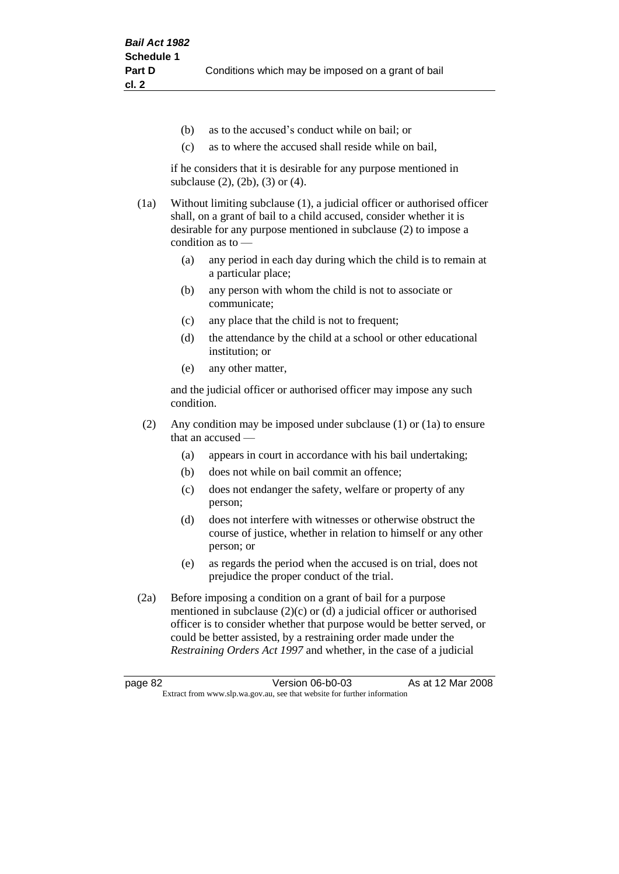- (b) as to the accused's conduct while on bail; or
- (c) as to where the accused shall reside while on bail,

if he considers that it is desirable for any purpose mentioned in subclause (2), (2b), (3) or (4).

(1a) Without limiting subclause (1), a judicial officer or authorised officer shall, on a grant of bail to a child accused, consider whether it is desirable for any purpose mentioned in subclause (2) to impose a condition as to —

- (a) any period in each day during which the child is to remain at a particular place;
- (b) any person with whom the child is not to associate or communicate;
- (c) any place that the child is not to frequent;
- (d) the attendance by the child at a school or other educational institution; or
- (e) any other matter,

and the judicial officer or authorised officer may impose any such condition.

- (2) Any condition may be imposed under subclause (1) or (1a) to ensure that an accused —
	- (a) appears in court in accordance with his bail undertaking;
	- (b) does not while on bail commit an offence;
	- (c) does not endanger the safety, welfare or property of any person;
	- (d) does not interfere with witnesses or otherwise obstruct the course of justice, whether in relation to himself or any other person; or
	- (e) as regards the period when the accused is on trial, does not prejudice the proper conduct of the trial.
- (2a) Before imposing a condition on a grant of bail for a purpose mentioned in subclause (2)(c) or (d) a judicial officer or authorised officer is to consider whether that purpose would be better served, or could be better assisted, by a restraining order made under the *Restraining Orders Act 1997* and whether, in the case of a judicial

page 82 Version 06-b0-03 As at 12 Mar 2008 Extract from www.slp.wa.gov.au, see that website for further information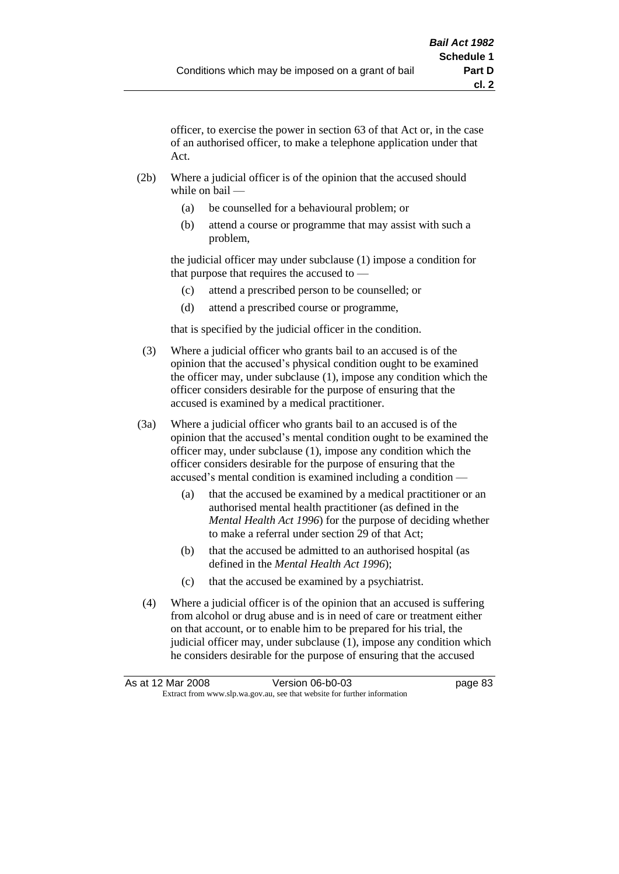officer, to exercise the power in section 63 of that Act or, in the case of an authorised officer, to make a telephone application under that Act.

- (2b) Where a judicial officer is of the opinion that the accused should while on bail —
	- (a) be counselled for a behavioural problem; or
	- (b) attend a course or programme that may assist with such a problem,

the judicial officer may under subclause (1) impose a condition for that purpose that requires the accused to —

- (c) attend a prescribed person to be counselled; or
- (d) attend a prescribed course or programme,

that is specified by the judicial officer in the condition.

- (3) Where a judicial officer who grants bail to an accused is of the opinion that the accused's physical condition ought to be examined the officer may, under subclause (1), impose any condition which the officer considers desirable for the purpose of ensuring that the accused is examined by a medical practitioner.
- (3a) Where a judicial officer who grants bail to an accused is of the opinion that the accused's mental condition ought to be examined the officer may, under subclause (1), impose any condition which the officer considers desirable for the purpose of ensuring that the accused's mental condition is examined including a condition —
	- (a) that the accused be examined by a medical practitioner or an authorised mental health practitioner (as defined in the *Mental Health Act 1996*) for the purpose of deciding whether to make a referral under section 29 of that Act;
	- (b) that the accused be admitted to an authorised hospital (as defined in the *Mental Health Act 1996*);
	- (c) that the accused be examined by a psychiatrist.
- (4) Where a judicial officer is of the opinion that an accused is suffering from alcohol or drug abuse and is in need of care or treatment either on that account, or to enable him to be prepared for his trial, the judicial officer may, under subclause (1), impose any condition which he considers desirable for the purpose of ensuring that the accused

| As at 12 Mar 2008 | Version 06-b0-03                                                         | page 83 |
|-------------------|--------------------------------------------------------------------------|---------|
|                   | Extract from www.slp.wa.gov.au, see that website for further information |         |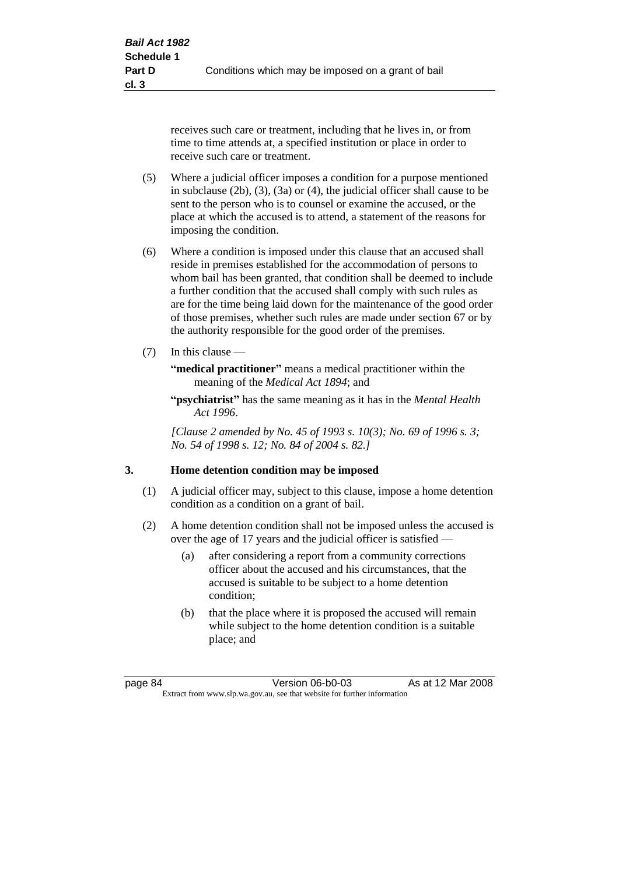receives such care or treatment, including that he lives in, or from time to time attends at, a specified institution or place in order to receive such care or treatment.

- (5) Where a judicial officer imposes a condition for a purpose mentioned in subclause (2b), (3), (3a) or (4), the judicial officer shall cause to be sent to the person who is to counsel or examine the accused, or the place at which the accused is to attend, a statement of the reasons for imposing the condition.
- (6) Where a condition is imposed under this clause that an accused shall reside in premises established for the accommodation of persons to whom bail has been granted, that condition shall be deemed to include a further condition that the accused shall comply with such rules as are for the time being laid down for the maintenance of the good order of those premises, whether such rules are made under section 67 or by the authority responsible for the good order of the premises.
- (7) In this clause —

**"medical practitioner"** means a medical practitioner within the meaning of the *Medical Act 1894*; and

**"psychiatrist"** has the same meaning as it has in the *Mental Health Act 1996*.

*[Clause 2 amended by No. 45 of 1993 s. 10(3); No. 69 of 1996 s. 3; No. 54 of 1998 s. 12; No. 84 of 2004 s. 82.]*

#### **3. Home detention condition may be imposed**

- (1) A judicial officer may, subject to this clause, impose a home detention condition as a condition on a grant of bail.
- (2) A home detention condition shall not be imposed unless the accused is over the age of 17 years and the judicial officer is satisfied —
	- (a) after considering a report from a community corrections officer about the accused and his circumstances, that the accused is suitable to be subject to a home detention condition;
	- (b) that the place where it is proposed the accused will remain while subject to the home detention condition is a suitable place; and

page 84 Version 06-b0-03 As at 12 Mar 2008 Extract from www.slp.wa.gov.au, see that website for further information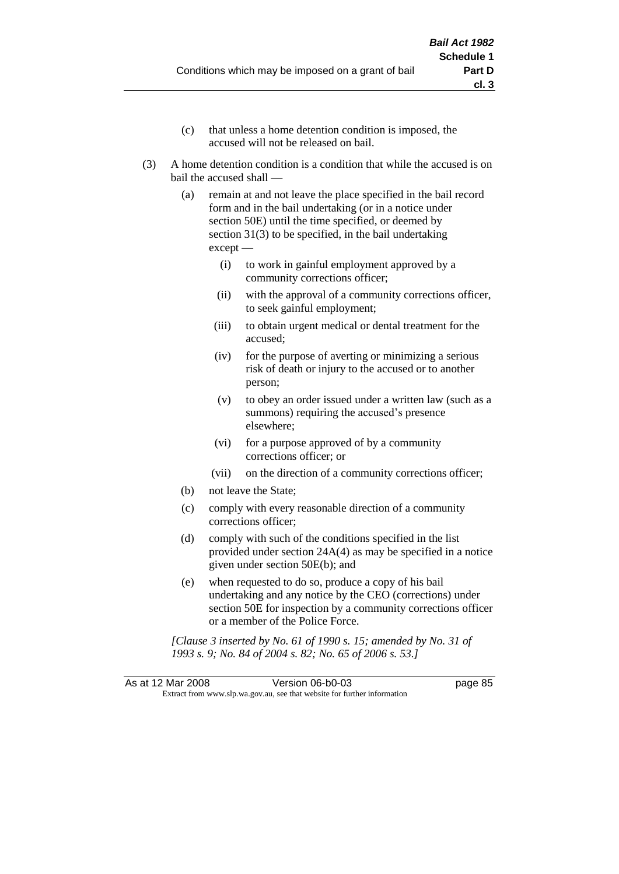- (c) that unless a home detention condition is imposed, the accused will not be released on bail.
- (3) A home detention condition is a condition that while the accused is on bail the accused shall —
	- (a) remain at and not leave the place specified in the bail record form and in the bail undertaking (or in a notice under section 50E) until the time specified, or deemed by section 31(3) to be specified, in the bail undertaking except —
		- (i) to work in gainful employment approved by a community corrections officer;
		- (ii) with the approval of a community corrections officer, to seek gainful employment;
		- (iii) to obtain urgent medical or dental treatment for the accused;
		- (iv) for the purpose of averting or minimizing a serious risk of death or injury to the accused or to another person;
		- (v) to obey an order issued under a written law (such as a summons) requiring the accused's presence elsewhere;
		- (vi) for a purpose approved of by a community corrections officer; or
		- (vii) on the direction of a community corrections officer;
	- (b) not leave the State;
	- (c) comply with every reasonable direction of a community corrections officer;
	- (d) comply with such of the conditions specified in the list provided under section 24A(4) as may be specified in a notice given under section 50E(b); and
	- (e) when requested to do so, produce a copy of his bail undertaking and any notice by the CEO (corrections) under section 50E for inspection by a community corrections officer or a member of the Police Force.

*[Clause 3 inserted by No. 61 of 1990 s. 15; amended by No. 31 of 1993 s. 9; No. 84 of 2004 s. 82; No. 65 of 2006 s. 53.]*

As at 12 Mar 2008 Version 06-b0-03 page 85 Extract from www.slp.wa.gov.au, see that website for further information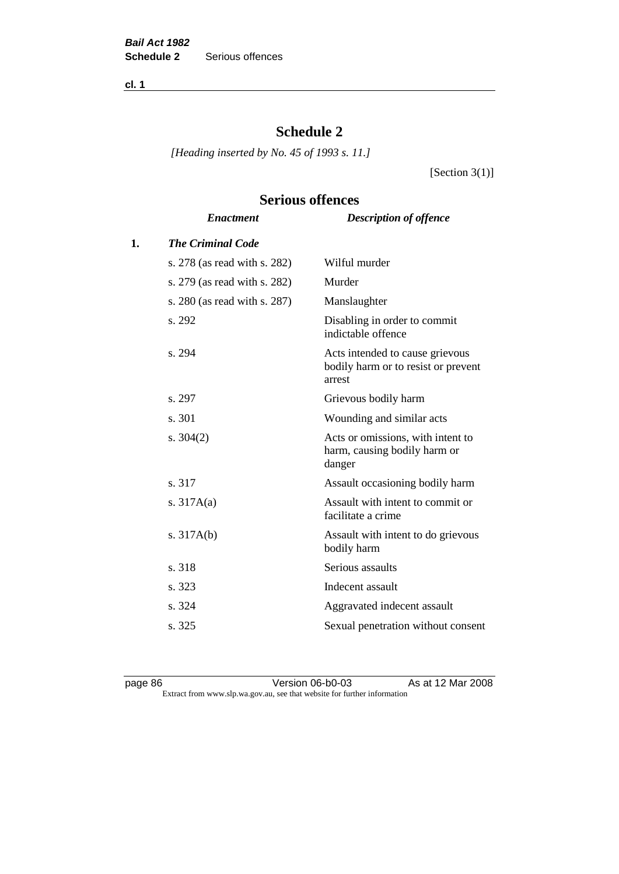**cl. 1**

## **Schedule 2**

**Serious offences**

*[Heading inserted by No. 45 of 1993 s. 11.]*

[Section  $3(1)$ ]

# *Enactment Description of offence* **1.** *The Criminal Code* s. 278 (as read with s. 282) Wilful murder s. 279 (as read with s. 282) Murder s. 280 (as read with s. 287) Manslaughter s. 292 Disabling in order to commit indictable offence s. 294 Acts intended to cause grievous bodily harm or to resist or prevent arrest s. 297 Grievous bodily harm s. 301 Wounding and similar acts s. 304(2) Acts or omissions, with intent to harm, causing bodily harm or danger s. 317 Assault occasioning bodily harm s. 317A(a) Assault with intent to commit or facilitate a crime s. 317A(b) Assault with intent to do grievous bodily harm s. 318 Serious assaults s. 323 Indecent assault s. 324 Aggravated indecent assault s. 325 Sexual penetration without consent

page 86 **Version 06-b0-03** As at 12 Mar 2008 Extract from www.slp.wa.gov.au, see that website for further information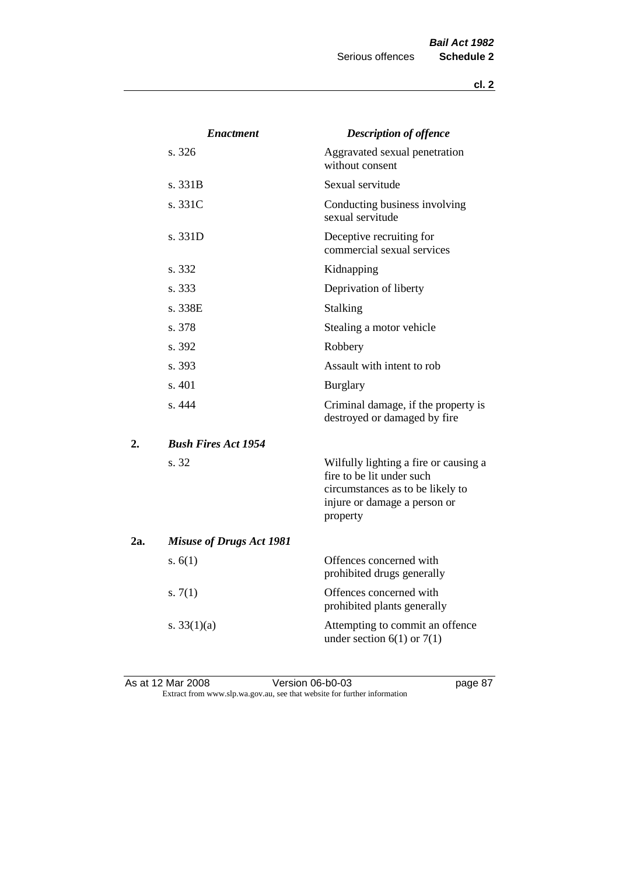|     | <b>Enactment</b>                | <b>Description of offence</b>                                                                                                                      |
|-----|---------------------------------|----------------------------------------------------------------------------------------------------------------------------------------------------|
|     | s. 326                          | Aggravated sexual penetration<br>without consent                                                                                                   |
|     | s. 331B                         | Sexual servitude                                                                                                                                   |
|     | s. 331C                         | Conducting business involving<br>sexual servitude                                                                                                  |
|     | s. 331D                         | Deceptive recruiting for<br>commercial sexual services                                                                                             |
|     | s. 332                          | Kidnapping                                                                                                                                         |
|     | s. 333                          | Deprivation of liberty                                                                                                                             |
|     | s. 338E                         | <b>Stalking</b>                                                                                                                                    |
|     | s. 378                          | Stealing a motor vehicle                                                                                                                           |
|     | s. 392                          | Robbery                                                                                                                                            |
|     | s. 393                          | Assault with intent to rob                                                                                                                         |
|     | s.401                           | <b>Burglary</b>                                                                                                                                    |
|     | s. 444                          | Criminal damage, if the property is<br>destroyed or damaged by fire                                                                                |
| 2.  | <b>Bush Fires Act 1954</b>      |                                                                                                                                                    |
|     | s. 32                           | Wilfully lighting a fire or causing a<br>fire to be lit under such<br>circumstances as to be likely to<br>injure or damage a person or<br>property |
| 2a. | <b>Misuse of Drugs Act 1981</b> |                                                                                                                                                    |
|     | s. $6(1)$                       | Offences concerned with<br>prohibited drugs generally                                                                                              |
|     | s. $7(1)$                       | Offences concerned with<br>prohibited plants generally                                                                                             |
|     | s. $33(1)(a)$                   | Attempting to commit an offence<br>under section $6(1)$ or $7(1)$                                                                                  |

As at 12 Mar 2008 Version 06-b0-03 page 87 Extract from www.slp.wa.gov.au, see that website for further information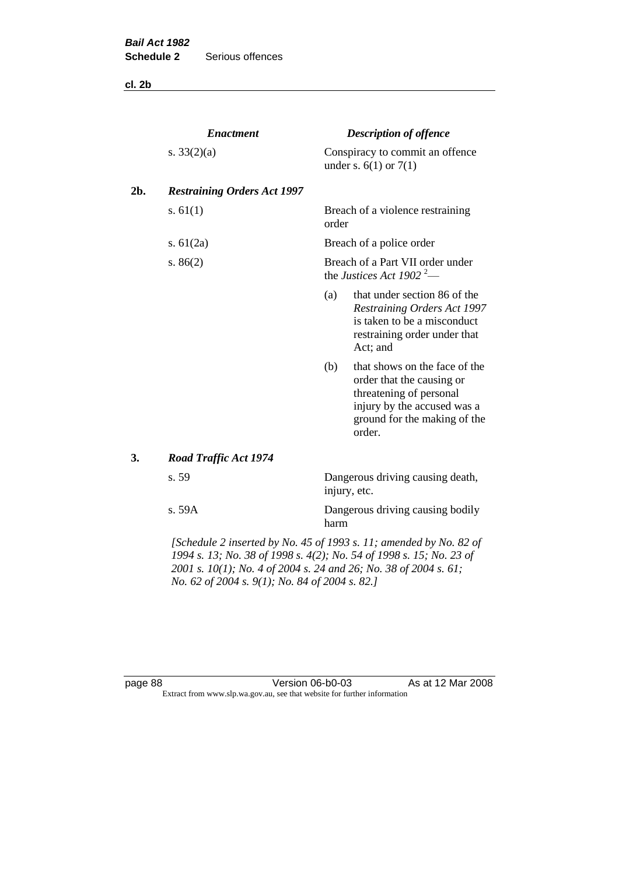**cl. 2b**

|     | <b>Enactment</b>                                                   |       | <b>Description of offence</b>                                                                                                                                  |
|-----|--------------------------------------------------------------------|-------|----------------------------------------------------------------------------------------------------------------------------------------------------------------|
|     | s. $33(2)(a)$                                                      |       | Conspiracy to commit an offence<br>under s. $6(1)$ or $7(1)$                                                                                                   |
| 2b. | <b>Restraining Orders Act 1997</b>                                 |       |                                                                                                                                                                |
|     | s. $61(1)$                                                         | order | Breach of a violence restraining                                                                                                                               |
|     | s. $61(2a)$                                                        |       | Breach of a police order                                                                                                                                       |
|     | s. $86(2)$                                                         |       | Breach of a Part VII order under<br>the Justices Act 1902 <sup>2</sup> —                                                                                       |
|     |                                                                    | (a)   | that under section 86 of the<br>Restraining Orders Act 1997<br>is taken to be a misconduct<br>restraining order under that<br>Act; and                         |
|     |                                                                    | (b)   | that shows on the face of the<br>order that the causing or<br>threatening of personal<br>injury by the accused was a<br>ground for the making of the<br>order. |
| 3.  | <b>Road Traffic Act 1974</b>                                       |       |                                                                                                                                                                |
|     | s. 59                                                              |       | Dangerous driving causing death,<br>injury, etc.                                                                                                               |
|     | s. 59A                                                             | harm  | Dangerous driving causing bodily                                                                                                                               |
|     | [Schedule 2 inserted by No. 45 of 1993 s. 11; amended by No. 82 of |       |                                                                                                                                                                |

*1994 s. 13; No. 38 of 1998 s. 4(2); No. 54 of 1998 s. 15; No. 23 of 2001 s. 10(1); No. 4 of 2004 s. 24 and 26; No. 38 of 2004 s. 61; No. 62 of 2004 s. 9(1); No. 84 of 2004 s. 82.]* 

page 88 Version 06-b0-03 As at 12 Mar 2008 Extract from www.slp.wa.gov.au, see that website for further information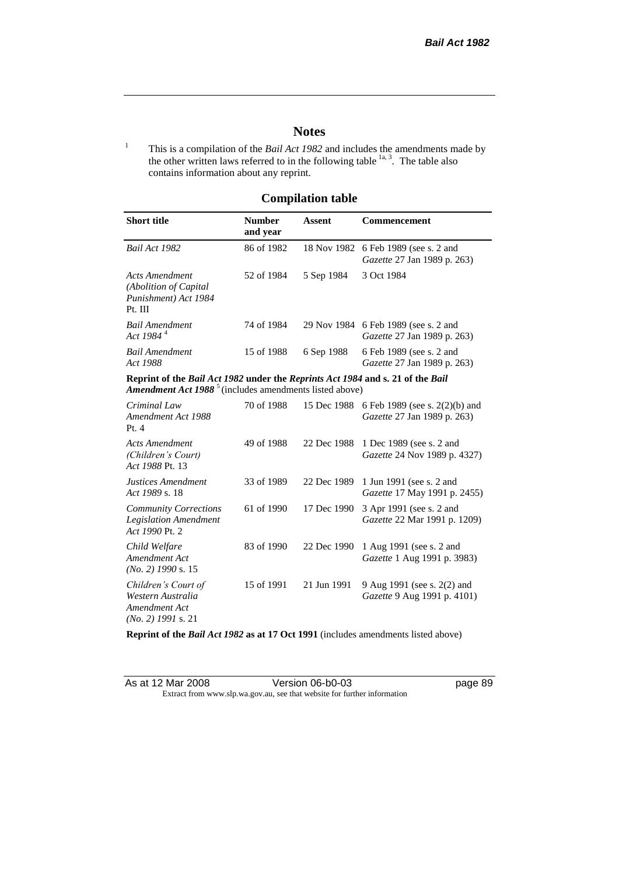### **Notes**

<sup>1</sup> This is a compilation of the *Bail Act 1982* and includes the amendments made by the other written laws referred to in the following table  $\frac{1}{a}$ , The table also contains information about any reprint.

## **Compilation table**

| <b>Short title</b>                                                                                                                                   | <b>Number</b><br>and year | Assent      | <b>Commencement</b>                                                        |
|------------------------------------------------------------------------------------------------------------------------------------------------------|---------------------------|-------------|----------------------------------------------------------------------------|
| Bail Act 1982                                                                                                                                        | 86 of 1982                |             | 18 Nov 1982 6 Feb 1989 (see s. 2 and<br><i>Gazette</i> 27 Jan 1989 p. 263) |
| Acts Amendment<br>(Abolition of Capital)<br>Punishment) Act 1984<br>Pt. III                                                                          | 52 of 1984                | 5 Sep 1984  | 3 Oct 1984                                                                 |
| Bail Amendment<br>Act 1984 <sup>4</sup>                                                                                                              | 74 of 1984                |             | 29 Nov 1984 6 Feb 1989 (see s. 2 and<br><i>Gazette</i> 27 Jan 1989 p. 263) |
| Bail Amendment<br>Act 1988                                                                                                                           | 15 of 1988                | 6 Sep 1988  | 6 Feb 1989 (see s. 2 and<br><i>Gazette</i> 27 Jan 1989 p. 263)             |
| Reprint of the Bail Act 1982 under the Reprints Act 1984 and s. 21 of the Bail<br>Amendment Act 1988 <sup>5</sup> (includes amendments listed above) |                           |             |                                                                            |
| Criminal Law<br>Amendment Act 1988                                                                                                                   | 70 of 1988                | 15 Dec 1988 | 6 Feb 1989 (see s. $2(2)(b)$ ) and<br><i>Gazette</i> 27 Jan 1989 p. 263)   |

| Criminal Law<br>Amendment Act 1988<br>Pt. 4                                       | 70 01 1200 |             | $1.3$ Dec 1988 and $1.50$ and $1.50$ and $1.50$<br><i>Gazette</i> 27 Jan 1989 p. 263) |
|-----------------------------------------------------------------------------------|------------|-------------|---------------------------------------------------------------------------------------|
| <b>Acts Amendment</b><br>(Children's Court)<br>Act 1988 Pt. 13                    | 49 of 1988 |             | 22 Dec 1988 1 Dec 1989 (see s. 2 and<br>Gazette 24 Nov 1989 p. 4327)                  |
| Justices Amendment<br>Act 1989 s. 18                                              | 33 of 1989 | 22 Dec 1989 | 1 Jun 1991 (see s. 2 and<br>Gazette 17 May 1991 p. 2455)                              |
| <b>Community Corrections</b><br><b>Legislation Amendment</b><br>Act 1990 Pt. 2    | 61 of 1990 | 17 Dec 1990 | 3 Apr 1991 (see s. 2 and<br><i>Gazette</i> 22 Mar 1991 p. 1209)                       |
| Child Welfare<br>Amendment Act<br>$(No. 2)$ 1990 s. 15                            | 83 of 1990 | 22 Dec 1990 | 1 Aug 1991 (see s. 2 and<br>Gazette 1 Aug 1991 p. 3983)                               |
| Children's Court of<br>Western Australia<br>Amendment Act<br>$(No. 2)$ 1991 s. 21 | 15 of 1991 | 21 Jun 1991 | 9 Aug 1991 (see s. 2(2) and<br>Gazette 9 Aug 1991 p. 4101)                            |

**Reprint of the** *Bail Act 1982* **as at 17 Oct 1991** (includes amendments listed above)

| As at 12 Mar 2008 | Version 06-b0-03                                                         |
|-------------------|--------------------------------------------------------------------------|
|                   | Extract from www.slp.wa.gov.au, see that website for further information |

page 89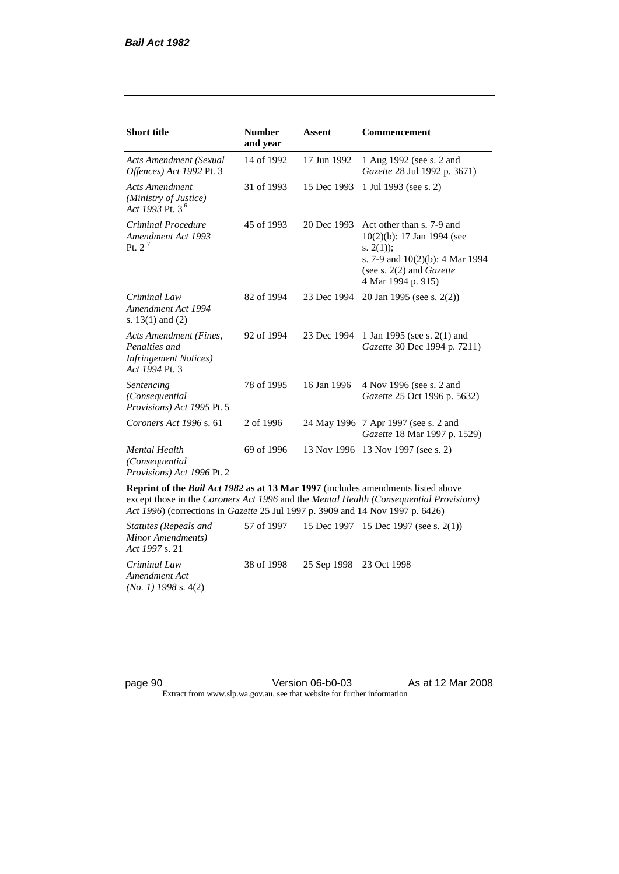| <b>Short title</b>                                                                         | <b>Number</b><br>and year | <b>Assent</b> | <b>Commencement</b>                                                                                                                                                        |
|--------------------------------------------------------------------------------------------|---------------------------|---------------|----------------------------------------------------------------------------------------------------------------------------------------------------------------------------|
| <b>Acts Amendment (Sexual</b><br>Offences) Act 1992 Pt. 3                                  | 14 of 1992                | 17 Jun 1992   | 1 Aug 1992 (see s. 2 and<br>Gazette 28 Jul 1992 p. 3671)                                                                                                                   |
| <b>Acts Amendment</b><br>(Ministry of Justice)<br>Act 1993 Pt. 3 <sup>6</sup>              | 31 of 1993                | 15 Dec 1993   | 1 Jul 1993 (see s. 2)                                                                                                                                                      |
| Criminal Procedure<br>Amendment Act 1993<br>Pt. $2^7$                                      | 45 of 1993                | 20 Dec 1993   | Act other than s. 7-9 and<br>$10(2)(b)$ : 17 Jan 1994 (see<br>s. $2(1)$ ;<br>s. 7-9 and $10(2)(b)$ : 4 Mar 1994<br>(see s. $2(2)$ and <i>Gazette</i><br>4 Mar 1994 p. 915) |
| Criminal Law<br>Amendment Act 1994<br>s. $13(1)$ and $(2)$                                 | 82 of 1994                | 23 Dec 1994   | 20 Jan 1995 (see s. 2(2))                                                                                                                                                  |
| Acts Amendment (Fines,<br>Penalties and<br><b>Infringement Notices</b> )<br>Act 1994 Pt. 3 | 92 of 1994                | 23 Dec 1994   | 1 Jan 1995 (see s. 2(1) and<br>Gazette 30 Dec 1994 p. 7211)                                                                                                                |
| Sentencing<br>(Consequential<br>Provisions) Act 1995 Pt. 5                                 | 78 of 1995                | 16 Jan 1996   | 4 Nov 1996 (see s. 2 and<br><i>Gazette</i> 25 Oct 1996 p. 5632)                                                                                                            |
| Coroners Act 1996 s. 61                                                                    | 2 of 1996                 |               | 24 May 1996 7 Apr 1997 (see s. 2 and<br>Gazette 18 Mar 1997 p. 1529)                                                                                                       |
| <b>Mental Health</b><br>(Consequential<br>Provisions) Act 1996 Pt. 2                       | 69 of 1996                | 13 Nov 1996   | 13 Nov 1997 (see s. 2)                                                                                                                                                     |

**Reprint of the** *Bail Act 1982* **as at 13 Mar 1997** (includes amendments listed above except those in the *Coroners Act 1996* and the *Mental Health (Consequential Provisions) Act 1996*) (corrections in *Gazette* 25 Jul 1997 p. 3909 and 14 Nov 1997 p. 6426)

*Statutes (Repeals and Minor Amendments) Act 1997* s. 21 57 of 1997 15 Dec 1997 15 Dec 1997 (see s. 2(1)) *Criminal Law Amendment Act (No. 1) 1998* s. 4(2) 38 of 1998 25 Sep 1998 23 Oct 1998

page 90 **Version 06-b0-03** As at 12 Mar 2008 Extract from www.slp.wa.gov.au, see that website for further information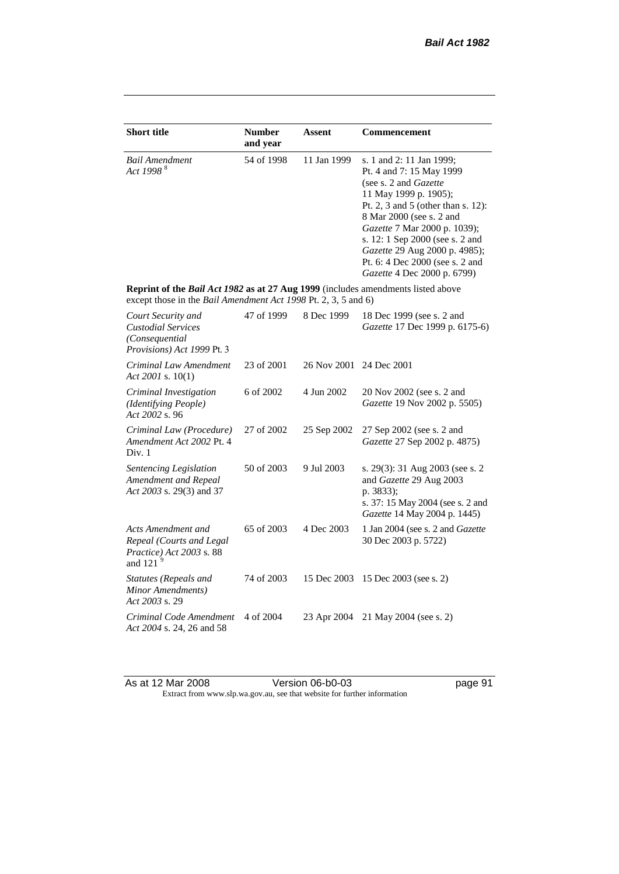| <b>Short title</b>                                                                                                                                 | <b>Number</b><br>and year | <b>Assent</b> | <b>Commencement</b>                                                                                                                                                                                                                                                                                                                            |
|----------------------------------------------------------------------------------------------------------------------------------------------------|---------------------------|---------------|------------------------------------------------------------------------------------------------------------------------------------------------------------------------------------------------------------------------------------------------------------------------------------------------------------------------------------------------|
| <b>Bail Amendment</b><br>Act 1998 <sup>8</sup>                                                                                                     | 54 of 1998                | 11 Jan 1999   | s. 1 and 2: 11 Jan 1999;<br>Pt. 4 and 7: 15 May 1999<br>(see s. 2 and Gazette<br>11 May 1999 p. 1905);<br>Pt. 2, 3 and 5 (other than s. 12):<br>8 Mar 2000 (see s. 2 and<br>Gazette 7 Mar 2000 p. 1039);<br>s. 12: 1 Sep 2000 (see s. 2 and<br>Gazette 29 Aug 2000 p. 4985);<br>Pt. 6: 4 Dec 2000 (see s. 2 and<br>Gazette 4 Dec 2000 p. 6799) |
| Reprint of the Bail Act 1982 as at 27 Aug 1999 (includes amendments listed above<br>except those in the Bail Amendment Act 1998 Pt. 2, 3, 5 and 6) |                           |               |                                                                                                                                                                                                                                                                                                                                                |
| Court Security and<br><b>Custodial Services</b><br>(Consequential<br>Provisions) Act 1999 Pt. 3                                                    | 47 of 1999                | 8 Dec 1999    | 18 Dec 1999 (see s. 2 and<br>Gazette 17 Dec 1999 p. 6175-6)                                                                                                                                                                                                                                                                                    |
| Criminal Law Amendment<br>Act 2001 s. $10(1)$                                                                                                      | 23 of 2001                | 26 Nov 2001   | 24 Dec 2001                                                                                                                                                                                                                                                                                                                                    |
| Criminal Investigation<br>(Identifying People)<br>Act 2002 s. 96                                                                                   | 6 of 2002                 | 4 Jun 2002    | 20 Nov 2002 (see s. 2 and<br>Gazette 19 Nov 2002 p. 5505)                                                                                                                                                                                                                                                                                      |
| Criminal Law (Procedure)<br>Amendment Act 2002 Pt. 4<br>Div. 1                                                                                     | 27 of 2002                | 25 Sep 2002   | 27 Sep 2002 (see s. 2 and<br>Gazette 27 Sep 2002 p. 4875)                                                                                                                                                                                                                                                                                      |
| Sentencing Legislation<br>Amendment and Repeal<br>Act 2003 s. 29(3) and 37                                                                         | 50 of 2003                | 9 Jul 2003    | s. 29(3): 31 Aug 2003 (see s. 2<br>and Gazette 29 Aug 2003<br>p. 3833);<br>s. 37: 15 May 2004 (see s. 2 and<br>Gazette 14 May 2004 p. 1445)                                                                                                                                                                                                    |
| Acts Amendment and<br>Repeal (Courts and Legal<br>Practice) Act 2003 s. 88<br>and 121 $9$                                                          | 65 of 2003                | 4 Dec 2003    | 1 Jan 2004 (see s. 2 and <i>Gazette</i><br>30 Dec 2003 p. 5722)                                                                                                                                                                                                                                                                                |
| Statutes (Repeals and<br>Minor Amendments)<br>Act 2003 s. 29                                                                                       | 74 of 2003                | 15 Dec 2003   | 15 Dec 2003 (see s. 2)                                                                                                                                                                                                                                                                                                                         |
| Criminal Code Amendment<br>Act 2004 s. 24, 26 and 58                                                                                               | 4 of 2004                 | 23 Apr 2004   | 21 May 2004 (see s. 2)                                                                                                                                                                                                                                                                                                                         |

As at 12 Mar 2008 Version 06-b0-03 page 91 Extract from www.slp.wa.gov.au, see that website for further information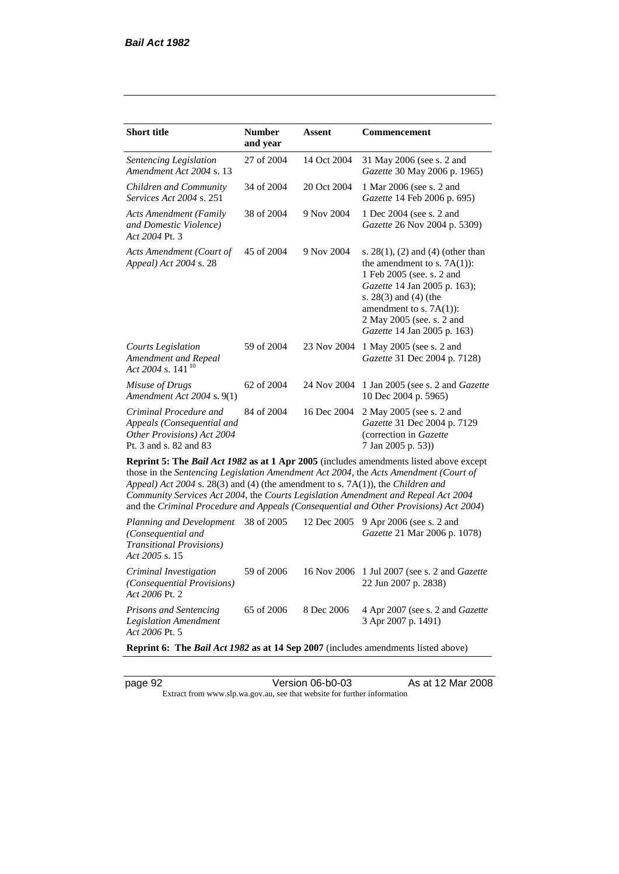| <b>Short title</b>                                                                                           | <b>Number</b><br>and year | Assent      | Commencement                                                                                                                                                                                                                                                                                                                                                 |
|--------------------------------------------------------------------------------------------------------------|---------------------------|-------------|--------------------------------------------------------------------------------------------------------------------------------------------------------------------------------------------------------------------------------------------------------------------------------------------------------------------------------------------------------------|
| Sentencing Legislation<br>Amendment Act 2004 s. 13                                                           | 27 of 2004                | 14 Oct 2004 | 31 May 2006 (see s. 2 and<br>Gazette 30 May 2006 p. 1965)                                                                                                                                                                                                                                                                                                    |
| Children and Community<br><i>Services Act 2004 s. 251</i>                                                    | 34 of 2004                | 20 Oct 2004 | 1 Mar 2006 (see s. 2 and<br>Gazette 14 Feb 2006 p. 695)                                                                                                                                                                                                                                                                                                      |
| Acts Amendment (Family<br>and Domestic Violence)<br>Act 2004 Pt. 3                                           | 38 of 2004                | 9 Nov 2004  | 1 Dec 2004 (see s. 2 and<br>Gazette 26 Nov 2004 p. 5309)                                                                                                                                                                                                                                                                                                     |
| Acts Amendment (Court of<br>Appeal) Act 2004 s. 28                                                           | 45 of 2004                | 9 Nov 2004  | s. $28(1)$ , (2) and (4) (other than<br>the amendment to s. $7A(1)$ :<br>1 Feb 2005 (see. s. 2 and<br>Gazette 14 Jan 2005 p. 163);<br>s. $28(3)$ and $(4)$ (the<br>amendment to s. $7A(1)$ :<br>2 May 2005 (see. s. 2 and<br>Gazette 14 Jan 2005 p. 163)                                                                                                     |
| <b>Courts Legislation</b><br>Amendment and Repeal<br>Act 2004 s. 141 <sup>10</sup>                           | 59 of 2004                | 23 Nov 2004 | 1 May 2005 (see s. 2 and<br>Gazette 31 Dec 2004 p. 7128)                                                                                                                                                                                                                                                                                                     |
| Misuse of Drugs<br>Amendment Act 2004 s. 9(1)                                                                | 62 of 2004                | 24 Nov 2004 | 1 Jan 2005 (see s. 2 and Gazette<br>10 Dec 2004 p. 5965)                                                                                                                                                                                                                                                                                                     |
| Criminal Procedure and<br>Appeals (Consequential and<br>Other Provisions) Act 2004<br>Pt. 3 and s. 82 and 83 | 84 of 2004                | 16 Dec 2004 | 2 May 2005 (see s. 2 and<br>Gazette 31 Dec 2004 p. 7129<br>(correction in Gazette<br>7 Jan 2005 p. 53))                                                                                                                                                                                                                                                      |
| Appeal) Act 2004 s. 28(3) and (4) (the amendment to s. 7A(1)), the Children and                              |                           |             | Reprint 5: The Bail Act 1982 as at 1 Apr 2005 (includes amendments listed above except<br>those in the Sentencing Legislation Amendment Act 2004, the Acts Amendment (Court of<br>Community Services Act 2004, the Courts Legislation Amendment and Repeal Act 2004<br>and the Criminal Procedure and Appeals (Consequential and Other Provisions) Act 2004) |
| Planning and Development<br>(Consequential and<br><b>Transitional Provisions</b> )<br>Act 2005 s. 15         | 38 of 2005                | 12 Dec 2005 | 9 Apr 2006 (see s. 2 and<br>Gazette 21 Mar 2006 p. 1078)                                                                                                                                                                                                                                                                                                     |
| Criminal Investigation<br>(Consequential Provisions)<br>Act 2006 Pt. 2                                       | 59 of 2006                | 16 Nov 2006 | 1 Jul 2007 (see s. 2 and <i>Gazette</i><br>22 Jun 2007 p. 2838)                                                                                                                                                                                                                                                                                              |
| <b>Prisons and Sentencing</b>                                                                                | 65 of 2006                | 8 Dec 2006  | 4 Apr 2007 (see s. 2 and Gazette                                                                                                                                                                                                                                                                                                                             |

**Reprint 6: The** *Bail Act 1982* **as at 14 Sep 2007** (includes amendments listed above)

*Act 2006* Pt. 5

*Legislation Amendment* 

3 Apr 2007 p. 1491)

page 92 Version 06-b0-03 As at 12 Mar 2008 Extract from www.slp.wa.gov.au, see that website for further information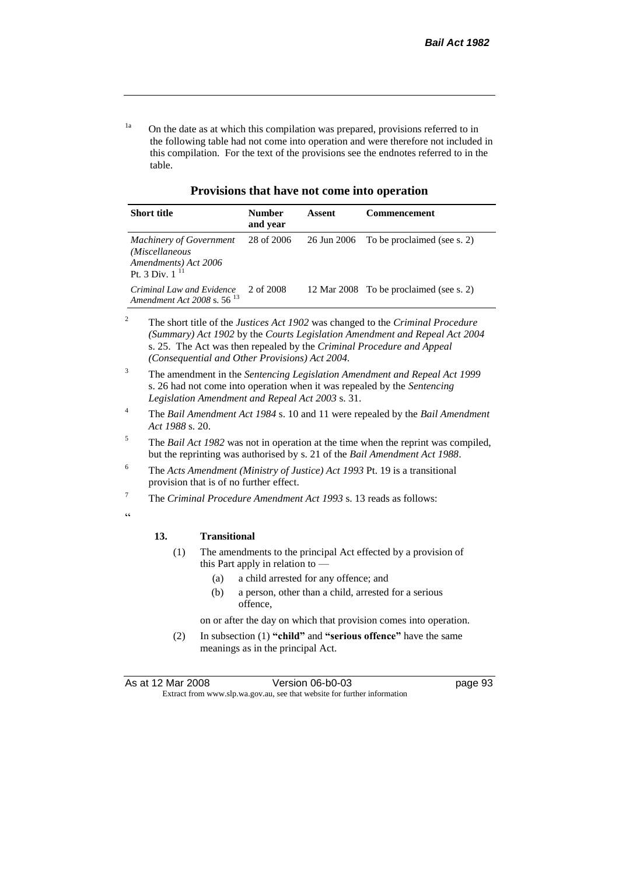<sup>1a</sup> On the date as at which this compilation was prepared, provisions referred to in the following table had not come into operation and were therefore not included in this compilation. For the text of the provisions see the endnotes referred to in the table.

| <b>Short title</b>                                                                              | Number<br>and year | Assent | <b>Commencement</b>                     |
|-------------------------------------------------------------------------------------------------|--------------------|--------|-----------------------------------------|
| <b>Machinery of Government</b><br>(Miscellaneous<br>Amendments) Act 2006<br>Pt. 3 Div. $1^{11}$ | 28 of 2006         |        | 26 Jun 2006 To be proclaimed (see s. 2) |
| Criminal Law and Evidence<br>Amendment Act 2008 s. 56 <sup>13</sup>                             | 2 of 2008          |        | 12 Mar 2008 To be proclaimed (see s. 2) |

**Provisions that have not come into operation**

<sup>2</sup> The short title of the *Justices Act 1902* was changed to the *Criminal Procedure (Summary) Act 1902* by the *Courts Legislation Amendment and Repeal Act 2004*  s. 25. The Act was then repealed by the *Criminal Procedure and Appeal (Consequential and Other Provisions) Act 2004.*

- <sup>3</sup> The amendment in the *Sentencing Legislation Amendment and Repeal Act 1999* s. 26 had not come into operation when it was repealed by the *Sentencing Legislation Amendment and Repeal Act 2003* s. 31.
- <sup>4</sup> The *Bail Amendment Act 1984* s. 10 and 11 were repealed by the *Bail Amendment Act 1988* s. 20.
- <sup>5</sup> The *Bail Act 1982* was not in operation at the time when the reprint was compiled, but the reprinting was authorised by s. 21 of the *Bail Amendment Act 1988*.
- <sup>6</sup> The *Acts Amendment (Ministry of Justice) Act 1993* Pt. 19 is a transitional provision that is of no further effect.
- <sup>7</sup> The *Criminal Procedure Amendment Act 1993* s. 13 reads as follows:

 $\epsilon$ 

#### **13. Transitional**

- (1) The amendments to the principal Act effected by a provision of this Part apply in relation to —
	- (a) a child arrested for any offence; and
	- (b) a person, other than a child, arrested for a serious offence,

on or after the day on which that provision comes into operation.

(2) In subsection (1) **"child"** and **"serious offence"** have the same meanings as in the principal Act.

| As at 12 Mar 2008 | Version 06-b0-03                                                         | page 93 |
|-------------------|--------------------------------------------------------------------------|---------|
|                   | Extract from www.slp.wa.gov.au, see that website for further information |         |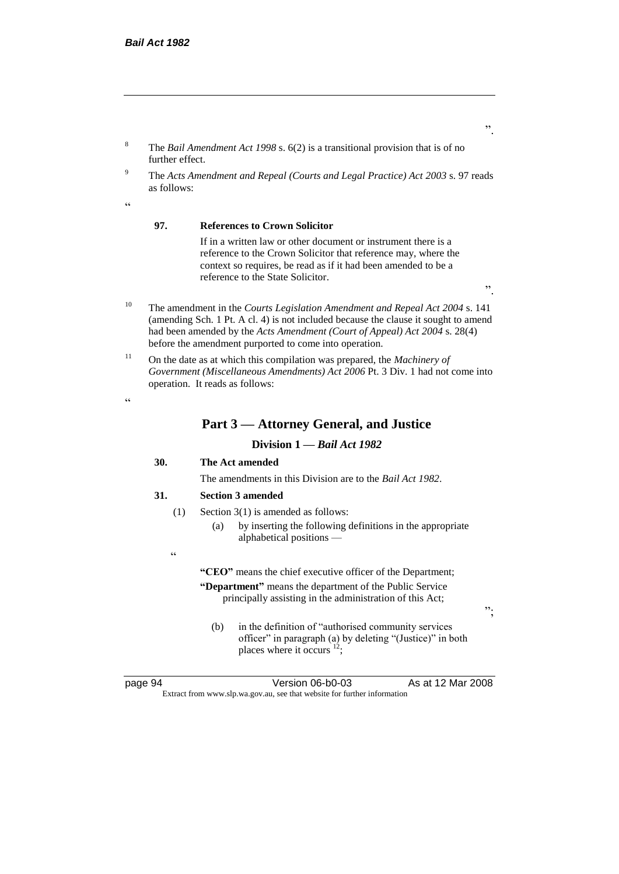- <sup>8</sup> The *Bail Amendment Act 1998* s. 6(2) is a transitional provision that is of no further effect.
- <sup>9</sup> The *Acts Amendment and Repeal (Courts and Legal Practice) Act 2003* s. 97 reads as follows:

.<br>د د

#### **97. References to Crown Solicitor**

If in a written law or other document or instrument there is a reference to the Crown Solicitor that reference may, where the context so requires, be read as if it had been amended to be a reference to the State Solicitor.

".

".

- <sup>10</sup> The amendment in the *Courts Legislation Amendment and Repeal Act 2004* s. 141 (amending Sch. 1 Pt. A cl. 4) is not included because the clause it sought to amend had been amended by the *Acts Amendment (Court of Appeal) Act 2004* s. 28(4) before the amendment purported to come into operation.
- <sup>11</sup> On the date as at which this compilation was prepared, the *Machinery of Government (Miscellaneous Amendments) Act 2006* Pt. 3 Div. 1 had not come into operation. It reads as follows:

 $\epsilon$ 

#### **Part 3 — Attorney General, and Justice**

#### **Division 1 —** *Bail Act 1982*

#### **30. The Act amended**

The amendments in this Division are to the *Bail Act 1982*.

#### **31. Section 3 amended**

- (1) Section 3(1) is amended as follows:
	- (a) by inserting the following definitions in the appropriate alphabetical positions —

.<br>.

**"CEO"** means the chief executive officer of the Department; **"Department"** means the department of the Public Service principally assisting in the administration of this Act;

(b) in the definition of "authorised community services officer" in paragraph (a) by deleting "(Justice)" in both places where it occurs  $12$ ;

page 94 Version 06-b0-03 As at 12 Mar 2008 Extract from www.slp.wa.gov.au, see that website for further information

";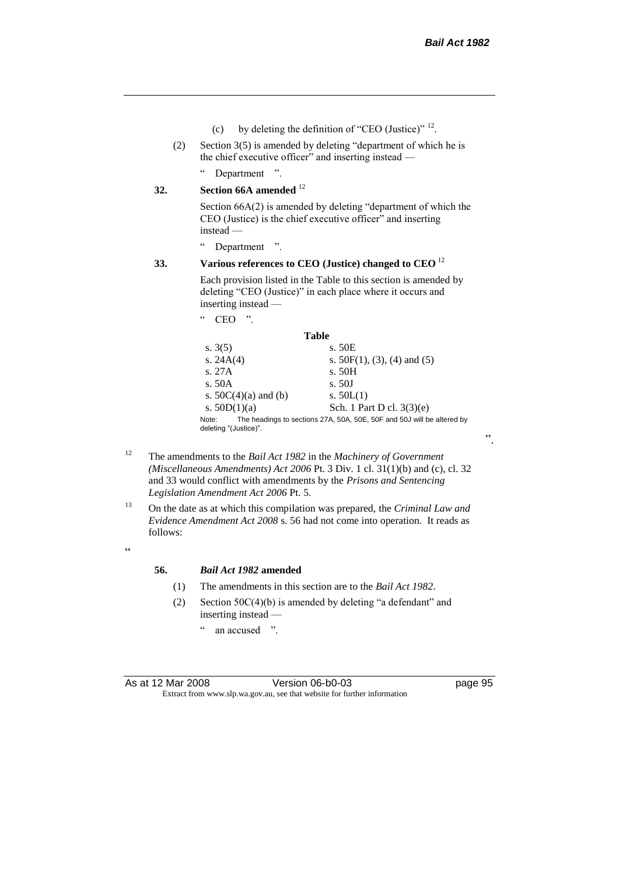- (c) by deleting the definition of "CEO (Justice)"  $^{12}$ .
- (2) Section 3(5) is amended by deleting "department of which he is the chief executive officer" and inserting instead —

" Department ".

#### **32. Section 66A amended** <sup>12</sup>

Section 66A(2) is amended by deleting "department of which the CEO (Justice) is the chief executive officer" and inserting instead —

" Department ".

#### **33. Various references to CEO (Justice) changed to CEO** <sup>12</sup>

Each provision listed in the Table to this section is amended by deleting "CEO (Justice)" in each place where it occurs and inserting instead —

| moorume moway                  |                                                                        |
|--------------------------------|------------------------------------------------------------------------|
| $_{cc}$<br>"<br>CEO            |                                                                        |
|                                | Table                                                                  |
| s. $3(5)$                      | s. 50E                                                                 |
| s. $24A(4)$                    | s. $50F(1)$ , (3), (4) and (5)                                         |
| s. 27A                         | s. 50H                                                                 |
| s. 50A                         | s.50J                                                                  |
| s. $50C(4)(a)$ and (b)         | s. $50L(1)$                                                            |
| s. $50D(1)(a)$                 | Sch. 1 Part D cl. 3(3)(e)                                              |
| Note:<br>deleting "(Justice)". | The headings to sections 27A, 50A, 50E, 50F and 50J will be altered by |

- <sup>12</sup> The amendments to the *Bail Act 1982* in the *Machinery of Government (Miscellaneous Amendments) Act 2006* Pt. 3 Div. 1 cl. 31(1)(b) and (c), cl. 32 and 33 would conflict with amendments by the *Prisons and Sentencing Legislation Amendment Act 2006* Pt. 5.
- <sup>13</sup> On the date as at which this compilation was prepared, the *Criminal Law and Evidence Amendment Act 2008* s. 56 had not come into operation. It reads as follows:

 $\epsilon$ 

#### **56.** *Bail Act 1982* **amended**

- (1) The amendments in this section are to the *Bail Act 1982*.
- (2) Section  $50C(4)(b)$  is amended by deleting "a defendant" and inserting instead —
	- " an accused ".

".